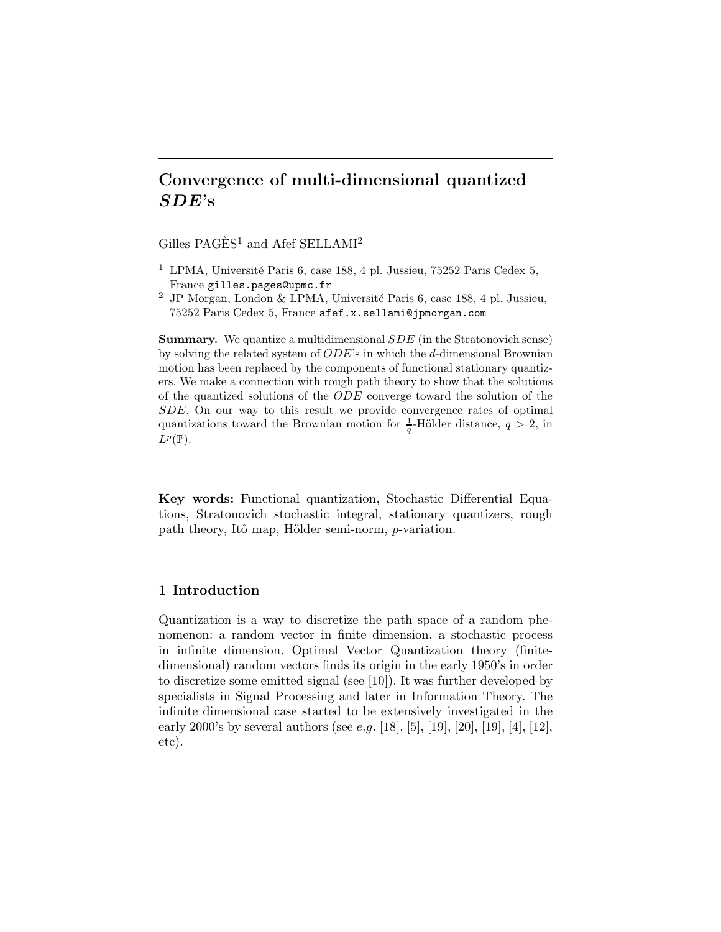# Convergence of multi-dimensional quantized SDE's

Gilles PAGÈS<sup>1</sup> and Afef SELLAMI<sup>2</sup>

- <sup>1</sup> LPMA, Université Paris 6, case 188, 4 pl. Jussieu, 75252 Paris Cedex 5, France gilles.pages@upmc.fr
- <sup>2</sup> JP Morgan, London & LPMA, Université Paris 6, case 188, 4 pl. Jussieu, 75252 Paris Cedex 5, France afef.x.sellami@jpmorgan.com

Summary. We quantize a multidimensional SDE (in the Stratonovich sense) by solving the related system of  $ODE$ 's in which the d-dimensional Brownian motion has been replaced by the components of functional stationary quantizers. We make a connection with rough path theory to show that the solutions of the quantized solutions of the ODE converge toward the solution of the SDE. On our way to this result we provide convergence rates of optimal quantizations toward the Brownian motion for  $\frac{1}{q}$ -Hölder distance,  $q > 2$ , in  $L^p(\mathbb{P})$ .

Key words: Functional quantization, Stochastic Differential Equations, Stratonovich stochastic integral, stationary quantizers, rough path theory, Itô map, Hölder semi-norm, p-variation.

### 1 Introduction

Quantization is a way to discretize the path space of a random phenomenon: a random vector in finite dimension, a stochastic process in infinite dimension. Optimal Vector Quantization theory (finitedimensional) random vectors finds its origin in the early 1950's in order to discretize some emitted signal (see [10]). It was further developed by specialists in Signal Processing and later in Information Theory. The infinite dimensional case started to be extensively investigated in the early 2000's by several authors (see *e.g.* [18], [5], [19], [20], [19], [4], [12], etc).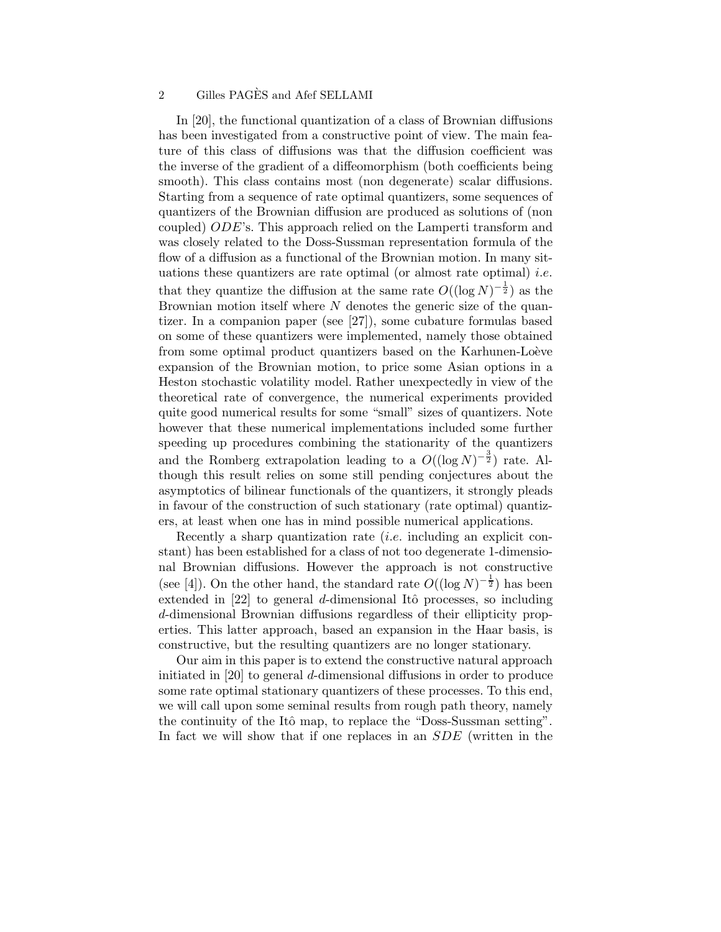In [20], the functional quantization of a class of Brownian diffusions has been investigated from a constructive point of view. The main feature of this class of diffusions was that the diffusion coefficient was the inverse of the gradient of a diffeomorphism (both coefficients being smooth). This class contains most (non degenerate) scalar diffusions. Starting from a sequence of rate optimal quantizers, some sequences of quantizers of the Brownian diffusion are produced as solutions of (non coupled) ODE's. This approach relied on the Lamperti transform and was closely related to the Doss-Sussman representation formula of the flow of a diffusion as a functional of the Brownian motion. In many situations these quantizers are rate optimal (or almost rate optimal) *i.e.* that they quantize the diffusion at the same rate  $O((\log N)^{-\frac{1}{2}})$  as the Brownian motion itself where  $N$  denotes the generic size of the quantizer. In a companion paper (see [27]), some cubature formulas based on some of these quantizers were implemented, namely those obtained from some optimal product quantizers based on the Karhunen-Loève expansion of the Brownian motion, to price some Asian options in a Heston stochastic volatility model. Rather unexpectedly in view of the theoretical rate of convergence, the numerical experiments provided quite good numerical results for some "small" sizes of quantizers. Note however that these numerical implementations included some further speeding up procedures combining the stationarity of the quantizers and the Romberg extrapolation leading to a  $O((\log N)^{-\frac{3}{2}})$  rate. Although this result relies on some still pending conjectures about the asymptotics of bilinear functionals of the quantizers, it strongly pleads in favour of the construction of such stationary (rate optimal) quantizers, at least when one has in mind possible numerical applications.

Recently a sharp quantization rate *(i.e.* including an explicit constant) has been established for a class of not too degenerate 1-dimensional Brownian diffusions. However the approach is not constructive (see [4]). On the other hand, the standard rate  $O((\log N)^{-\frac{1}{2}})$  has been extended in  $[22]$  to general d-dimensional Itô processes, so including d-dimensional Brownian diffusions regardless of their ellipticity properties. This latter approach, based an expansion in the Haar basis, is constructive, but the resulting quantizers are no longer stationary.

Our aim in this paper is to extend the constructive natural approach initiated in [20] to general d-dimensional diffusions in order to produce some rate optimal stationary quantizers of these processes. To this end, we will call upon some seminal results from rough path theory, namely the continuity of the Itô map, to replace the "Doss-Sussman setting". In fact we will show that if one replaces in an SDE (written in the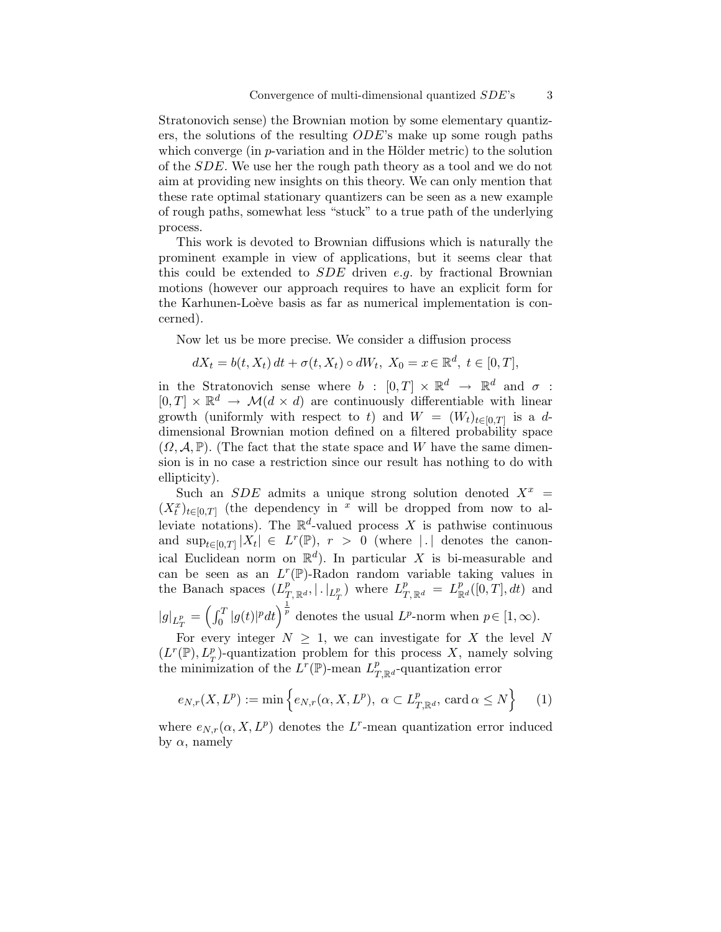Stratonovich sense) the Brownian motion by some elementary quantizers, the solutions of the resulting ODE's make up some rough paths which converge (in  $p$ -variation and in the Hölder metric) to the solution of the SDE. We use her the rough path theory as a tool and we do not aim at providing new insights on this theory. We can only mention that these rate optimal stationary quantizers can be seen as a new example of rough paths, somewhat less "stuck" to a true path of the underlying process.

This work is devoted to Brownian diffusions which is naturally the prominent example in view of applications, but it seems clear that this could be extended to  $SDE$  driven e.g. by fractional Brownian motions (however our approach requires to have an explicit form for the Karhunen-Loève basis as far as numerical implementation is concerned).

Now let us be more precise. We consider a diffusion process

$$
dX_t = b(t, X_t) dt + \sigma(t, X_t) \circ dW_t, \ X_0 = x \in \mathbb{R}^d, \ t \in [0, T],
$$

in the Stratonovich sense where  $b : [0, T] \times \mathbb{R}^d \to \mathbb{R}^d$  and  $\sigma :$  $[0, T] \times \mathbb{R}^d \rightarrow \mathcal{M}(d \times d)$  are continuously differentiable with linear growth (uniformly with respect to t) and  $W = (W_t)_{t \in [0,T]}$  is a ddimensional Brownian motion defined on a filtered probability space  $(\Omega, \mathcal{A}, \mathbb{P})$ . (The fact that the state space and W have the same dimension is in no case a restriction since our result has nothing to do with ellipticity).

Such an SDE admits a unique strong solution denoted  $X^x$  =  $(X_t^x)_{t\in[0,T]}$  (the dependency in <sup>x</sup> will be dropped from now to alleviate notations). The  $\mathbb{R}^d$ -valued process X is pathwise continuous and  $\sup_{t\in[0,T]}|X_t| \in L^r(\mathbb{P}), r > 0$  (where | . | denotes the canonical Euclidean norm on  $\mathbb{R}^d$ ). In particular X is bi-measurable and can be seen as an  $L^r(\mathbb{P})$ -Radon random variable taking values in the Banach spaces  $(L_{T,\mathbb{R}^d}^p, |.|_{L_T^p})$  where  $L_{T,\mathbb{R}^d}^p = L_{\mathbb{R}^d}^p([0,T],dt)$  and  $|g|_{L^p_T} = \left(\int_0^T |g(t)|^p dt\right)^{\frac{1}{p}}$  denotes the usual  $L^p$ -norm when  $p \in [1, \infty)$ .

For every integer  $N \geq 1$ , we can investigate for X the level N  $(L^r(\mathbb{P}), L^p_T)$ -quantization problem for this process X, namely solving the minimization of the  $L^r(\mathbb{P})$ -mean  $L^p_{T,\mathbb{R}^d}$ -quantization error

$$
e_{N,r}(X, L^p) := \min\left\{ e_{N,r}(\alpha, X, L^p), \ \alpha \subset L^p_{T, \mathbb{R}^d}, \text{ card } \alpha \le N \right\} \tag{1}
$$

where  $e_{N,r}(\alpha, X, L^p)$  denotes the L<sup>r</sup>-mean quantization error induced by  $\alpha$ , namely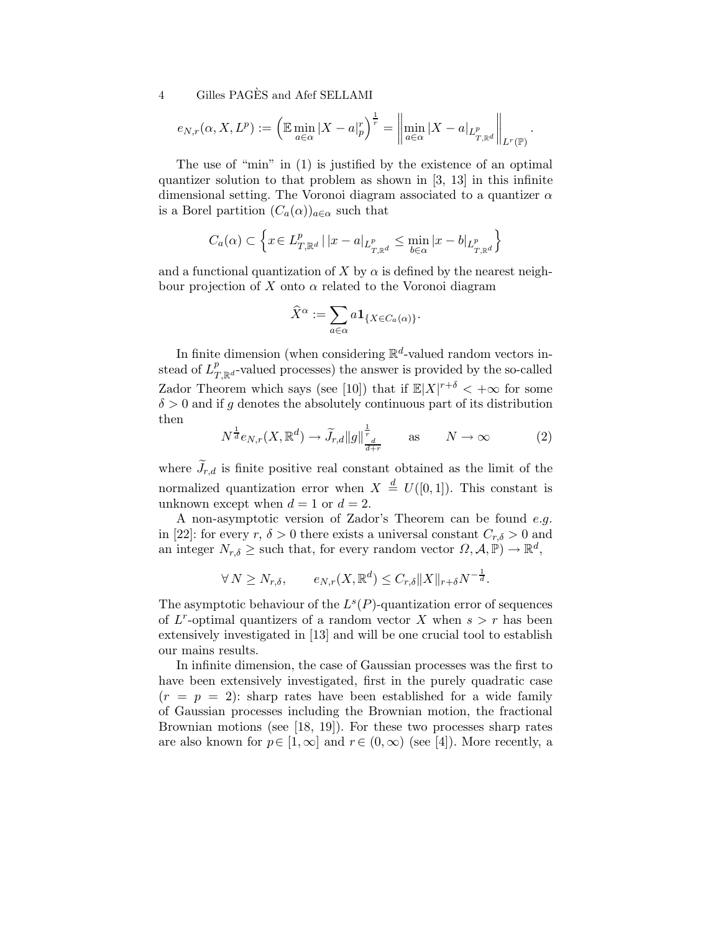$$
e_{N,r}(\alpha, X, L^p) := \left( \mathbb{E} \min_{a \in \alpha} |X - a|_p^r \right)^{\frac{1}{r}} = \left\| \min_{a \in \alpha} |X - a|_{L^p_{T, \mathbb{R}^d}} \right\|_{L^r(\mathbb{P})}.
$$

The use of "min" in (1) is justified by the existence of an optimal quantizer solution to that problem as shown in [3, 13] in this infinite dimensional setting. The Voronoi diagram associated to a quantizer  $\alpha$ is a Borel partition  $(C_a(\alpha))_{a \in \alpha}$  such that

$$
C_a(\alpha) \subset \left\{ x \in L^p_{T, \mathbb{R}^d} \mid |x - a|_{L^p_{T, \mathbb{R}^d}} \le \min_{b \in \alpha} |x - b|_{L^p_{T, \mathbb{R}^d}} \right\}
$$

and a functional quantization of X by  $\alpha$  is defined by the nearest neighbour projection of X onto  $\alpha$  related to the Voronoi diagram

$$
\widehat{X}^\alpha:=\sum_{a\in\alpha}a\mathbf{1}_{\{X\in C_a(\alpha)\}}.
$$

In finite dimension (when considering  $\mathbb{R}^d$ -valued random vectors instead of  $L_{T,\mathbb{R}^d}^p$ -valued processes) the answer is provided by the so-called Zador Theorem which says (see [10]) that if  $\mathbb{E}|X|^{r+\delta} < +\infty$  for some  $\delta > 0$  and if q denotes the absolutely continuous part of its distribution then

$$
N^{\frac{1}{d}}e_{N,r}(X,\mathbb{R}^d) \to \widetilde{J}_{r,d} \|g\|_{\frac{d}{d+r}}^{\frac{1}{r}} \quad \text{as} \quad N \to \infty \tag{2}
$$

where  $J_{r,d}$  is finite positive real constant obtained as the limit of the normalized quantization error when  $X \stackrel{d}{=} U([0, 1])$ . This constant is unknown except when  $d = 1$  or  $d = 2$ .

A non-asymptotic version of Zador's Theorem can be found e.g. in [22]: for every r,  $\delta > 0$  there exists a universal constant  $C_{r,\delta} > 0$  and an integer  $N_{r,\delta} \geq$  such that, for every random vector  $\Omega$ ,  $\mathcal{A}, \mathbb{P}) \to \mathbb{R}^d$ ,

$$
\forall N \ge N_{r,\delta}, \qquad e_{N,r}(X, \mathbb{R}^d) \le C_{r,\delta} ||X||_{r+\delta} N^{-\frac{1}{d}}.
$$

The asymptotic behaviour of the  $L^s(P)$ -quantization error of sequences of  $L^r$ -optimal quantizers of a random vector X when  $s > r$  has been extensively investigated in [13] and will be one crucial tool to establish our mains results.

In infinite dimension, the case of Gaussian processes was the first to have been extensively investigated, first in the purely quadratic case  $(r = p = 2)$ : sharp rates have been established for a wide family of Gaussian processes including the Brownian motion, the fractional Brownian motions (see [18, 19]). For these two processes sharp rates are also known for  $p \in [1,\infty]$  and  $r \in (0,\infty)$  (see [4]). More recently, a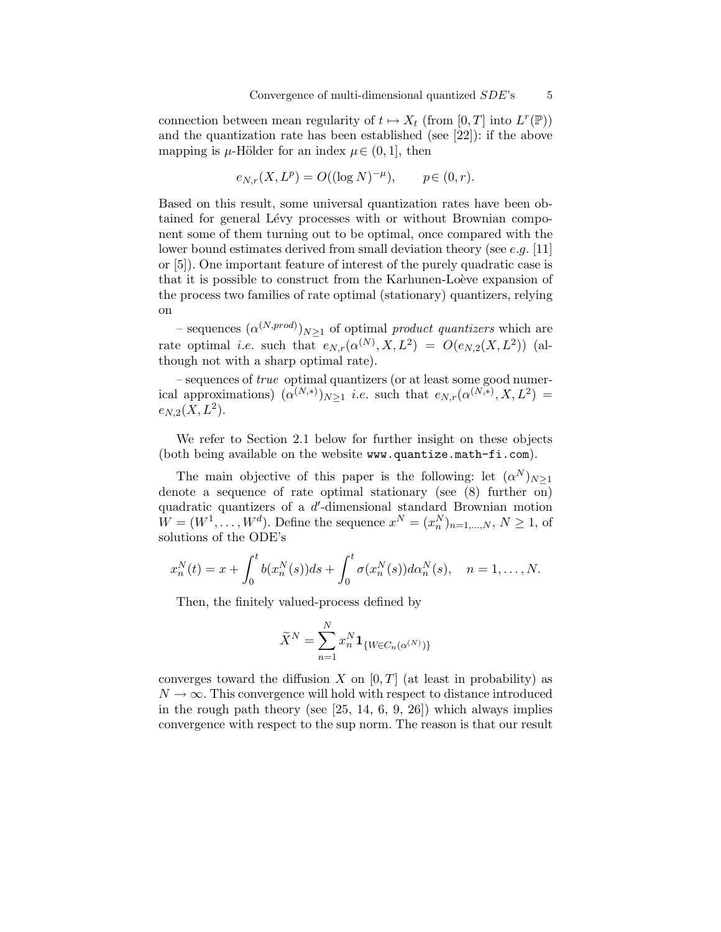connection between mean regularity of  $t \mapsto X_t$  (from [0, T] into  $L^r(\mathbb{P})$ ) and the quantization rate has been established (see [22]): if the above mapping is  $\mu$ -Hölder for an index  $\mu \in (0, 1]$ , then

$$
e_{N,r}(X, L^p) = O((\log N)^{-\mu}), \qquad p \in (0, r).
$$

Based on this result, some universal quantization rates have been obtained for general Lévy processes with or without Brownian component some of them turning out to be optimal, once compared with the lower bound estimates derived from small deviation theory (see e.g. [11] or [5]). One important feature of interest of the purely quadratic case is that it is possible to construct from the Karhunen-Loève expansion of the process two families of rate optimal (stationary) quantizers, relying on

- sequences  $(\alpha^{(N,prod)})_{N\geq 1}$  of optimal product quantizers which are rate optimal *i.e.* such that  $e_{N,r}(\alpha^{(N)}, X, L^2) = O(e_{N,2}(X, L^2))$  (although not with a sharp optimal rate).

– sequences of true optimal quantizers (or at least some good numerical approximations)  $(\alpha^{(N,*)})_{N\geq 1}$  *i.e.* such that  $e_{N,r}(\alpha^{(N,*)}, X, L^2)$  =  $e_{N,2}(X,L^2).$ 

We refer to Section 2.1 below for further insight on these objects (both being available on the website www.quantize.math-fi.com).

The main objective of this paper is the following: let  $(\alpha^N)_{N\geq 1}$ denote a sequence of rate optimal stationary (see (8) further on) quadratic quantizers of a d'-dimensional standard Brownian motion  $W = (W^1, \ldots, W^d)$ . Define the sequence  $x^N = (x_n^N)_{n=1,\ldots,N}, N \ge 1$ , of solutions of the ODE's

$$
x_n^N(t) = x + \int_0^t b(x_n^N(s))ds + \int_0^t \sigma(x_n^N(s))d\alpha_n^N(s), \quad n = 1, ..., N.
$$

Then, the finitely valued-process defined by

$$
\widetilde{X}^N = \sum_{n=1}^N x_n^N \mathbf{1}_{\{W \in C_n(\alpha^{(N)})\}}
$$

converges toward the diffusion X on  $[0, T]$  (at least in probability) as  $N \to \infty$ . This convergence will hold with respect to distance introduced in the rough path theory (see  $[25, 14, 6, 9, 26]$ ) which always implies convergence with respect to the sup norm. The reason is that our result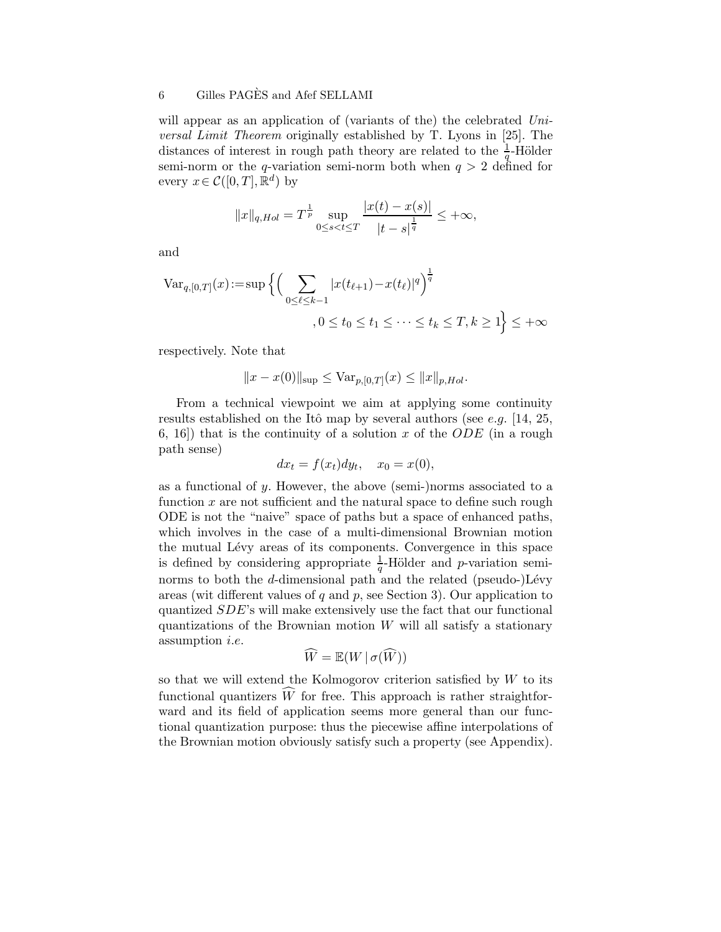will appear as an application of (variants of the) the celebrated  $Uni$ versal Limit Theorem originally established by T. Lyons in [25]. The distances of interest in rough path theory are related to the  $\frac{1}{q}$ -Hölder semi-norm or the q-variation semi-norm both when  $q > 2$  defined for every  $x \in \mathcal{C}([0,T], \mathbb{R}^d)$  by

$$
||x||_{q,Hol} = T^{\frac{1}{p}} \sup_{0 \le s < t \le T} \frac{|x(t) - x(s)|}{|t - s|^{\frac{1}{q}}} \le +\infty,
$$

and

$$
\begin{aligned} \text{Var}_{q,[0,T]}(x) &:= \sup \Big\{ \Big( \sum_{0 \le \ell \le k-1} |x(t_{\ell+1}) - x(t_{\ell})|^q \Big)^{\frac{1}{q}} \\ &\quad , 0 \le t_0 \le t_1 \le \dots \le t_k \le T, k \ge 1 \Big\} \le +\infty \end{aligned}
$$

respectively. Note that

$$
||x - x(0)||_{\text{sup}} \leq \text{Var}_{p,[0,T]}(x) \leq ||x||_{p,Hol}.
$$

From a technical viewpoint we aim at applying some continuity results established on the Itô map by several authors (see e.g. [14, 25, 6, 16) that is the continuity of a solution x of the  $ODE$  (in a rough path sense)

$$
dx_t = f(x_t)dy_t, \quad x_0 = x(0),
$$

as a functional of  $y$ . However, the above (semi-)norms associated to a function  $x$  are not sufficient and the natural space to define such rough ODE is not the "naive" space of paths but a space of enhanced paths, which involves in the case of a multi-dimensional Brownian motion the mutual Lévy areas of its components. Convergence in this space is defined by considering appropriate  $\frac{1}{q}$ -Hölder and *p*-variation seminorms to both the  $d$ -dimensional path and the related (pseudo-) $Lévy$ areas (wit different values of  $q$  and  $p$ , see Section 3). Our application to quantized SDE's will make extensively use the fact that our functional quantizations of the Brownian motion  $W$  will all satisfy a stationary assumption i.e.

$$
\widehat{W} = \mathbb{E}(W \,|\, \sigma(\widehat{W}))
$$

so that we will extend the Kolmogorov criterion satisfied by  $W$  to its functional quantizers  $\widehat{W}$  for free. This approach is rather straightforward and its field of application seems more general than our functional quantization purpose: thus the piecewise affine interpolations of the Brownian motion obviously satisfy such a property (see Appendix).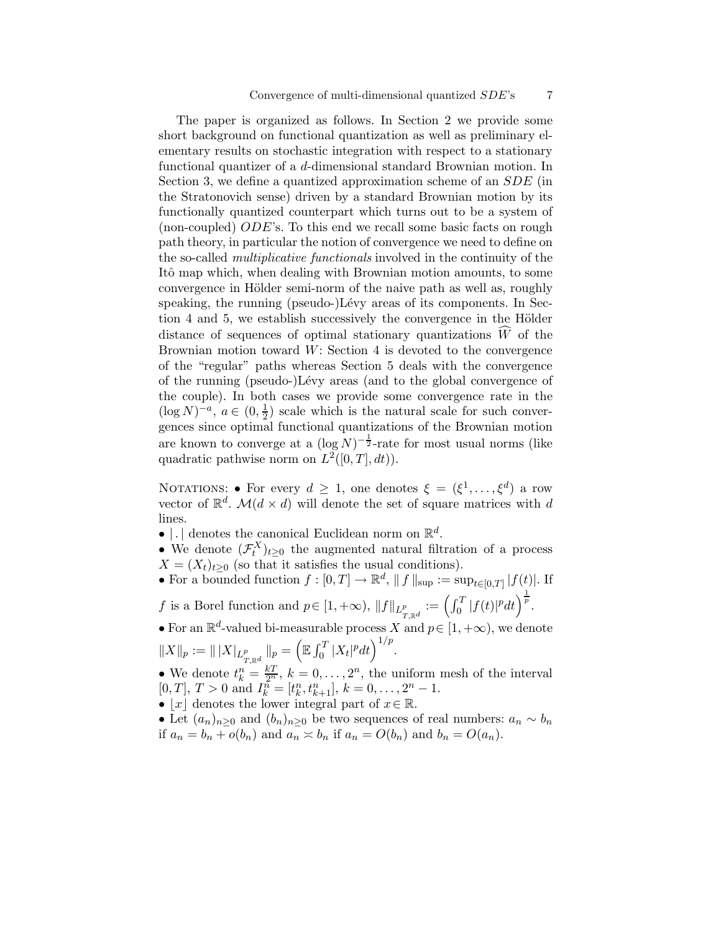The paper is organized as follows. In Section 2 we provide some short background on functional quantization as well as preliminary elementary results on stochastic integration with respect to a stationary functional quantizer of a d-dimensional standard Brownian motion. In Section 3, we define a quantized approximation scheme of an SDE (in the Stratonovich sense) driven by a standard Brownian motion by its functionally quantized counterpart which turns out to be a system of (non-coupled) ODE's. To this end we recall some basic facts on rough path theory, in particular the notion of convergence we need to define on the so-called multiplicative functionals involved in the continuity of the Itô map which, when dealing with Brownian motion amounts, to some convergence in Hölder semi-norm of the naive path as well as, roughly speaking, the running (pseudo-)Lévy areas of its components. In Section 4 and 5, we establish successively the convergence in the Hölder distance of sequences of optimal stationary quantizations  $\widehat{W}$  of the Brownian motion toward  $W$ : Section 4 is devoted to the convergence of the "regular" paths whereas Section 5 deals with the convergence of the running (pseudo-)Lévy areas (and to the global convergence of the couple). In both cases we provide some convergence rate in the  $(\log N)^{-a}, a \in (0, \frac{1}{2})$  $\frac{1}{2}$ ) scale which is the natural scale for such convergences since optimal functional quantizations of the Brownian motion are known to converge at a  $(\log N)^{-\frac{1}{2}}$ -rate for most usual norms (like quadratic pathwise norm on  $L^2([0,T], dt)$ .

NOTATIONS: • For every  $d \geq 1$ , one denotes  $\xi = (\xi^1, \ldots, \xi^d)$  a row vector of  $\mathbb{R}^d$ .  $\mathcal{M}(d \times d)$  will denote the set of square matrices with d lines.

- | denotes the canonical Euclidean norm on  $\mathbb{R}^d$ .
- We denote  $(\mathcal{F}_t^X)_{t\geq 0}$  the augmented natural filtration of a process  $X = (X_t)_{t \geq 0}$  (so that it satisfies the usual conditions).
- For a bounded function  $f: [0, T] \to \mathbb{R}^d$ ,  $|| f ||_{\text{sup}} := \sup_{t \in [0, T]} |f(t)|$ . If
- f is a Borel function and  $p \in [1, +\infty)$ ,  $||f||_{L^p_{T,\mathbb{R}^d}} := \left(\int_0^T |f(t)|^p dt\right)^{\frac{1}{p}}$ .
- For an  $\mathbb{R}^d$ -valued bi-measurable process X and  $p \in [1, +\infty)$ , we denote  $||X||_p := |||X|_{L^p_{T,\mathbb{R}^d}} ||_p = \left(\mathbb{E} \int_0^T |X_t|^p dt\right)^{1/p}.$
- We denote  $t_k^n = \frac{kT}{2^n}$ ,  $k = 0, \ldots, 2^n$ , the uniform mesh of the interval [0, T], T > 0 and  $I_k^{\tilde{n}} = [t_k^n, t_{k+1}^n], k = 0, \ldots, 2^n - 1.$
- |x| denotes the lower integral part of  $x \in \mathbb{R}$ .
- Let  $(a_n)_{n\geq 0}$  and  $(b_n)_{n\geq 0}$  be two sequences of real numbers:  $a_n \sim b_n$ if  $a_n = b_n + o(b_n)$  and  $a_n \leq b_n$  if  $a_n = O(b_n)$  and  $b_n = O(a_n)$ .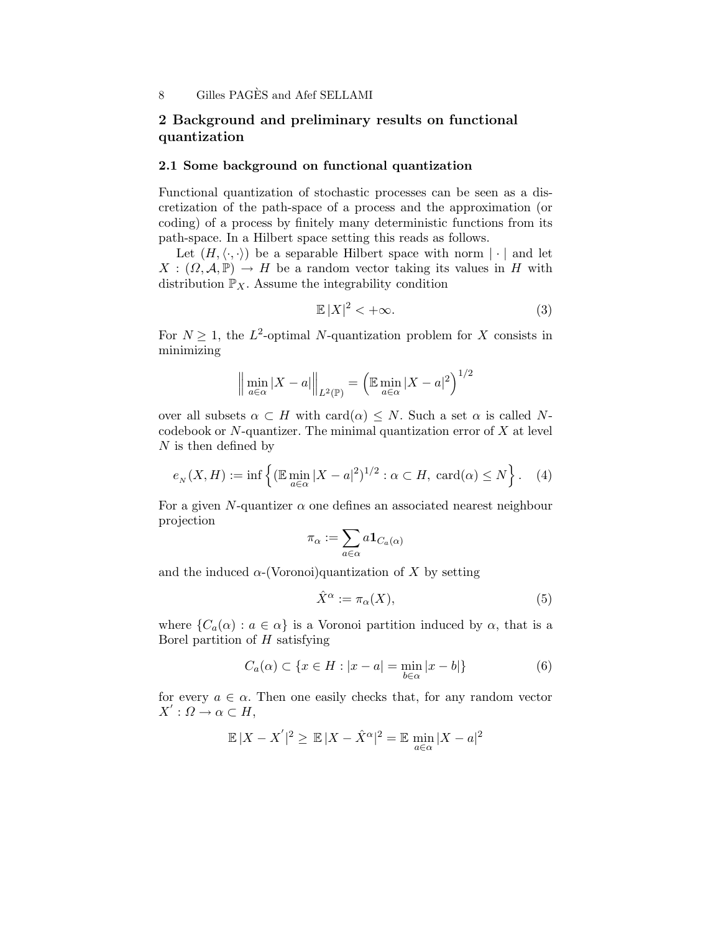# 2 Background and preliminary results on functional quantization

#### 2.1 Some background on functional quantization

Functional quantization of stochastic processes can be seen as a discretization of the path-space of a process and the approximation (or coding) of a process by finitely many deterministic functions from its path-space. In a Hilbert space setting this reads as follows.

Let  $(H, \langle \cdot, \cdot \rangle)$  be a separable Hilbert space with norm  $|\cdot|$  and let  $X: (\Omega, \mathcal{A}, \mathbb{P}) \to H$  be a random vector taking its values in H with distribution  $\mathbb{P}_X$ . Assume the integrability condition

$$
\mathbb{E}|X|^2 < +\infty. \tag{3}
$$

For  $N \geq 1$ , the L<sup>2</sup>-optimal N-quantization problem for X consists in minimizing

$$
\left\| \min_{a \in \alpha} |X - a| \right\|_{L^2(\mathbb{P})} = \left( \mathbb{E} \min_{a \in \alpha} |X - a|^2 \right)^{1/2}
$$

over all subsets  $\alpha \subset H$  with  $\text{card}(\alpha) \leq N$ . Such a set  $\alpha$  is called Ncodebook or  $N$ -quantizer. The minimal quantization error of  $X$  at level  $N$  is then defined by

$$
e_N(X, H) := \inf \left\{ (\mathbb{E} \min_{a \in \alpha} |X - a|^2)^{1/2} : \alpha \subset H, \ \text{card}(\alpha) \le N \right\}. \tag{4}
$$

For a given N-quantizer  $\alpha$  one defines an associated nearest neighbour projection

$$
\pi_\alpha:=\sum_{a\in\alpha}a\mathbf{1}_{C_a(\alpha)}
$$

and the induced  $\alpha$ -(Voronoi)quantization of X by setting

$$
\hat{X}^{\alpha} := \pi_{\alpha}(X),\tag{5}
$$

where  $\{C_a(\alpha): a \in \alpha\}$  is a Voronoi partition induced by  $\alpha$ , that is a Borel partition of  $H$  satisfying

$$
C_a(\alpha) \subset \{x \in H : |x - a| = \min_{b \in \alpha} |x - b|\}\tag{6}
$$

for every  $a \in \alpha$ . Then one easily checks that, for any random vector  $X': \Omega \to \alpha \subset H,$ 

$$
\mathbb{E}|X - X'|^2 \ge \mathbb{E}|X - \hat{X}^{\alpha}|^2 = \mathbb{E}\min_{a \in \alpha} |X - a|^2
$$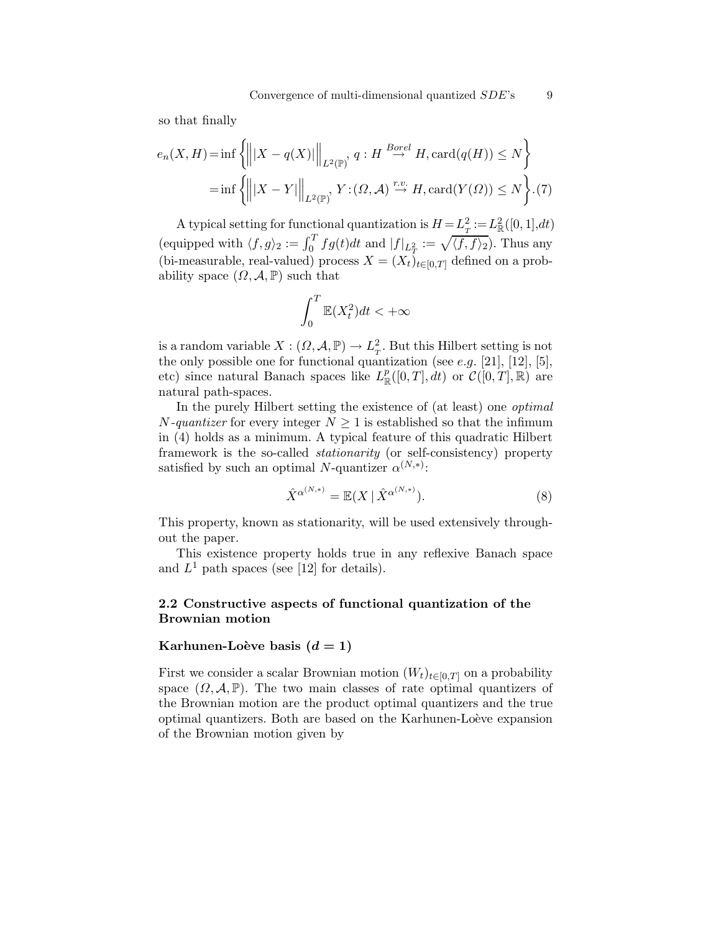so that finally

$$
e_n(X, H) = \inf \left\{ \left\| |X - q(X)| \right\|_{L^2(\mathbb{P})}, q : H \stackrel{Borel}{\to} H, \text{card}(q(H)) \le N \right\}
$$

$$
= \inf \left\{ \left\| |X - Y| \right\|_{L^2(\mathbb{P})}, Y : (\Omega, \mathcal{A}) \stackrel{r.v.}{\to} H, \text{card}(Y(\Omega)) \le N \right\}.
$$
(7)

A typical setting for functional quantization is  $H = L^2 = L^2_{\mathbb{R}}([0,1],dt)$ (equipped with  $\langle f, g \rangle_2 := \int_0^T f g(t) dt$  and  $|f|_{L^2_T} := \sqrt{\langle f, f \rangle_2}$ ). Thus any (bi-measurable, real-valued) process  $X = (X_t)_{t \in [0,T]}$  defined on a probability space  $(\Omega, \mathcal{A}, \mathbb{P})$  such that

$$
\int_0^T \mathbb{E}(X_t^2) dt < +\infty
$$

is a random variable  $X:(\Omega,\mathcal{A},\mathbb{P})\to L^2_T$ . But this Hilbert setting is not the only possible one for functional quantization (see e.g.  $[21]$ ,  $[12]$ ,  $[5]$ , etc) since natural Banach spaces like  $L^p_{\mathbb{R}}([0,T], dt)$  or  $\mathcal{C}([0,T], \mathbb{R})$  are natural path-spaces.

In the purely Hilbert setting the existence of (at least) one optimal *N*-quantizer for every integer  $N \geq 1$  is established so that the infimum in (4) holds as a minimum. A typical feature of this quadratic Hilbert framework is the so-called stationarity (or self-consistency) property satisfied by such an optimal N-quantizer  $\alpha^{(N,*)}$ :

$$
\hat{X}^{\alpha^{(N,*)}} = \mathbb{E}(X \mid \hat{X}^{\alpha^{(N,*)}}). \tag{8}
$$

This property, known as stationarity, will be used extensively throughout the paper.

This existence property holds true in any reflexive Banach space and  $L^1$  path spaces (see [12] for details).

### 2.2 Constructive aspects of functional quantization of the Brownian motion

#### Karhunen-Loève basis  $(d = 1)$

First we consider a scalar Brownian motion  $(W_t)_{t\in[0,T]}$  on a probability space  $(\Omega, \mathcal{A}, \mathbb{P})$ . The two main classes of rate optimal quantizers of the Brownian motion are the product optimal quantizers and the true optimal quantizers. Both are based on the Karhunen-Loève expansion of the Brownian motion given by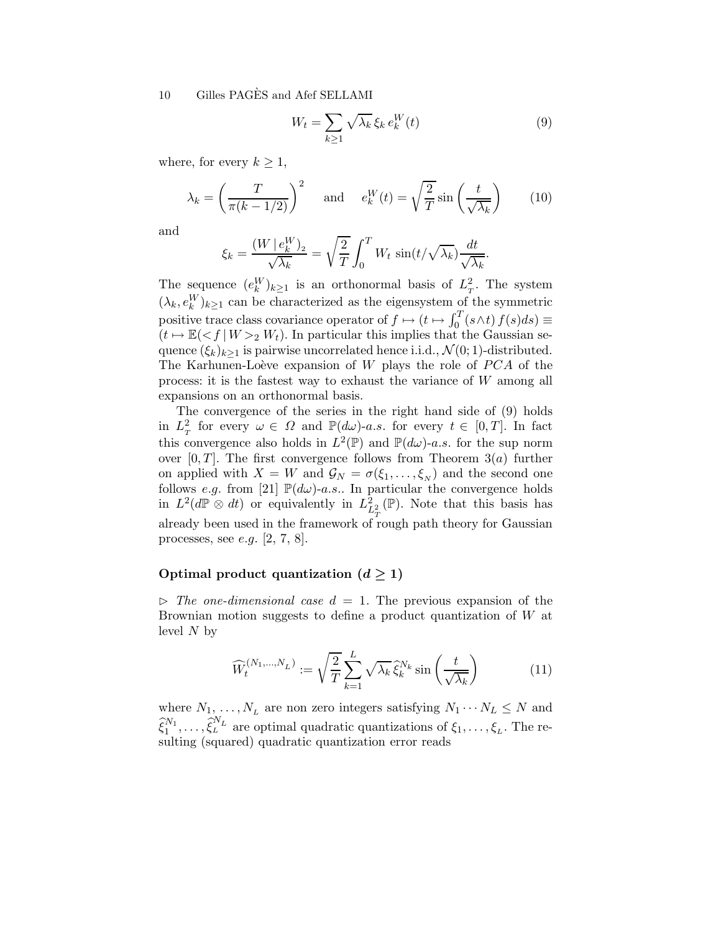$$
W_t = \sum_{k \ge 1} \sqrt{\lambda_k} \, \xi_k \, e_k^W(t) \tag{9}
$$

where, for every  $k \geq 1$ ,

$$
\lambda_k = \left(\frac{T}{\pi(k - 1/2)}\right)^2 \quad \text{and} \quad e_k^W(t) = \sqrt{\frac{2}{T}} \sin\left(\frac{t}{\sqrt{\lambda_k}}\right) \tag{10}
$$

and

$$
\xi_k = \frac{(W \mid e_k^W)_2}{\sqrt{\lambda_k}} = \sqrt{\frac{2}{T}} \int_0^T W_t \sin(t/\sqrt{\lambda_k}) \frac{dt}{\sqrt{\lambda_k}}.
$$

The sequence  $(e_k^W)_{k\geq 1}$  is an orthonormal basis of  $L_T^2$ . The system  $(\lambda_k, e_k^W)_{k\geq 1}$  can be characterized as the eigensystem of the symmetric positive trace class covariance operator of  $f \mapsto (t \mapsto \int_0^T (s \wedge t) f(s) ds) \equiv$  $(t \mapsto \mathbb{E}(\langle f | W \rangle_2 W_t)$ . In particular this implies that the Gaussian sequence  $(\xi_k)_{k>1}$  is pairwise uncorrelated hence i.i.d.,  $\mathcal{N}(0; 1)$ -distributed. The Karhunen-Loève expansion of  $W$  plays the role of  $PCA$  of the process: it is the fastest way to exhaust the variance of W among all expansions on an orthonormal basis.

The convergence of the series in the right hand side of (9) holds in  $L_T^2$  for every  $\omega \in \Omega$  and  $\mathbb{P}(d\omega)$ -a.s. for every  $t \in [0,T]$ . In fact this convergence also holds in  $L^2(\mathbb{P})$  and  $\mathbb{P}(d\omega)$ -a.s. for the sup norm over  $[0, T]$ . The first convergence follows from Theorem 3(*a*) further on applied with  $X = W$  and  $\mathcal{G}_N = \sigma(\xi_1, \ldots, \xi_N)$  and the second one follows e.g. from [21]  $\mathbb{P}(d\omega)$ -a.s.. In particular the convergence holds in  $L^2(d\mathbb{P} \otimes dt)$  or equivalently in  $L^2_{L^2(\mathbb{P})}$ . Note that this basis has already been used in the framework of rough path theory for Gaussian processes, see e.g. [2, 7, 8].

### Optimal product quantization  $(d \ge 1)$

 $\triangleright$  The one-dimensional case  $d = 1$ . The previous expansion of the Brownian motion suggests to define a product quantization of W at level  $N$  by

$$
\widehat{W}_t^{(N_1,\dots,N_L)} := \sqrt{\frac{2}{T}} \sum_{k=1}^L \sqrt{\lambda_k} \widehat{\xi}_k^{N_k} \sin\left(\frac{t}{\sqrt{\lambda_k}}\right) \tag{11}
$$

where  $N_1, \ldots, N_L$  are non zero integers satisfying  $N_1 \cdots N_L \leq N$  and  $\hat{\xi}_1^{N_1}, \ldots, \hat{\xi}_L^{N_L}$  are optimal quadratic quantizations of  $\xi_1, \ldots, \xi_L$ . The resulting (squared) quadratic quantization error reads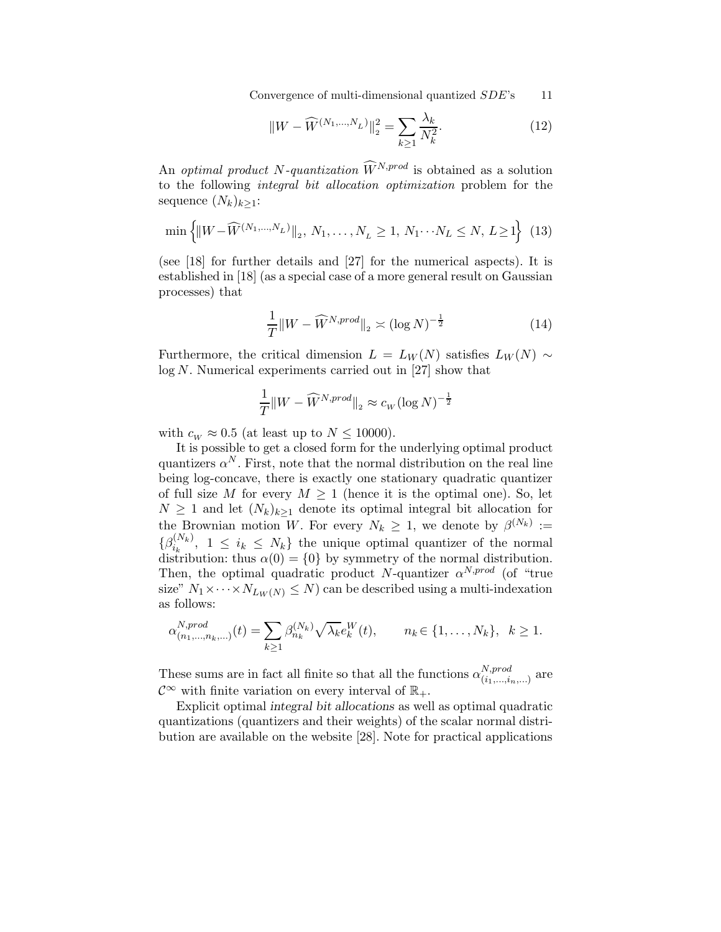Convergence of multi-dimensional quantized  $SDE$ 's 11

$$
||W - \widehat{W}^{(N_1, \dots, N_L)}||_2^2 = \sum_{k \ge 1} \frac{\lambda_k}{N_k^2}.
$$
 (12)

An *optimal product* N-quantization  $\widehat{W}^{N,prod}$  is obtained as a solution to the following integral bit allocation optimization problem for the sequence  $(N_k)_{k\geq 1}$ :

$$
\min\left\{ \|W - \widehat{W}^{(N_1, ..., N_L)}\|_2, N_1, ..., N_L \ge 1, N_1 \cdots N_L \le N, L \ge 1 \right\} \tag{13}
$$

(see [18] for further details and [27] for the numerical aspects). It is established in [18] (as a special case of a more general result on Gaussian processes) that

$$
\frac{1}{T} \|W - \widehat{W}^{N,prod}\|_2 \asymp (\log N)^{-\frac{1}{2}} \tag{14}
$$

Furthermore, the critical dimension  $L = L_W(N)$  satisfies  $L_W(N) \sim$  $log N$ . Numerical experiments carried out in [27] show that

$$
\frac{1}{T}||W - \widehat{W}^{N,prod}||_2 \approx c_W (\log N)^{-\frac{1}{2}}
$$

with  $c_W \approx 0.5$  (at least up to  $N \le 10000$ ).

It is possible to get a closed form for the underlying optimal product quantizers  $\alpha^N$ . First, note that the normal distribution on the real line being log-concave, there is exactly one stationary quadratic quantizer of full size M for every  $M \geq 1$  (hence it is the optimal one). So, let  $N \geq 1$  and let  $(N_k)_{k>1}$  denote its optimal integral bit allocation for the Brownian motion W. For every  $N_k \geq 1$ , we denote by  $\beta^{(N_k)} :=$  $\{\beta^{(N_k)}_{i_k}$  $i_k^{(N_k)}$ ,  $1 \leq i_k \leq N_k$  the unique optimal quantizer of the normal distribution: thus  $\alpha(0) = \{0\}$  by symmetry of the normal distribution. Then, the optimal quadratic product N-quantizer  $\alpha^{N,prod}$  (of "true size"  $N_1 \times \cdots \times N_{L_W(N)} \leq N$  can be described using a multi-indexation as follows:

$$
\alpha_{(n_1,...,n_k,...)}^{N,prod}(t) = \sum_{k \ge 1} \beta_{n_k}^{(N_k)} \sqrt{\lambda_k} e_k^W(t), \qquad n_k \in \{1, ..., N_k\}, \ \ k \ge 1.
$$

These sums are in fact all finite so that all the functions  $\alpha_{(i_1, i_2)}^{N, prod}$  $\sum_{(i_1,...,i_n,...)}^{N,prod}$  are  $\mathcal{C}^{\infty}$  with finite variation on every interval of  $\mathbb{R}_{+}$ .

Explicit optimal integral bit allocations as well as optimal quadratic quantizations (quantizers and their weights) of the scalar normal distribution are available on the website [28]. Note for practical applications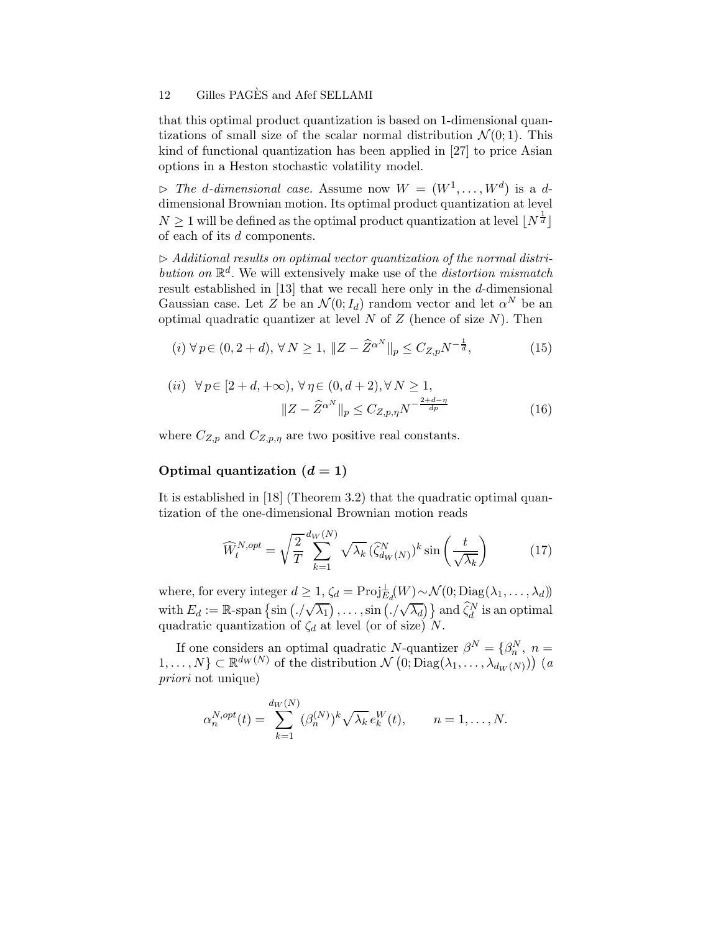that this optimal product quantization is based on 1-dimensional quantizations of small size of the scalar normal distribution  $\mathcal{N}(0; 1)$ . This kind of functional quantization has been applied in [27] to price Asian options in a Heston stochastic volatility model.

 $\triangleright$  The d-dimensional case. Assume now  $W = (W^1, \dots, W^d)$  is a ddimensional Brownian motion. Its optimal product quantization at level  $N\geq 1$  will be defined as the optimal product quantization at level  $\lfloor N^{\frac{1}{d}}\rfloor$ of each of its d components.

 $\triangleright$  Additional results on optimal vector quantization of the normal distribution on  $\mathbb{R}^d$ . We will extensively make use of the *distortion mismatch* result established in [13] that we recall here only in the  $d$ -dimensional Gaussian case. Let Z be an  $\mathcal{N}(0;I_d)$  random vector and let  $\alpha^N$  be an optimal quadratic quantizer at level  $N$  of  $Z$  (hence of size  $N$ ). Then

$$
(i) \ \forall \, p \in (0, 2+d), \ \forall \, N \ge 1, \ \|Z - \widehat{Z}^{\alpha^N}\|_p \le C_{Z, p} N^{-\frac{1}{d}}, \tag{15}
$$

(*ii*) 
$$
\forall p \in [2+d, +\infty), \forall \eta \in (0, d+2), \forall N \ge 1,
$$
  

$$
||Z - \hat{Z}^{\alpha^N}||_p \le C_{Z, p, \eta} N^{-\frac{2+d-\eta}{dp}}
$$
(16)

where  $C_{Z,p}$  and  $C_{Z,p,\eta}$  are two positive real constants.

### Optimal quantization  $(d = 1)$

It is established in [18] (Theorem 3.2) that the quadratic optimal quantization of the one-dimensional Brownian motion reads

$$
\widehat{W}_t^{N,opt} = \sqrt{\frac{2}{T}} \sum_{k=1}^{d_W(N)} \sqrt{\lambda_k} \left(\widehat{\zeta}_{d_W(N)}^N\right)^k \sin\left(\frac{t}{\sqrt{\lambda_k}}\right) \tag{17}
$$

where, for every integer  $d \geq 1$ ,  $\zeta_d = \text{Proj}_{E_d}(W) \sim \mathcal{N}(0; \text{Diag}(\lambda_1, \dots, \lambda_d))$ with  $E_d := \mathbb{R}$ -span  $\{\sin (\cdot/\sqrt{\lambda_1}), \ldots, \sin (\cdot/\sqrt{\lambda_d})\}$  and  $\widehat{\zeta}_d^N$  is an optimal quadratic quantization of  $\zeta_d$  at level (or of size) N.

If one considers an optimal quadratic N-quantizer  $\beta^N = {\beta_n^N, n =$  $1, \ldots, N$ }  $\subset \mathbb{R}^{d_W(N)}$  of the distribution  $\mathcal{N}\left(0; \text{Diag}(\lambda_1, \ldots, \lambda_{d_W(N)})\right)$  (a priori not unique)

$$
\alpha_n^{N,opt}(t) = \sum_{k=1}^{d_W(N)} (\beta_n^{(N)})^k \sqrt{\lambda_k} e_k^W(t), \qquad n = 1, \dots, N.
$$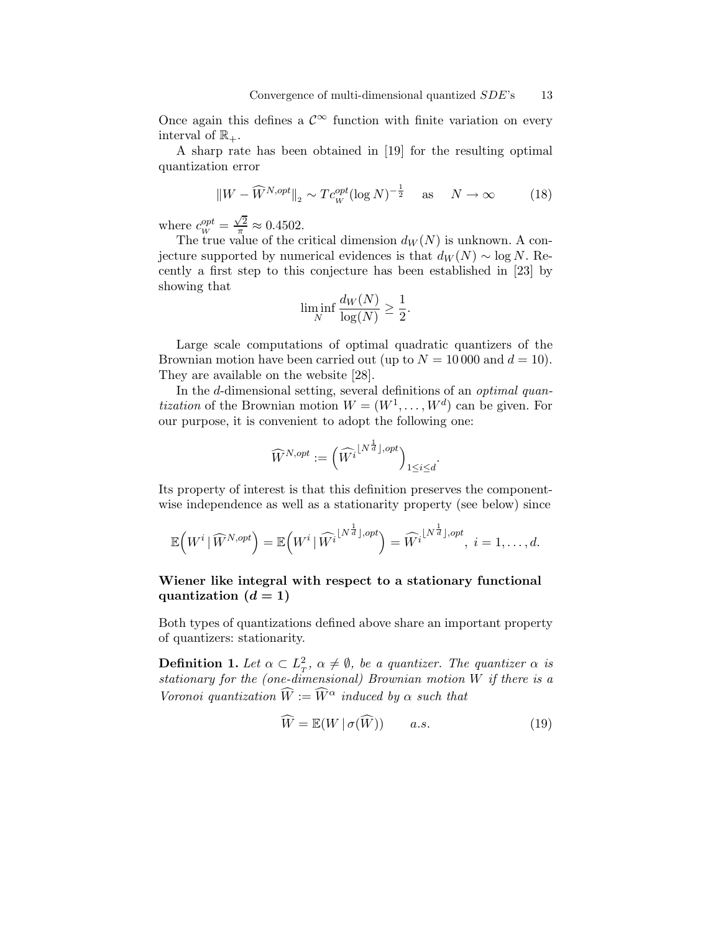Once again this defines a  $\mathcal{C}^{\infty}$  function with finite variation on every interval of  $\mathbb{R}_+$ .

A sharp rate has been obtained in [19] for the resulting optimal quantization error

$$
\|W - \widehat{W}^{N,opt}\|_2 \sim T c_W^{opt} (\log N)^{-\frac{1}{2}} \quad \text{as} \quad N \to \infty \tag{18}
$$

where  $c_W^{opt} = \frac{\sqrt{2}}{\pi} \approx 0.4502$ .

The true value of the critical dimension  $d_W(N)$  is unknown. A conjecture supported by numerical evidences is that  $d_W(N) \sim \log N$ . Recently a first step to this conjecture has been established in [23] by showing that

$$
\liminf_{N} \frac{d_W(N)}{\log(N)} \ge \frac{1}{2}.
$$

Large scale computations of optimal quadratic quantizers of the Brownian motion have been carried out (up to  $N = 10000$  and  $d = 10$ ). They are available on the website [28].

In the d-dimensional setting, several definitions of an *optimal quan*tization of the Brownian motion  $W = (W^1, \dots, W^d)$  can be given. For our purpose, it is convenient to adopt the following one:

$$
\widehat{W}^{N,opt}:=\left(\widehat{W^i}^{\left\lfloor N^{\frac{1}{d}}\right\rfloor,opt}\right)_{1\leq i\leq d}
$$

Its property of interest is that this definition preserves the componentwise independence as well as a stationarity property (see below) since

$$
\mathbb{E}\left(W^i \mid \widehat{W}^{N,opt}\right) = \mathbb{E}\left(W^i \mid \widehat{W}^{i\lfloor N^{\frac{1}{d}}\rfloor,opt}\right) = \widehat{W}^{i\lfloor N^{\frac{1}{d}}\rfloor,opt}, i = 1, \ldots, d.
$$

### Wiener like integral with respect to a stationary functional quantization  $(d = 1)$

Both types of quantizations defined above share an important property of quantizers: stationarity.

**Definition 1.** Let  $\alpha \subset L_T^2$ ,  $\alpha \neq \emptyset$ , be a quantizer. The quantizer  $\alpha$  is stationary for the (one-dimensional) Brownian motion W if there is a Voronoi quantization  $\widehat{W} := \widehat{W}^{\alpha}$  induced by  $\alpha$  such that

$$
\widehat{W} = \mathbb{E}(W \mid \sigma(\widehat{W})) \qquad a.s.
$$
\n(19)

.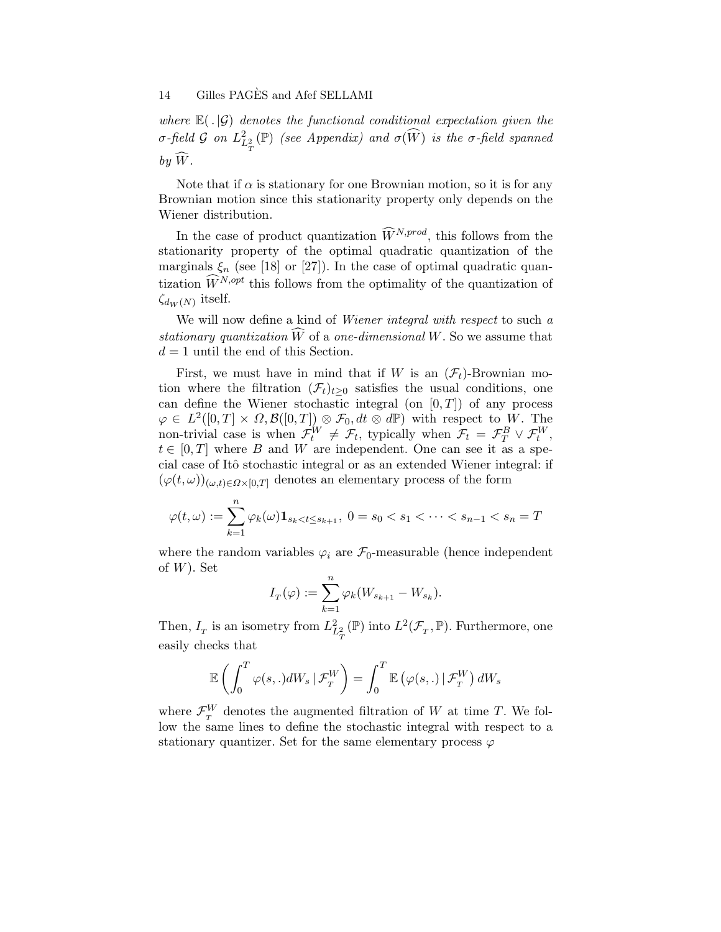where  $\mathbb{E}(.|\mathcal{G})$  denotes the functional conditional expectation given the σ-field G on  $L^2_{L^2_{\pi}}(\mathbb{P})$  (see Appendix) and  $\sigma(\widehat{W})$  is the σ-field spanned T by  $\hat{W}$ .

Note that if  $\alpha$  is stationary for one Brownian motion, so it is for any Brownian motion since this stationarity property only depends on the Wiener distribution.

In the case of product quantization  $\widehat{W}^{N,prod}$ , this follows from the stationarity property of the optimal quadratic quantization of the marginals  $\xi_n$  (see [18] or [27]). In the case of optimal quadratic quantization  $\widehat{W}^{N, opt}$  this follows from the optimality of the quantization of  $\zeta_{d_W(N)}$  itself.

We will now define a kind of *Wiener integral with respect* to such a stationary quantization  $\widehat{W}$  of a one-dimensional W. So we assume that  $d = 1$  until the end of this Section.

First, we must have in mind that if W is an  $(\mathcal{F}_t)$ -Brownian motion where the filtration  $(\mathcal{F}_t)_{t\geq 0}$  satisfies the usual conditions, one can define the Wiener stochastic integral (on  $[0, T]$ ) of any process  $\varphi \in L^2([0,T] \times \Omega, \mathcal{B}([0,T]) \otimes \mathcal{F}_0, dt \otimes d\mathbb{P})$  with respect to W. The non-trivial case is when  $\mathcal{F}_t^W \neq \mathcal{F}_t$ , typically when  $\mathcal{F}_t = \mathcal{F}_T^B \vee \mathcal{F}_t^W$ ,  $t \in [0, T]$  where B and W are independent. One can see it as a special case of Itô stochastic integral or as an extended Wiener integral: if  $(\varphi(t,\omega))_{(\omega,t)\in \Omega\times[0,T]}$  denotes an elementary process of the form

$$
\varphi(t,\omega) := \sum_{k=1}^{n} \varphi_k(\omega) \mathbf{1}_{s_k < t \le s_{k+1}}, \ 0 = s_0 < s_1 < \dots < s_{n-1} < s_n = T
$$

where the random variables  $\varphi_i$  are  $\mathcal{F}_0$ -measurable (hence independent of  $W$ ). Set

$$
I_{\scriptscriptstyle T}(\varphi):=\sum_{k=1}^n\varphi_k(W_{s_{k+1}}-W_{s_k}).
$$

Then,  $I_T$  is an isometry from  $L^2_{L^2_T}(\mathbb{P})$  into  $L^2(\mathcal{F}_T, \mathbb{P})$ . Furthermore, one easily checks that

$$
\mathbb{E}\left(\int_0^T \varphi(s,.) dW_s \,|\, \mathcal{F}^W_T\right) = \int_0^T \mathbb{E}\left(\varphi(s,.)\,|\, \mathcal{F}^W_T\right) dW_s
$$

where  $\mathcal{F}_{T}^{W}$  denotes the augmented filtration of W at time T. We follow the same lines to define the stochastic integral with respect to a stationary quantizer. Set for the same elementary process  $\varphi$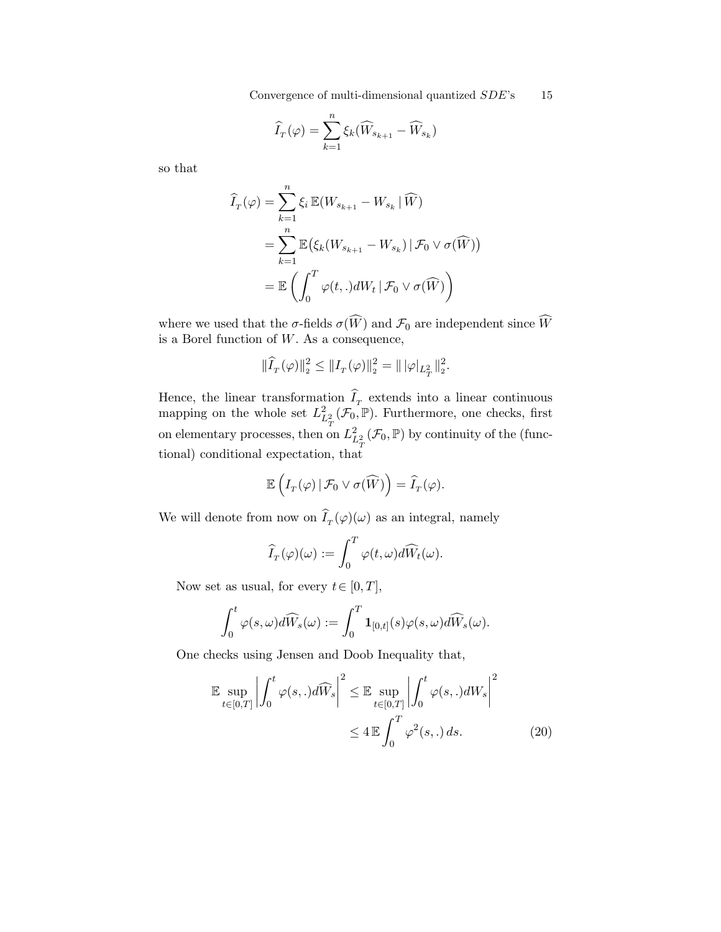Convergence of multi-dimensional quantized  $SDE$ 's 15

$$
\widehat{I}_{T}(\varphi) = \sum_{k=1}^{n} \xi_{k} (\widehat{W}_{s_{k+1}} - \widehat{W}_{s_{k}})
$$

so that

$$
\widehat{I}_{T}(\varphi) = \sum_{k=1}^{n} \xi_{i} \mathbb{E}(W_{s_{k+1}} - W_{s_{k}} | \widehat{W})
$$
\n
$$
= \sum_{k=1}^{n} \mathbb{E}(\xi_{k}(W_{s_{k+1}} - W_{s_{k}}) | \mathcal{F}_{0} \vee \sigma(\widehat{W}))
$$
\n
$$
= \mathbb{E}\left(\int_{0}^{T} \varphi(t,.) dW_{t} | \mathcal{F}_{0} \vee \sigma(\widehat{W})\right)
$$

where we used that the  $\sigma$ -fields  $\sigma(\widehat{W})$  and  $\mathcal{F}_0$  are independent since  $\widehat{W}$ is a Borel function of  $W$ . As a consequence,

$$
\|\widehat{I}_T(\varphi)\|_2^2 \le \|I_T(\varphi)\|_2^2 = \|\,|\varphi|_{L^2_T}\|_2^2.
$$

Hence, the linear transformation  $I_T$  extends into a linear continuous mapping on the whole set  $L^2_{L^2_T}(\mathcal{F}_0,\mathbb{P})$ . Furthermore, one checks, first on elementary processes, then on  $L^2_{L^2_T}(\mathcal{F}_0, \mathbb{P})$  by continuity of the (functional) conditional expectation, that

$$
\mathbb{E}\left(I_T(\varphi) \,|\, \mathcal{F}_0 \vee \sigma(\widehat{W})\right) = \widehat{I}_T(\varphi).
$$

We will denote from now on  $I_T(\varphi)(\omega)$  as an integral, namely

$$
\widehat{I}_T(\varphi)(\omega) := \int_0^T \varphi(t,\omega) d\widehat{W}_t(\omega).
$$

Now set as usual, for every  $t \in [0, T]$ ,

$$
\int_0^t \varphi(s,\omega) d\widehat{W}_s(\omega) := \int_0^T \mathbf{1}_{[0,t]}(s) \varphi(s,\omega) d\widehat{W}_s(\omega).
$$

One checks using Jensen and Doob Inequality that,

$$
\mathbb{E} \sup_{t \in [0,T]} \left| \int_0^t \varphi(s,.) d\widehat{W}_s \right|^2 \leq \mathbb{E} \sup_{t \in [0,T]} \left| \int_0^t \varphi(s,.) dW_s \right|^2
$$
  

$$
\leq 4 \mathbb{E} \int_0^T \varphi^2(s,.) ds.
$$
 (20)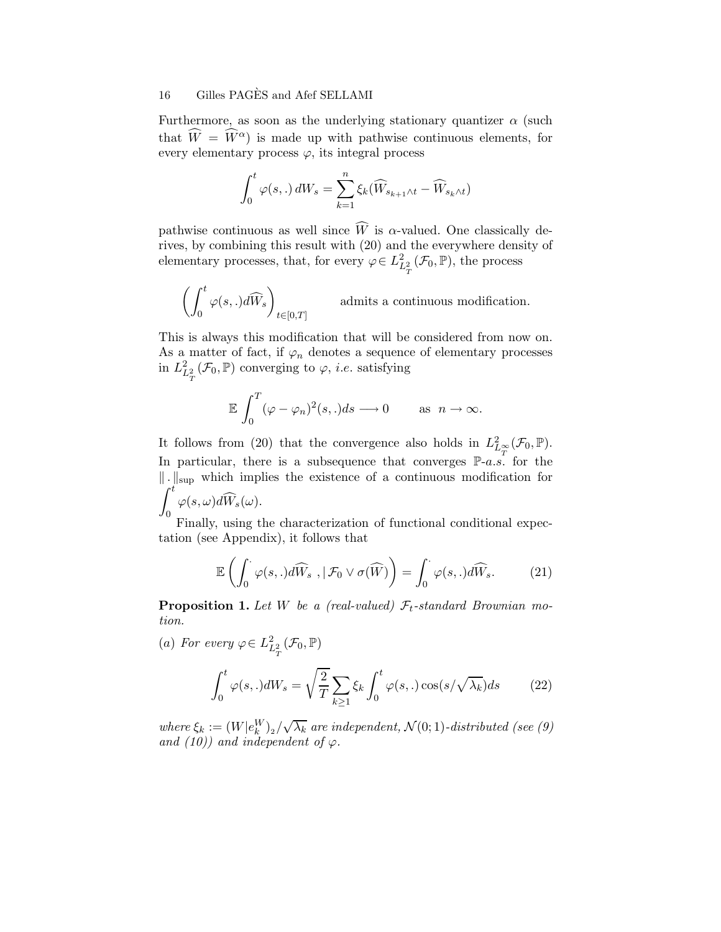Furthermore, as soon as the underlying stationary quantizer  $\alpha$  (such that  $\widehat{W} = \widehat{W}^{\alpha}$  is made up with pathwise continuous elements, for every elementary process  $\varphi$ , its integral process

$$
\int_0^t \varphi(s,.)\,dW_s = \sum_{k=1}^n \xi_k(\widehat{W}_{s_{k+1}\wedge t} - \widehat{W}_{s_k\wedge t})
$$

pathwise continuous as well since  $\widehat{W}$  is  $\alpha$ -valued. One classically derives, by combining this result with (20) and the everywhere density of elementary processes, that, for every  $\varphi \in L^2_{L^2_T}(\mathcal{F}_0, \mathbb{P})$ , the process

$$
\left(\int_0^t \varphi(s,.)d\widehat{W}_s\right)_{t\in[0,T]} \qquad\hbox{ admits a continuous modification.}
$$

This is always this modification that will be considered from now on. As a matter of fact, if  $\varphi_n$  denotes a sequence of elementary processes in  $L^2_{L^2_T}(\mathcal{F}_0, \mathbb{P})$  converging to  $\varphi$ , *i.e.* satisfying

$$
\mathbb{E}\int_0^T (\varphi - \varphi_n)^2(s,.)ds \longrightarrow 0 \quad \text{as } n \to \infty.
$$

It follows from (20) that the convergence also holds in  $L^2_{L^{\infty}_T}(\mathcal{F}_0,\mathbb{P})$ . In particular, there is a subsequence that converges  $\mathbb{P}\text{-}a.s.$  for the  $\|\cdot\|_{\text{sup}}$  which implies the existence of a continuous modification for  $\int_0^t$  $\varphi(s,\omega)dW_s(\omega).$ 

Finally, using the characterization of functional conditional expectation (see Appendix), it follows that

$$
\mathbb{E}\left(\int_0^{\cdot}\varphi(s,.)d\widehat{W}_s\ ,\,|\ \mathcal{F}_0\vee\sigma(\widehat{W})\right)=\int_0^{\cdot}\varphi(s,.)d\widehat{W}_s.\tag{21}
$$

**Proposition 1.** Let W be a (real-valued)  $\mathcal{F}_t$ -standard Brownian motion.

(a) For every  $\varphi \in L^2_{L^2_T}(\mathcal{F}_0, \mathbb{P})$ 

$$
\int_0^t \varphi(s,.)dW_s = \sqrt{\frac{2}{T}} \sum_{k \ge 1} \xi_k \int_0^t \varphi(s,.)\cos\left(\frac{s}{\sqrt{\lambda_k}}\right) ds \tag{22}
$$

where  $\xi_k := (W | e_k^W)_2 / \sqrt{\lambda_k}$  are independent,  $\mathcal{N}(0, 1)$ -distributed (see (9) and (10)) and independent of  $\varphi$ .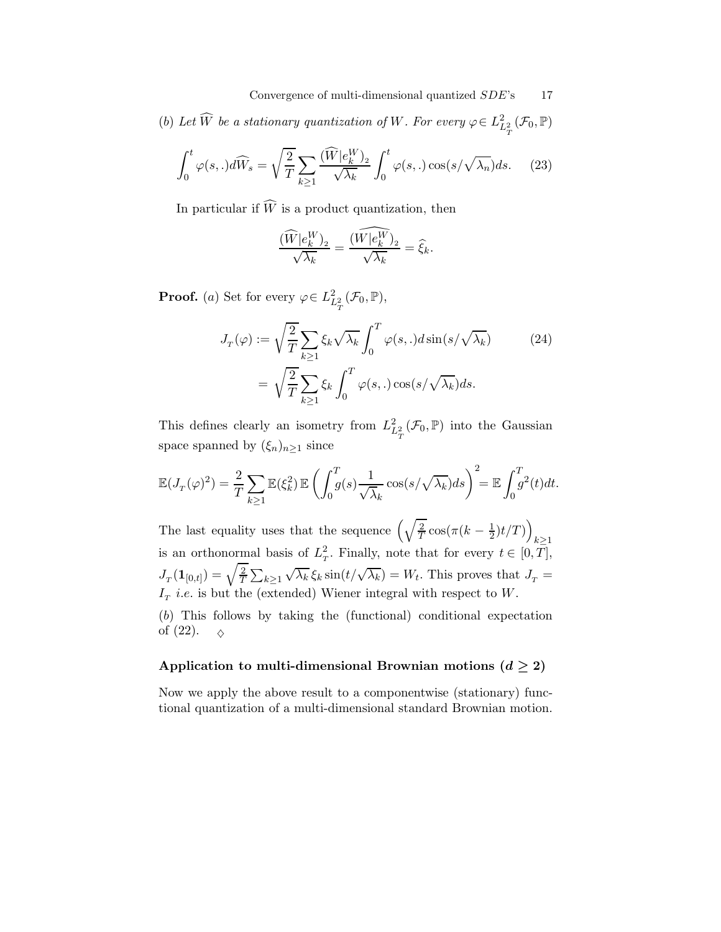Convergence of multi-dimensional quantized  $SDE$ 's 17

(b) Let  $\widetilde{W}$  be a stationary quantization of W. For every  $\varphi \in L^2_{L^2_T}(\mathcal{F}_0, \mathbb{P})$ 

$$
\int_0^t \varphi(s,.)d\widehat{W}_s = \sqrt{\frac{2}{T}} \sum_{k \ge 1} \frac{(\widehat{W}|e_k^W)_2}{\sqrt{\lambda_k}} \int_0^t \varphi(s,.)\cos\left(\frac{s}{\sqrt{\lambda_n}}\right)ds. \tag{23}
$$

In particular if  $\widehat{W}$  is a product quantization, then

$$
\frac{(\widehat{W}|e_k^W)_2}{\sqrt{\lambda_k}} = \frac{(\widehat{W|e_k^W})_2}{\sqrt{\lambda_k}} = \widehat{\xi}_k.
$$

**Proof.** (a) Set for every  $\varphi \in L^2_{L^2_T}(\mathcal{F}_0, \mathbb{P}),$ 

$$
J_T(\varphi) := \sqrt{\frac{2}{T}} \sum_{k \ge 1} \xi_k \sqrt{\lambda_k} \int_0^T \varphi(s,.) d\sin(s/\sqrt{\lambda_k})
$$
(24)  
= 
$$
\sqrt{\frac{2}{T}} \sum_{k \ge 1} \xi_k \int_0^T \varphi(s,.) \cos(s/\sqrt{\lambda_k}) ds.
$$

This defines clearly an isometry from  $L^2_{L^2_T}(\mathcal{F}_0,\mathbb{P})$  into the Gaussian space spanned by  $(\xi_n)_{n\geq 1}$  since

$$
\mathbb{E}(J_T(\varphi)^2) = \frac{2}{T} \sum_{k \ge 1} \mathbb{E}(\xi_k^2) \mathbb{E}\left(\int_0^T g(s) \frac{1}{\sqrt{\lambda_k}} \cos\left(\frac{s}{\sqrt{\lambda_k}}\right) ds\right)^2 = \mathbb{E} \int_0^T g^2(t) dt.
$$

The last equality uses that the sequence  $\left(\sqrt{\frac{2}{T}}\right)$  $\frac{2}{T}\cos(\pi(k-\frac{1}{2})t/T)\right)$  $\frac{k\geq 1}{2}$ is an orthonormal basis of  $L_T^2$ . Finally, note that for every  $t \in [0, T]$ ,  $J_T(\mathbf{1}_{[0,t]})=\sqrt{\frac{2}{T}}$  $\frac{2}{T}\sum_{k\geq 1}$  $\sqrt{\lambda_k} \xi_k \sin(t/\sqrt{\lambda_k}) = W_t$ . This proves that  $J_T =$  $I<sub>T</sub>$  *i.e.* is but the (extended) Wiener integral with respect to W.

(b) This follows by taking the (functional) conditional expectation of (22).  $\Diamond$ 

### Application to multi-dimensional Brownian motions  $(d \geq 2)$

Now we apply the above result to a componentwise (stationary) functional quantization of a multi-dimensional standard Brownian motion.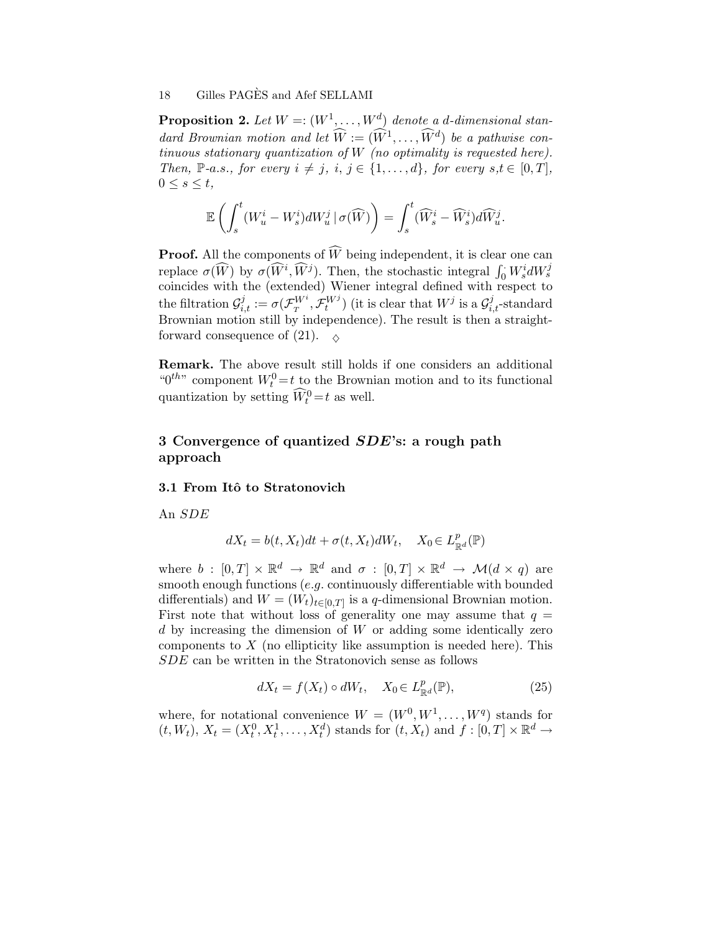**Proposition 2.** Let  $W = (W^1, \ldots, W^d)$  denote a d-dimensional standard Brownian motion and let  $\widehat{W} := (\widehat{W}^1, \ldots, \widehat{W}^d)$  be a pathwise continuous stationary quantization of W (no optimality is requested here). Then, P-a.s., for every  $i \neq j$ ,  $i, j \in \{1, \ldots, d\}$ , for every  $s, t \in [0, T]$ ,  $0 \leq s \leq t$ ,

$$
\mathbb{E}\left(\int_{s}^{t}(W_{u}^{i}-W_{s}^{i})dW_{u}^{j}\,|\,\sigma(\widehat{W})\right)=\int_{s}^{t}(\widehat{W}_{s}^{i}-\widehat{W}_{s}^{i})d\widehat{W}_{u}^{j}.
$$

**Proof.** All the components of  $\widehat{W}$  being independent, it is clear one can replace  $\sigma(\widehat{W})$  by  $\sigma(\widehat{W}^i, \widehat{W}^j)$ . Then, the stochastic integral  $\int_0^{\cdot} W^i_s dW^j_s$ coincides with the (extended) Wiener integral defined with respect to the filtration  $\mathcal{G}_{i,t}^j := \sigma(\mathcal{F}_T^{W^i}, \mathcal{F}_t^{W^j})$  (it is clear that  $W^j$  is a  $\mathcal{G}_{i,t}^j$ -standard Brownian motion still by independence). The result is then a straightforward consequence of (21).  $\sim$ 

Remark. The above result still holds if one considers an additional " $0^{th}$ " component  $W_t^0 = t$  to the Brownian motion and to its functional quantization by setting  $\widehat{W}_t^0 = t$  as well.

# 3 Convergence of quantized SDE's: a rough path approach

#### 3.1 From Itô to Stratonovich

An SDE

$$
dX_t = b(t, X_t)dt + \sigma(t, X_t)dW_t, \quad X_0 \in L^p_{\mathbb{R}^d}(\mathbb{P})
$$

where  $b : [0, T] \times \mathbb{R}^d \to \mathbb{R}^d$  and  $\sigma : [0, T] \times \mathbb{R}^d \to \mathcal{M}(d \times q)$  are smooth enough functions  $(e.g.$  continuously differentiable with bounded differentials) and  $W = (W_t)_{t \in [0,T]}$  is a q-dimensional Brownian motion. First note that without loss of generality one may assume that  $q =$ d by increasing the dimension of W or adding some identically zero components to  $X$  (no ellipticity like assumption is needed here). This SDE can be written in the Stratonovich sense as follows

$$
dX_t = f(X_t) \circ dW_t, \quad X_0 \in L^p_{\mathbb{R}^d}(\mathbb{P}), \tag{25}
$$

where, for notational convenience  $W = (W^0, W^1, \ldots, W^q)$  stands for  $(t, W_t)$ ,  $X_t = (X_t^0, X_t^1, \dots, X_t^d)$  stands for  $(t, X_t)$  and  $f : [0, T] \times \mathbb{R}^d \to$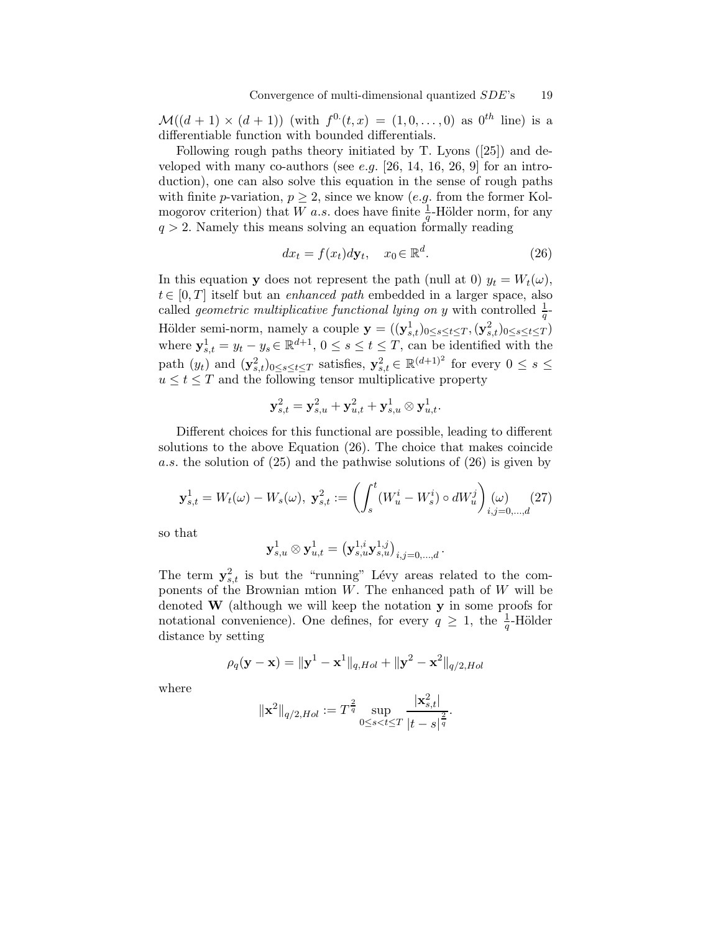$\mathcal{M}((d+1) \times (d+1))$  (with  $f^{0}(t,x) = (1,0,\ldots,0)$  as  $0^{th}$  line) is a differentiable function with bounded differentials.

Following rough paths theory initiated by T. Lyons ([25]) and developed with many co-authors (see e.g.  $[26, 14, 16, 26, 9]$  for an introduction), one can also solve this equation in the sense of rough paths with finite p-variation,  $p \geq 2$ , since we know (e.g. from the former Kolmogorov criterion) that W a.s. does have finite  $\frac{1}{q}$ -Hölder norm, for any  $q > 2$ . Namely this means solving an equation formally reading

$$
dx_t = f(x_t)dy_t, \quad x_0 \in \mathbb{R}^d.
$$
 (26)

In this equation y does not represent the path (null at 0)  $y_t = W_t(\omega)$ ,  $t \in [0, T]$  itself but an *enhanced path* embedded in a larger space, also called *geometric multiplicative functional lying on y* with controlled  $\frac{1}{q}$ -Hölder semi-norm, namely a couple  $\mathbf{y} = ((\mathbf{y}_{s,t}^1)_{0 \leq s \leq t \leq T}, (\mathbf{y}_{s,t}^2)_{0 \leq s \leq t \leq T})$ where  $y_{s,t}^1 = y_t - y_s \in \mathbb{R}^{d+1}$ ,  $0 \le s \le t \le T$ , can be identified with the path  $(y_t)$  and  $(\mathbf{y}_{s,t}^2)_{0 \le s \le t \le T}$  satisfies,  $\mathbf{y}_{s,t}^2 \in \mathbb{R}^{(d+1)^2}$  for every  $0 \le s \le$  $u\leq t\leq T$  and the following tensor multiplicative property

$$
\mathbf{y}_{s,t}^2 = \mathbf{y}_{s,u}^2 + \mathbf{y}_{u,t}^2 + \mathbf{y}_{s,u}^1 \otimes \mathbf{y}_{u,t}^1.
$$

Different choices for this functional are possible, leading to different solutions to the above Equation (26). The choice that makes coincide a.s. the solution of (25) and the pathwise solutions of (26) is given by

$$
\mathbf{y}_{s,t}^1 = W_t(\omega) - W_s(\omega), \ \mathbf{y}_{s,t}^2 := \left( \int_s^t (W_u^i - W_s^i) \circ dW_u^j \right)_{i,j=0,\dots,d} (\text{(27)}
$$

so that

$$
\mathbf{y}_{s,u}^1 \otimes \mathbf{y}_{u,t}^1 = \big(\mathbf{y}_{s,u}^{1,i} \mathbf{y}_{s,u}^{1,j} \big)_{i,j = 0,...,d} \, .
$$

The term  $y_{s,t}^2$  is but the "running" Lévy areas related to the components of the Brownian mtion  $W$ . The enhanced path of  $W$  will be denoted W (although we will keep the notation y in some proofs for notational convenience). One defines, for every  $q \geq 1$ , the  $\frac{1}{q}$ -Hölder distance by setting

$$
\rho_q(\mathbf{y} - \mathbf{x}) = ||\mathbf{y}^1 - \mathbf{x}^1||_{q,Hol} + ||\mathbf{y}^2 - \mathbf{x}^2||_{q/2,Hol}
$$

where

$$
\|\mathbf{x}^{2}\|_{q/2,Hol} := T^{\frac{2}{q}} \sup_{0 \leq s < t \leq T} \frac{|\mathbf{x}_{s,t}^{2}|}{|t-s|^{\frac{2}{q}}}.
$$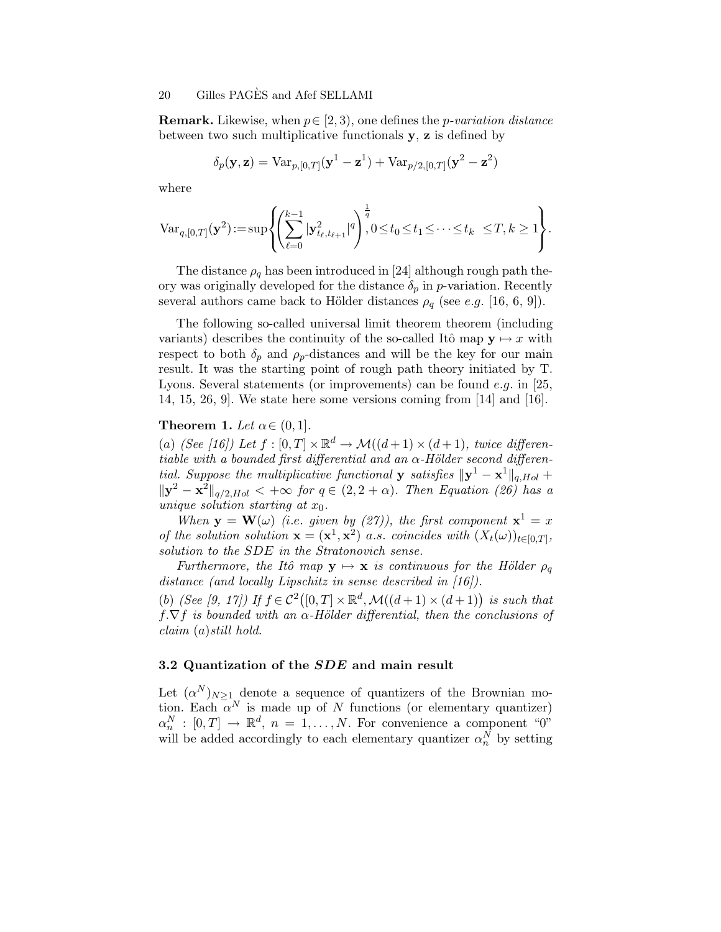**Remark.** Likewise, when  $p \in [2, 3)$ , one defines the *p*-variation distance between two such multiplicative functionals  $\mathbf{y}, \mathbf{z}$  is defined by

$$
\delta_p(\mathbf{y}, \mathbf{z}) = \text{Var}_{p, [0,T]}(\mathbf{y}^1 - \mathbf{z}^1) + \text{Var}_{p/2, [0,T]}(\mathbf{y}^2 - \mathbf{z}^2)
$$

where

$$
\text{Var}_{q,[0,T]}(\mathbf{y}^2) \! := \! \sup \! \left\{ \! \left( \! \sum_{\ell=0}^{k-1} |\mathbf{y}^2_{t_\ell,t_{\ell+1}}|^q \! \right)^{\frac{1}{q}} \!\!\!, 0 \!\leq\! t_0 \!\leq\! t_1 \!\leq\! \cdots \!\leq\! t_k \ \leq \! T, k \geq 1 \! \right\} \! .
$$

The distance  $\rho_q$  has been introduced in [24] although rough path theory was originally developed for the distance  $\delta_p$  in p-variation. Recently several authors came back to Hölder distances  $\rho_q$  (see e.g. [16, 6, 9]).

The following so-called universal limit theorem theorem (including variants) describes the continuity of the so-called Itô map  $y \mapsto x$  with respect to both  $\delta_p$  and  $\rho_p$ -distances and will be the key for our main result. It was the starting point of rough path theory initiated by T. Lyons. Several statements (or improvements) can be found  $e.g.$  in  $|25,$ 14, 15, 26, 9]. We state here some versions coming from [14] and [16].

### **Theorem 1.** Let  $\alpha \in (0,1]$ .

(a) (See [16]) Let  $f : [0, T] \times \mathbb{R}^d \to \mathcal{M}((d+1) \times (d+1))$ , twice differentiable with a bounded first differential and an  $\alpha$ -Hölder second differential. Suppose the multiplicative functional **y** satisfies  $\|\mathbf{y}^1 - \mathbf{x}^1\|_{q,Hol} +$  $\|\mathbf{y}^2 - \mathbf{x}^2\|_{q/2,Hol} < +\infty$  for  $q \in (2, 2 + \alpha)$ . Then Equation (26) has a unique solution starting at  $x_0$ .

When  $y = W(\omega)$  (i.e. given by (27)), the first component  $x^1 = x$ of the solution solution  $\mathbf{x} = (\mathbf{x}^1, \mathbf{x}^2)$  a.s. coincides with  $(X_t(\omega))_{t \in [0,T]},$ solution to the SDE in the Stratonovich sense.

Furthermore, the Itô map  $y \mapsto x$  is continuous for the Hölder  $\rho_q$ distance (and locally Lipschitz in sense described in [16]). (b) (See [9, 17]) If  $f \in C^2([0,T] \times \mathbb{R}^d, \mathcal{M}((d+1) \times (d+1))$  is such that  $f.\nabla f$  is bounded with an  $\alpha$ -Hölder differential, then the conclusions of claim (a)still hold.

#### 3.2 Quantization of the SDE and main result

Let  $(\alpha^N)_{N\geq 1}$  denote a sequence of quantizers of the Brownian motion. Each  $\alpha^N$  is made up of N functions (or elementary quantizer)  $\alpha_n^N : [0, T] \to \mathbb{R}^d$ ,  $n = 1, ..., N$ . For convenience a component "0" will be added accordingly to each elementary quantizer  $\alpha_n^N$  by setting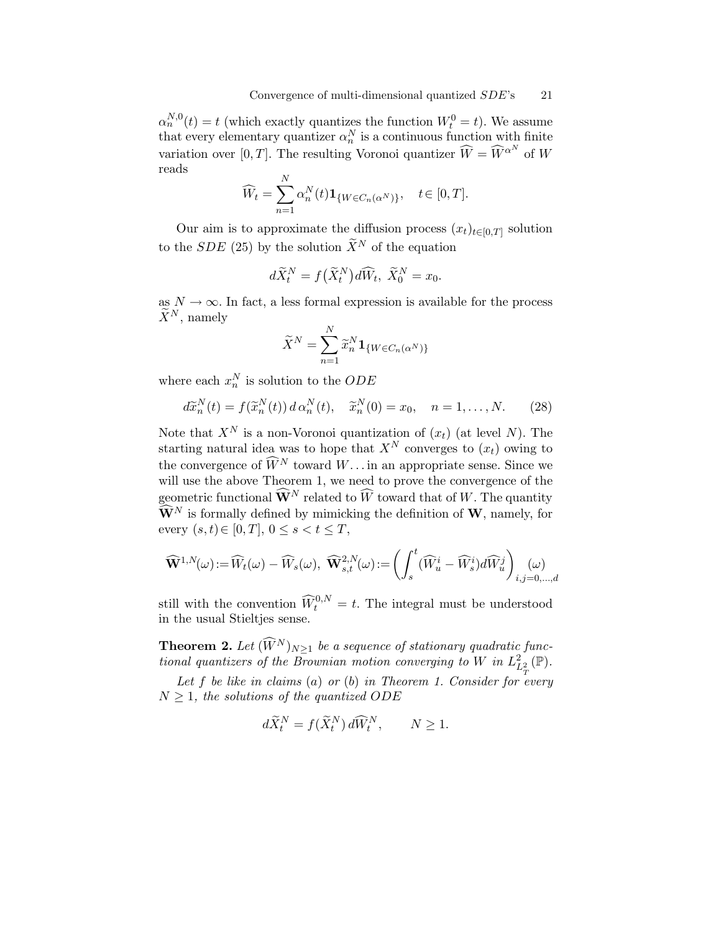$\alpha_n^{N,0}(t) = t$  (which exactly quantizes the function  $W_t^0 = t$ ). We assume that every elementary quantizer  $\alpha_n^N$  is a continuous function with finite variation over [0, T]. The resulting Voronoi quantizer  $\widehat{W} = \widehat{W}^{\alpha^N}$  of W reads

$$
\widehat{W}_t = \sum_{n=1}^N \alpha_n^N(t) \mathbf{1}_{\{W \in C_n(\alpha^N)\}}, \quad t \in [0, T].
$$

Our aim is to approximate the diffusion process  $(x_t)_{t\in[0,T]}$  solution to the SDE (25) by the solution  $\widetilde{X}^N$  of the equation

$$
d\widetilde{X}_t^N = f(\widetilde{X}_t^N)d\widehat{W}_t, \ \widetilde{X}_0^N = x_0.
$$

as  $N \to \infty$ . In fact, a less formal expression is available for the process  $\widetilde{X}^N$ , namely

$$
\widetilde{X}^N = \sum_{n=1}^N \widetilde{x}_n^N \mathbf{1}_{\{W \in C_n(\alpha^N)\}}
$$

where each  $x_n^N$  is solution to the  $ODE$ 

$$
d\widetilde{x}_n^N(t) = f(\widetilde{x}_n^N(t)) d\alpha_n^N(t), \quad \widetilde{x}_n^N(0) = x_0, \quad n = 1, \dots, N. \tag{28}
$$

Note that  $X^N$  is a non-Voronoi quantization of  $(x_t)$  (at level N). The starting natural idea was to hope that  $X^N$  converges to  $(x_t)$  owing to the convergence of  $\widehat{W}^{N}$  toward  $W\dots$  in an appropriate sense. Since we will use the above Theorem 1, we need to prove the convergence of the geometric functional  $\widehat{\mathbf{W}}^{N}$  related to  $\widehat{W}$  toward that of W. The quantity  $\widehat{\mathbf{W}}^{N}$  is formally defined by mimicking the definition of **W**, namely, for every  $(s,t) \in [0,T]$ ,  $0 \leq s < t \leq T$ ,

$$
\widehat{\mathbf{W}}^{1,N}(\omega) := \widehat{W}_t(\omega) - \widehat{W}_s(\omega), \ \widehat{\mathbf{W}}^{2,N}_{s,t}(\omega) := \left( \int_s^t (\widehat{W}_u^i - \widehat{W}_s^i) d\widehat{W}_u^j \right)_{i,j=0,\dots,d}
$$

still with the convention  $\widehat{W}_t^{0,N} = t$ . The integral must be understood in the usual Stieltjes sense.

**Theorem 2.** Let  $(\widehat{W}^{N})_{N>1}$  be a sequence of stationary quadratic functional quantizers of the Brownian motion converging to W in  $L^2_{L^2_{\pi}}(\mathbb{P}).$ 

Let f be like in claims (a) or (b) in Theorem 1. Consider for every  $N > 1$ , the solutions of the quantized ODE

$$
d\widetilde{X}_t^N = f(\widetilde{X}_t^N) d\widehat{W}_t^N, \qquad N \ge 1.
$$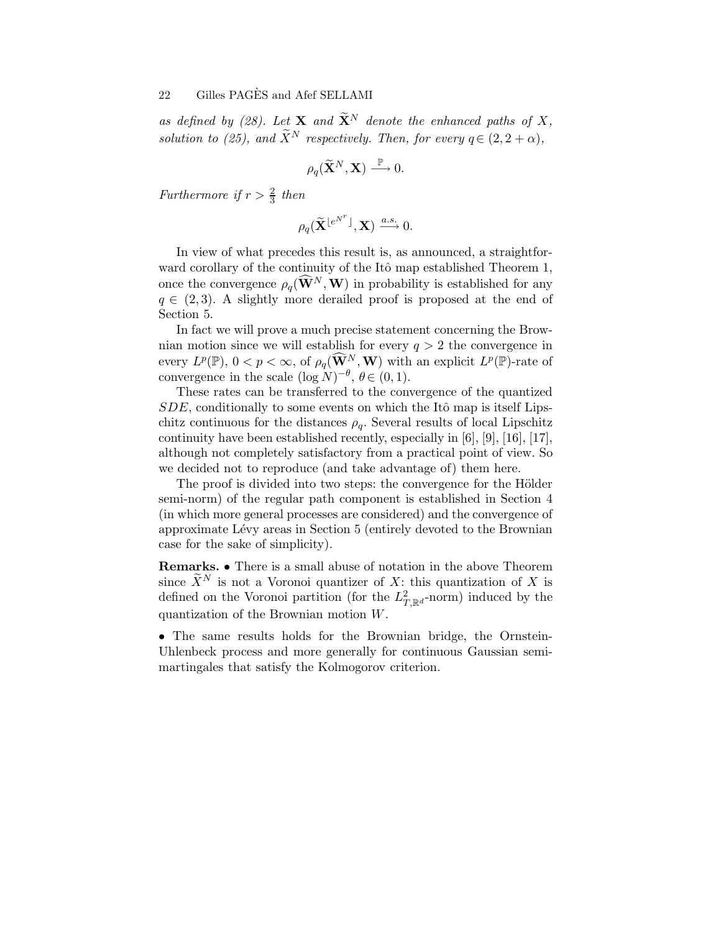as defined by (28). Let **X** and  $\widetilde{\mathbf{X}}^{N}$  denote the enhanced paths of X, solution to (25), and  $\widetilde{X}^N$  respectively. Then, for every  $q \in (2, 2 + \alpha)$ ,

$$
\rho_q(\widetilde{\mathbf{X}}^N,\mathbf{X})\stackrel{\mathbb{P}}{\longrightarrow}0.
$$

Furthermore if  $r > \frac{2}{3}$  then

$$
\rho_q(\widetilde{\mathbf{X}}^{\lfloor e^{N^r} \rfloor}, \mathbf{X}) \xrightarrow{a.s.} 0.
$$

In view of what precedes this result is, as announced, a straightforward corollary of the continuity of the Itô map established Theorem 1, once the convergence  $\rho_q(\widehat{\mathbf{W}}^N, \mathbf{W})$  in probability is established for any  $q \in (2, 3)$ . A slightly more derailed proof is proposed at the end of Section 5.

In fact we will prove a much precise statement concerning the Brownian motion since we will establish for every  $q > 2$  the convergence in every  $L^p(\mathbb{P}), 0 < p < \infty$ , of  $\rho_q(\widetilde{\mathbf{W}}^N, \mathbf{W})$  with an explicit  $L^p(\mathbb{P})$ -rate of convergence in the scale  $(\log N)^{-\theta}$ ,  $\theta \in (0, 1)$ .

These rates can be transferred to the convergence of the quantized  $SDE$ , conditionally to some events on which the Itô map is itself Lipschitz continuous for the distances  $\rho_q$ . Several results of local Lipschitz continuity have been established recently, especially in [6], [9], [16], [17], although not completely satisfactory from a practical point of view. So we decided not to reproduce (and take advantage of) them here.

The proof is divided into two steps: the convergence for the Hölder semi-norm) of the regular path component is established in Section 4 (in which more general processes are considered) and the convergence of approximate Lévy areas in Section 5 (entirely devoted to the Brownian case for the sake of simplicity).

Remarks. • There is a small abuse of notation in the above Theorem since  $\widetilde{X}^N$  is not a Voronoi quantizer of X: this quantization of X is defined on the Voronoi partition (for the  $L_{T,\mathbb{R}^d}^2$ -norm) induced by the quantization of the Brownian motion W.

• The same results holds for the Brownian bridge, the Ornstein-Uhlenbeck process and more generally for continuous Gaussian semimartingales that satisfy the Kolmogorov criterion.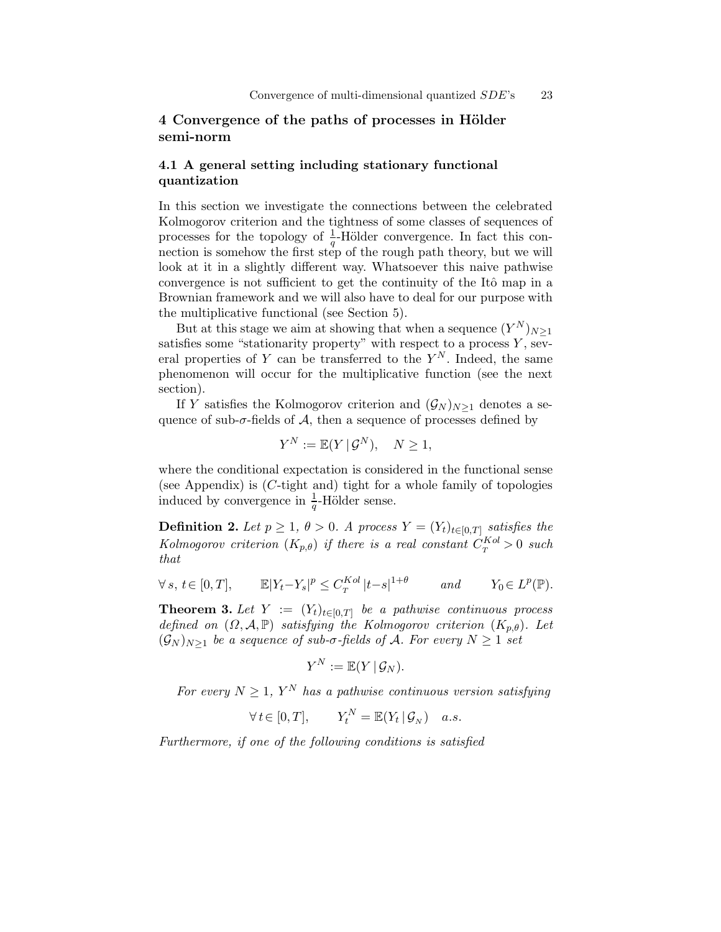## 4 Convergence of the paths of processes in Hölder semi-norm

### 4.1 A general setting including stationary functional quantization

In this section we investigate the connections between the celebrated Kolmogorov criterion and the tightness of some classes of sequences of processes for the topology of  $\frac{1}{q}$ -Hölder convergence. In fact this connection is somehow the first step of the rough path theory, but we will look at it in a slightly different way. Whatsoever this naive pathwise convergence is not sufficient to get the continuity of the Itô map in a Brownian framework and we will also have to deal for our purpose with the multiplicative functional (see Section 5).

But at this stage we aim at showing that when a sequence  $(Y^N)_{N\geq 1}$ satisfies some "stationarity property" with respect to a process  $\overline{Y}$ , several properties of Y can be transferred to the  $Y^N$ . Indeed, the same phenomenon will occur for the multiplicative function (see the next section).

If Y satisfies the Kolmogorov criterion and  $(\mathcal{G}_N)_{N\geq 1}$  denotes a sequence of sub- $\sigma$ -fields of A, then a sequence of processes defined by

$$
Y^N := \mathbb{E}(Y | \mathcal{G}^N), \quad N \ge 1,
$$

where the conditional expectation is considered in the functional sense (see Appendix) is  $(C$ -tight and) tight for a whole family of topologies induced by convergence in  $\frac{1}{q}$ -Hölder sense.

**Definition 2.** Let  $p \geq 1$ ,  $\theta > 0$ . A process  $Y = (Y_t)_{t \in [0,T]}$  satisfies the Kolmogorov criterion  $(K_{p,\theta})$  if there is a real constant  $C_T^{Kol} > 0$  such that

$$
\forall s, t \in [0, T], \qquad \mathbb{E}|Y_t - Y_s|^p \le C_T^{Kol} |t - s|^{1 + \theta} \qquad and \qquad Y_0 \in L^p(\mathbb{P}).
$$

**Theorem 3.** Let  $Y := (Y_t)_{t \in [0,T]}$  be a pathwise continuous process defined on  $(\Omega, \mathcal{A}, \mathbb{P})$  satisfying the Kolmogorov criterion  $(K_{p,\theta})$ . Let  $(\mathcal{G}_N)_{N>1}$  be a sequence of sub- $\sigma$ -fields of A. For every  $N \geq 1$  set

$$
Y^N:=\mathbb{E}(Y\,|\,\mathcal{G}_N).
$$

For every  $N \geq 1$ ,  $Y^N$  has a pathwise continuous version satisfying

$$
\forall t \in [0, T], \qquad Y_t^N = \mathbb{E}(Y_t | \mathcal{G}_N) \quad a.s.
$$

Furthermore, if one of the following conditions is satisfied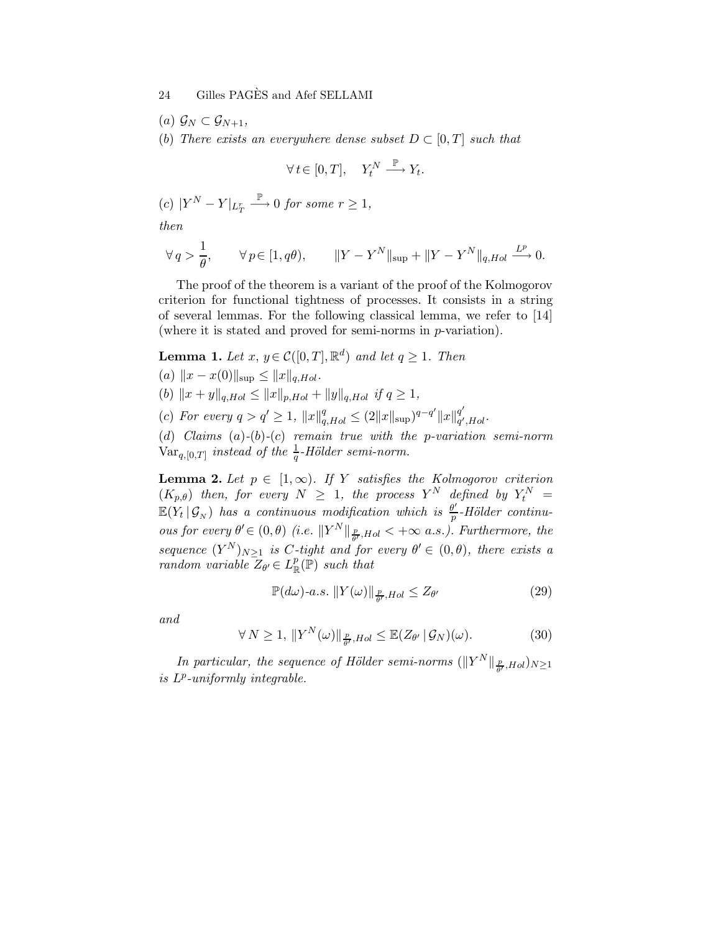- (a)  $\mathcal{G}_N \subset \mathcal{G}_{N+1}$ ,
- (b) There exists an everywhere dense subset  $D \subset [0, T]$  such that

$$
\forall t \in [0, T], \quad Y_t^N \xrightarrow{\mathbb{P}} Y_t.
$$

 $(c)$   $|Y^N - Y|_{L^r_T}$  $\stackrel{\mathbb{P}}{\longrightarrow} 0$  for some  $r \geq 1$ ,

then

$$
\forall q > \frac{1}{\theta}, \qquad \forall p \in [1, q\theta), \qquad ||Y - Y^N||_{\sup} + ||Y - Y^N||_{q, Hol} \xrightarrow{L^p} 0.
$$

The proof of the theorem is a variant of the proof of the Kolmogorov criterion for functional tightness of processes. It consists in a string of several lemmas. For the following classical lemma, we refer to [14] (where it is stated and proved for semi-norms in p-variation).

**Lemma 1.** Let  $x, y \in C([0, T], \mathbb{R}^d)$  and let  $q \ge 1$ . Then

(a) 
$$
||x - x(0)||_{\text{sup}} \le ||x||_{q,Hol}
$$
.

- (b)  $||x + y||_{q,Hol} \leq ||x||_{p,Hol} + ||y||_{q,Hol}$  if  $q \geq 1$ ,
- (c) For every  $q > q' \ge 1$ ,  $||x||_{q,Hol}^q \le (2||x||_{\text{sup}})^{q-q'}||x||_{q'}^{q'}$ q<br>q′,Hol

(d) Claims  $(a)-(b)-(c)$  remain true with the p-variation semi-norm  $\text{Var}_{q,[0,T]}$  instead of the  $\frac{1}{q}$ -Hölder semi-norm.

**Lemma 2.** Let  $p \in [1,\infty)$ . If Y satisfies the Kolmogorov criterion  $(K_{p,\theta})$  then, for every  $N \geq 1$ , the process  $Y^N$  defined by  $Y_t^N =$  $\mathbb{E}(Y_t | \mathcal{G}_N)$  has a continuous modification which is  $\frac{\theta'}{p}$  $\frac{dy}{p}$ -Hölder continuous for every  $\theta' \in (0, \theta)$  (i.e.  $||Y^N||_{\frac{p}{\theta'}, Hol} < +\infty$  a.s.). Furthermore, the sequence  $(Y^N)_{N\geq 1}$  is C-tight and for every  $\theta' \in (0,\theta)$ , there exists a random variable  $Z_{\theta} \in L^p_{\mathbb{R}}(\mathbb{P})$  such that

$$
\mathbb{P}(d\omega)\text{-}a.s. \, \|Y(\omega)\|_{\frac{p}{\theta'}, Hol} \le Z_{\theta'} \tag{29}
$$

and

$$
\forall N \ge 1, \, \|Y^N(\omega)\|_{\frac{p}{\theta'}, Hol} \le \mathbb{E}(Z_{\theta'} | \mathcal{G}_N)(\omega). \tag{30}
$$

In particular, the sequence of Hölder semi-norms  $(\|Y^N\|_{\frac{p}{\theta'}, Hol})_{N\geq 1}$ is  $L^p$ -uniformly integrable.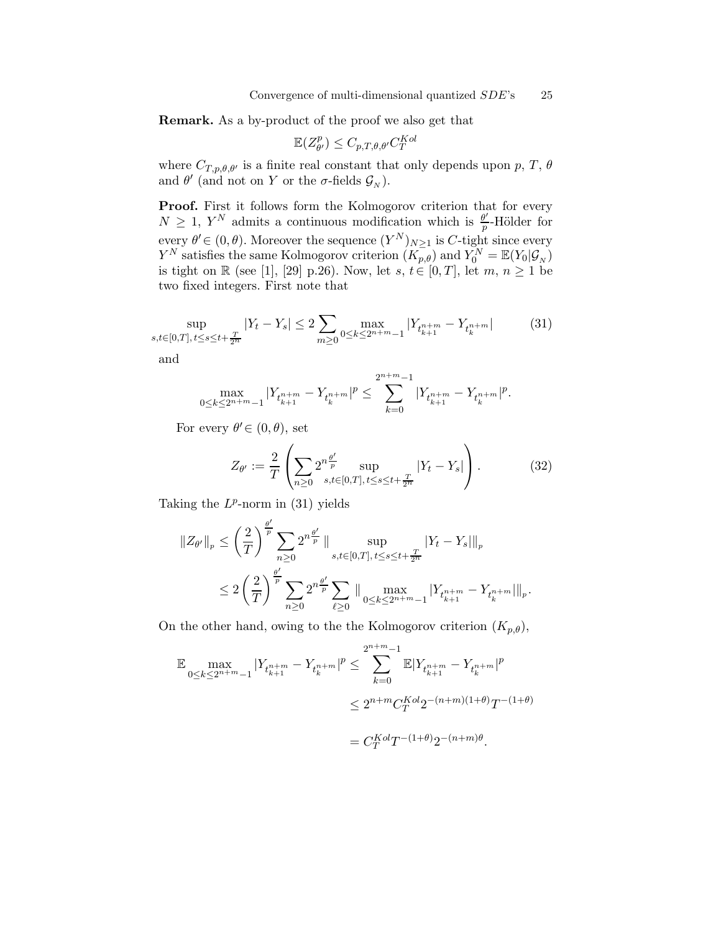Remark. As a by-product of the proof we also get that

$$
\mathbb{E}(Z_{\theta'}^p) \leq C_{p,T,\theta,\theta'} C_T^{Kol}
$$

where  $C_{T,p,\theta,\theta'}$  is a finite real constant that only depends upon p, T,  $\theta$ and  $\theta'$  (and not on Y or the  $\sigma$ -fields  $\mathcal{G}_N$ ).

Proof. First it follows form the Kolmogorov criterion that for every  $N \geq 1$ ,  $Y^N$  admits a continuous modification which is  $\frac{\theta'}{p}$  $\frac{p}{p}$ -Hölder for every  $\theta' \in (0, \theta)$ . Moreover the sequence  $(Y^N)_{N \geq 1}$  is C-tight since every  $Y^N$  satisfies the same Kolmogorov criterion  $(K_{p,\theta})$  and  $Y_0^N = \mathbb{E}(Y_0 | \mathcal{G}_N)$ is tight on R (see [1], [29] p.26). Now, let  $s, t \in [0, T]$ , let  $m, n \ge 1$  be two fixed integers. First note that

$$
\sup_{s,t \in [0,T], t \le s \le t + \frac{T}{2^n}} |Y_t - Y_s| \le 2 \sum_{m \ge 0} \max_{0 \le k \le 2^{n+m}-1} |Y_{t_{k+1}^{n+m}} - Y_{t_k^{n+m}}| \tag{31}
$$

and

$$
\max_{0\leq k\leq 2^{n+m}-1}|Y_{t_{k+1}^{n+m}}-Y_{t_{k}^{n+m}}|^p\leq \sum_{k=0}^{2^{n+m}-1}|Y_{t_{k+1}^{n+m}}-Y_{t_{k}^{n+m}}|^p.
$$

For every  $\theta' \in (0, \theta)$ , set

$$
Z_{\theta'} := \frac{2}{T} \left( \sum_{n \ge 0} 2^{n \frac{\theta'}{p}} \sup_{s, t \in [0, T], t \le s \le t + \frac{T}{2^n}} |Y_t - Y_s| \right).
$$
 (32)

Taking the  $L^p$ -norm in (31) yields

′

$$
||Z_{\theta'}||_p \leq \left(\frac{2}{T}\right)^{\frac{\theta'}{p}} \sum_{n\geq 0} 2^{n\frac{\theta'}{p}} \, || \sup_{s,t \in [0,T], \, t \leq s \leq t + \frac{T}{2^n}} |Y_t - Y_s||_p
$$
  

$$
\leq 2 \left(\frac{2}{T}\right)^{\frac{\theta'}{p}} \sum_{n\geq 0} 2^{n\frac{\theta'}{p}} \sum_{\ell \geq 0} || \max_{0 \leq k \leq 2^{n+m}-1} |Y_{t_{k+1}^{n+m}} - Y_{t_k^{n+m}}||_p.
$$

On the other hand, owing to the the Kolmogorov criterion  $(K_{p,\theta})$ ,

$$
\begin{aligned} \mathbb{E} \max_{0 \leq k \leq 2^{n+m}-1} |Y_{t_{k+1}^{n+m}} - Y_{t_{k}^{n+m}}|^p &\leq \sum_{k=0}^{2^{n+m}-1} \mathbb{E} |Y_{t_{k+1}^{n+m}} - Y_{t_{k}^{n+m}}|^p \\ &\leq 2^{n+m} C_T^{Kol} 2^{-(n+m)(1+\theta)} T^{-(1+\theta)} \\ &= C_T^{Kol} T^{-(1+\theta)} 2^{-(n+m)\theta}. \end{aligned}
$$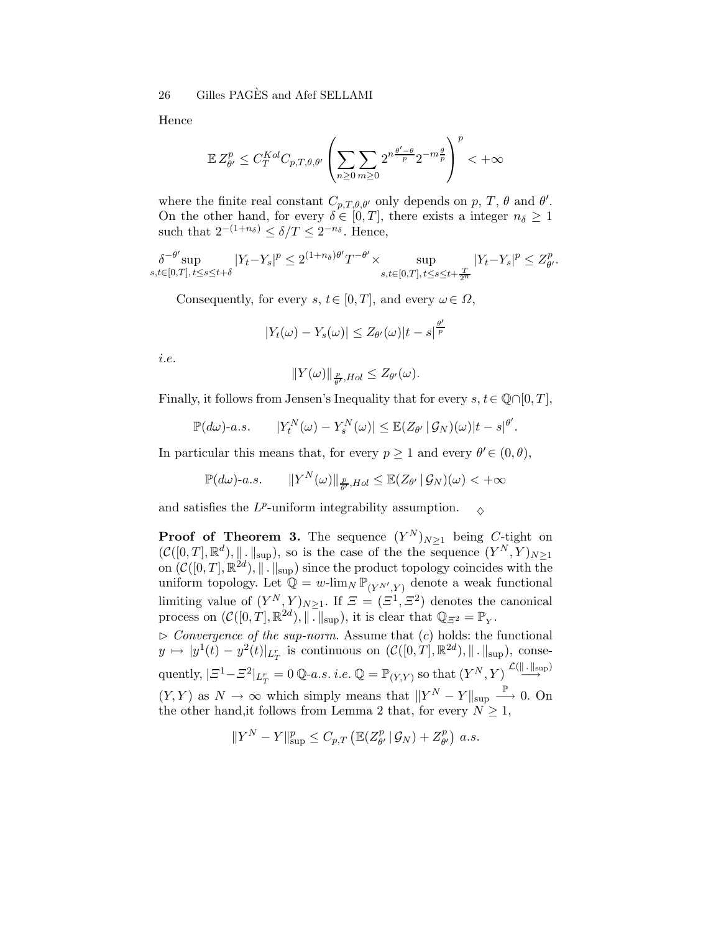Hence

$$
\mathbb{E}\,Z_{\theta'}^p \leq C_T^{Kol}C_{p,T,\theta,\theta'}\left(\sum_{n\geq 0}\sum_{m\geq 0}2^{n\frac{\theta'-\theta}{p}}2^{-m\frac{\theta}{p}}\right)^p<+\infty
$$

where the finite real constant  $C_{p,T,\theta,\theta'}$  only depends on p, T,  $\theta$  and  $\theta'$ . On the other hand, for every  $\delta \in [0, T]$ , there exists a integer  $n_{\delta} \geq 1$ such that  $2^{-(1+n_\delta)} \leq \delta/T \leq 2^{-n_\delta}$ . Hence,

$$
\delta^{-\theta'}\!\sup_{s,t\in[0,T],\,t\leq s\leq t+\delta}|Y_t-Y_s|^p\leq 2^{(1+n_\delta)\theta'}T^{-\theta'}\times\sup_{s,t\in[0,T],\,t\leq s\leq t+\frac{T}{2^n}}|Y_t-Y_s|^p\leq Z_{\theta'}^p.
$$

Consequently, for every  $s, t \in [0, T]$ , and every  $\omega \in \Omega$ ,

$$
|Y_t(\omega) - Y_s(\omega)| \leq Z_{\theta'}(\omega)|t - s|^{\frac{\theta'}{p}}
$$

i.e.

$$
||Y(\omega)||_{\frac{p}{\theta'}, Hol} \leq Z_{\theta'}(\omega).
$$

Finally, it follows from Jensen's Inequality that for every  $s, t \in \mathbb{Q} \cap [0, T]$ ,

$$
\mathbb{P}(d\omega)\text{-}a.s.\qquad |Y_t^N(\omega)-Y_s^N(\omega)|\leq \mathbb{E}(Z_{\theta'}\,|\,\mathcal{G}_N)(\omega)|t-s|^{\theta'}.
$$

In particular this means that, for every  $p \ge 1$  and every  $\theta' \in (0, \theta)$ ,

$$
\mathbb{P}(d\omega)\text{-}a.s.\qquad\|Y^N(\omega)\|_{\frac{p}{\theta'},Hol}\leq\mathbb{E}(Z_{\theta'}\,|\,\mathcal{G}_N)(\omega)<+\infty
$$

and satisfies the  $L^p\text{-uniform integrability assumption.}\quad \Diamond$ 

**Proof of Theorem 3.** The sequence  $(Y^N)_{N\geq 1}$  being  $C$ -tight on  $(\mathcal{C}([0,T], \mathbb{R}^d), \|\cdot\|_{\sup})$ , so is the case of the the sequence  $(Y^N, Y)_{N\geq 1}$ on  $(C([0,T], \mathbb{R}^{2d}), \|\. \ \|_{\sup})$  since the product topology coincides with the uniform topology. Let  $\mathbb{Q} = w$ -lim<sub>N</sub>  $\mathbb{P}_{(Y^{N'},Y)}$  denote a weak functional limiting value of  $(Y^N, Y)_{N \geq 1}$ . If  $\mathcal{Z} = (\mathcal{Z}^1, \mathcal{Z}^2)$  denotes the canonical process on  $(C([0,T], \mathbb{R}^{2d}), \|\cdot\|_{\sup}),$  it is clear that  $\mathbb{Q}_{\mathbb{Z}^2} = \mathbb{P}_Y$ .

 $\triangleright$  Convergence of the sup-norm. Assume that  $(c)$  holds: the functional  $y \mapsto |y^1(t) - y^2(t)|_{L^r_T}$  is continuous on  $(\mathcal{C}([0,T], \mathbb{R}^{2d}), ||.||_{\sup}),$  conse- $\text{quently, } |\varXi^1-\varXi^2|_{L^r_T}=0\ \mathbb{Q}\text{-}a.s.\ i.e.\ \mathbb{Q}=\mathbb{P}_{(Y,Y)} \text{ so that }(Y^N,Y)\stackrel{\mathcal{L}(\|.\|_{\sup})}{\longrightarrow}$ −→  $(Y, Y)$  as  $N \to \infty$  which simply means that  $||Y^N - Y||_{\text{sup}} \longrightarrow 0$ . On the other hand, it follows from Lemma 2 that, for every  $N \geq 1$ ,

$$
||Y^N - Y||_{\sup}^p \le C_{p,T} \left( \mathbb{E}(Z_{\theta'}^p | \mathcal{G}_N) + Z_{\theta'}^p \right) a.s.
$$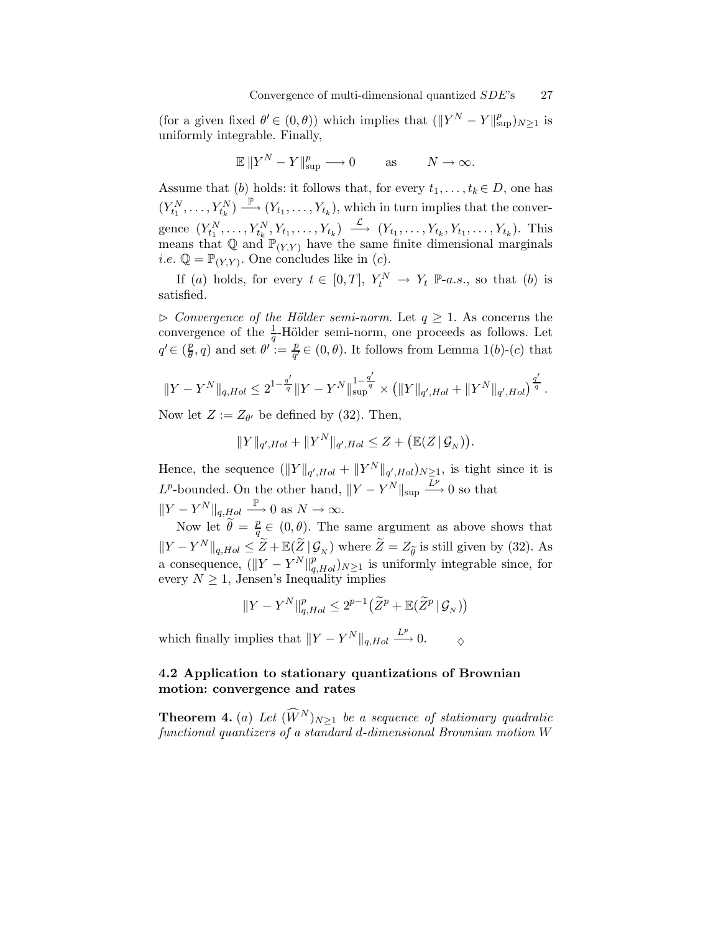(for a given fixed  $\theta' \in (0, \theta)$ ) which implies that  $(||Y^N - Y||_{\sup}^p)_{N \ge 1}$  is uniformly integrable. Finally,

$$
\mathbb{E} \|Y^N - Y\|_{\sup}^p \longrightarrow 0 \quad \text{as} \quad N \to \infty.
$$

Assume that (b) holds: it follows that, for every  $t_1, \ldots, t_k \in D$ , one has  $(Y_{t_1}^N, \ldots, Y_{t_k}^N) \stackrel{\mathbb{P}}{\longrightarrow} (Y_{t_1}, \ldots, Y_{t_k}),$  which in turn implies that the convergence  $(Y_{t_1}^N, \ldots, Y_{t_k}^N, Y_{t_1}, \ldots, Y_{t_k}) \longrightarrow (Y_{t_1}, \ldots, Y_{t_k}, Y_{t_1}, \ldots, Y_{t_k}).$  This means that  $\mathbb{Q}$  and  $\mathbb{P}_{(Y,Y)}$  have the same finite dimensional marginals *i.e.*  $\mathbb{Q} = \mathbb{P}_{(Y,Y)}$ . One concludes like in (*c*).

If (a) holds, for every  $t \in [0,T]$ ,  $Y_t^N \to Y_t \mathbb{P}$ -a.s., so that (b) is satisfied.

 $\triangleright$  Convergence of the Hölder semi-norm. Let  $q \geq 1$ . As concerns the convergence of the  $\frac{1}{q}$ -Hölder semi-norm, one proceeds as follows. Let  $q' \in \left(\frac{p}{\theta}\right)$  $(\frac{p}{\theta}, q)$  and set  $\theta' := \frac{p}{q'}$  $\frac{p}{q'} \in (0, \theta)$ . It follows from Lemma 1(b)-(c) that

$$
||Y - Y^N||_{q, Hol} \le 2^{1 - \frac{q'}{q}} ||Y - Y^N||_{\sup}^{1 - \frac{q'}{q}} \times (||Y||_{q', Hol} + ||Y^N||_{q', Hol})^{\frac{q'}{q}}.
$$

Now let  $Z := Z_{\theta'}$  be defined by (32). Then,

$$
||Y||_{q',Hol} + ||Y^N||_{q',Hol} \leq Z + (\mathbb{E}(Z | \mathcal{G}_N)).
$$

Hence, the sequence  $(\|Y\|_{q',Hol} + \|Y^N\|_{q',Hol})_{N \geq 1}$ , is tight since it is  $L^p$ -bounded. On the other hand,  $||Y - Y^N||_{\text{sup}} \xrightarrow{L^p} 0$  so that  $||Y - Y^N||_{q, Hol} \xrightarrow{\mathbb{P}} 0 \text{ as } N \to \infty.$ 

Now let  $\widetilde{\theta} = \frac{p}{q}$  $\frac{p}{q} \in (0, \theta)$ . The same argument as above shows that  $||Y - Y^N||_{q,Hol} \leq \tilde{Z} + \mathbb{E}(\tilde{Z} | \mathcal{G}_N)$  where  $\tilde{Z} = Z_{\tilde{\theta}}$  is still given by (32). As a consequence,  $(||Y - Y^N||_{q,Hol}^p)_{N \geq 1}$  is uniformly integrable since, for every  $N \geq 1$ , Jensen's Inequality implies

$$
||Y - Y^N||_{q,Hol}^p \le 2^{p-1}(\widetilde{Z}^p + \mathbb{E}(\widetilde{Z}^p | \mathcal{G}_N))
$$

which finally implies that  $||Y - Y^N||_{q,Hol} \xrightarrow{L^p} 0.$   $\Diamond$ 

### 4.2 Application to stationary quantizations of Brownian motion: convergence and rates

**Theorem 4.** (a) Let  $(\widehat{W}^{N})_{N\geq 1}$  be a sequence of stationary quadratic functional quantizers of a standard d-dimensional Brownian motion W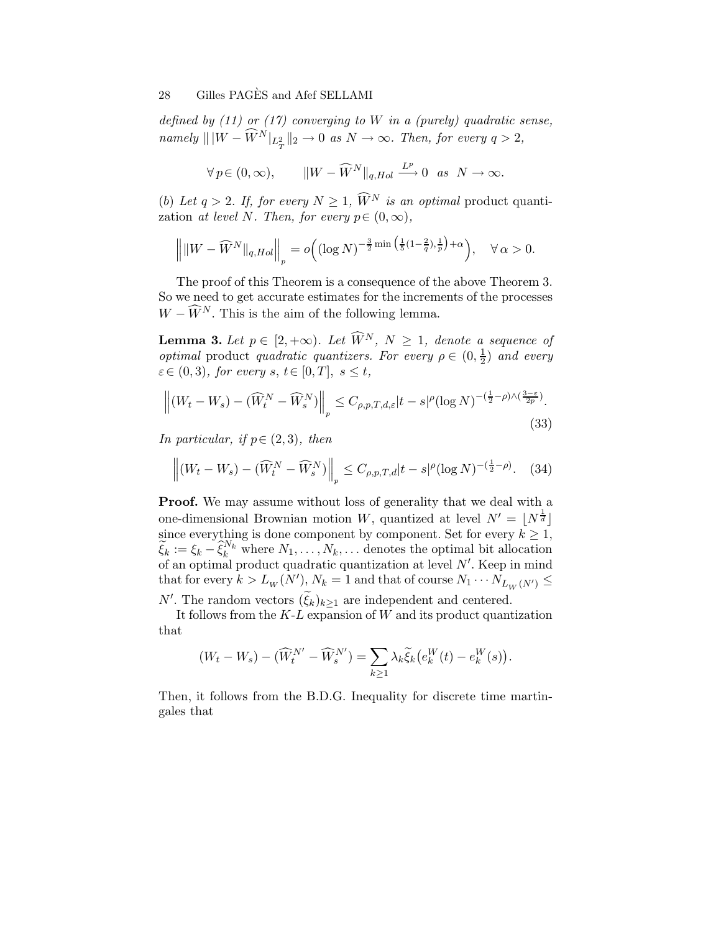defined by  $(11)$  or  $(17)$  converging to W in a (purely) quadratic sense,  $namely \ \| |W - \widehat{W}^{N}|_{L^{2}_{T}} \|_{2} \rightarrow 0 \text{ as } N \rightarrow \infty. \text{ Then, for every } q > 2,$ 

$$
\forall p \in (0, \infty), \qquad ||W - \widehat{W}^N||_{q, Hol} \xrightarrow{L^p} 0 \text{ as } N \to \infty.
$$

(b) Let  $q > 2$ . If, for every  $N \geq 1$ ,  $\widehat{W}^N$  is an optimal product quantization at level N. Then, for every  $p \in (0, \infty)$ ,

$$
\left\|\|W-\widehat{W}^N\|_{q,Hol}\right\|_p = o\Big((\log N)^{-\frac{3}{2}\min\big(\frac{1}{5}(1-\frac{2}{q}),\frac{1}{p}\big)+\alpha}\Big), \quad \forall \alpha > 0.
$$

The proof of this Theorem is a consequence of the above Theorem 3. So we need to get accurate estimates for the increments of the processes  $W - \widehat{W}^{N}$ . This is the aim of the following lemma.

**Lemma 3.** Let  $p \in [2, +\infty)$ . Let  $\widehat{W}^N$ ,  $N \geq 1$ , denote a sequence of *optimal* product *quadratic quantizers. For every*  $\rho \in (0, \frac{1}{2})$  $rac{1}{2}$  and every  $\varepsilon \in (0, 3)$ , for every  $s, t \in [0, T]$ ,  $s \le t$ ,

$$
\left\| (W_t - W_s) - (\widehat{W}_t^N - \widehat{W}_s^N) \right\|_p \le C_{\rho, p, T, d, \varepsilon} |t - s|^\rho (\log N)^{-(\frac{1}{2} - \rho) \wedge (\frac{3 - \varepsilon}{2p})}.
$$
\n(33)

In particular, if  $p \in (2,3)$ , then

$$
\left\| \left(W_t - W_s\right) - \left(\widehat{W}_t^N - \widehat{W}_s^N\right) \right\|_p \le C_{\rho, p, T, d} |t - s|^\rho (\log N)^{-(\frac{1}{2} - \rho)}. \tag{34}
$$

**Proof.** We may assume without loss of generality that we deal with a one-dimensional Brownian motion W, quantized at level  $N' = \lfloor N^{\frac{1}{d}} \rfloor$ since everything is done component by component. Set for every  $k \geq 1$ ,  $\widetilde{\xi}_k := \xi_k - \widehat{\xi}_k^{N_k}$  where  $N_1, \ldots, N_k, \ldots$  denotes the optimal bit allocation of an optimal product quadratic quantization at level N′ . Keep in mind that for every  $k > L_w(N')$ ,  $N_k = 1$  and that of course  $N_1 \cdots N_{L_W(N')} \leq$ 

N'. The random vectors  $(\xi_k)_{k\geq 1}$  are independent and centered.

It follows from the  $K-L$  expansion of  $W$  and its product quantization that

$$
(W_t - W_s) - (\widehat{W}_t^{N'} - \widehat{W}_s^{N'}) = \sum_{k \ge 1} \lambda_k \widetilde{\xi}_k (e_k^W(t) - e_k^W(s)).
$$

Then, it follows from the B.D.G. Inequality for discrete time martingales that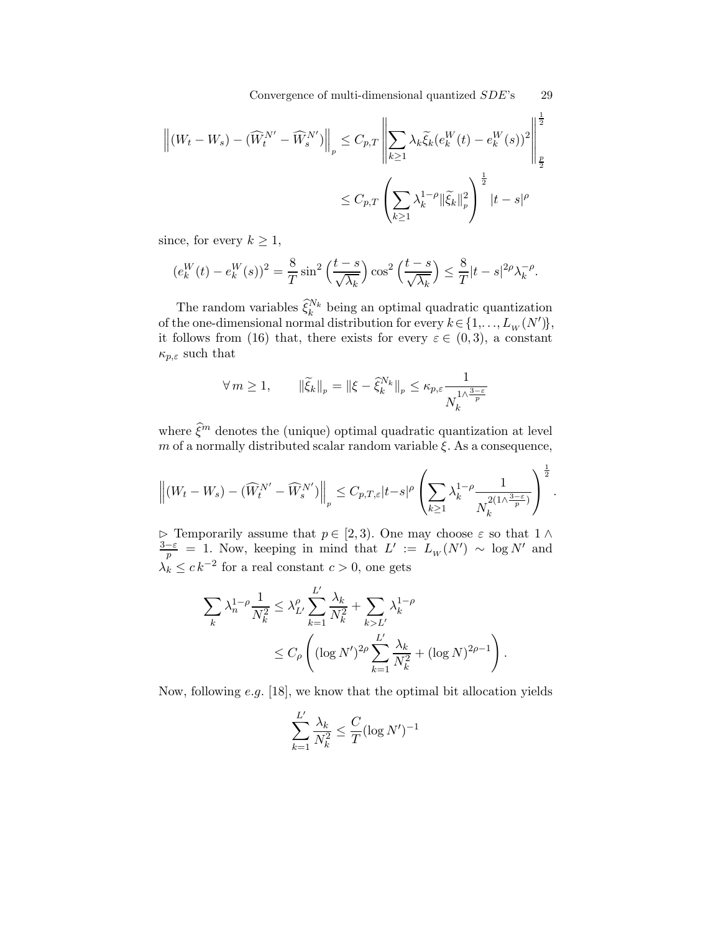Convergence of multi-dimensional quantized SDE's 29

$$
\left\| (W_t - W_s) - (\widehat{W}_t^{N'} - \widehat{W}_s^{N'}) \right\|_p \le C_{p,T} \left\| \sum_{k \ge 1} \lambda_k \widetilde{\xi}_k (e_k^W(t) - e_k^W(s))^2 \right\|_p^{\frac{1}{2}}
$$
  

$$
\le C_{p,T} \left( \sum_{k \ge 1} \lambda_k^{1-\rho} \|\widetilde{\xi}_k\|_p^2 \right)^{\frac{1}{2}} |t - s|^{\rho}
$$

since, for every  $k \geq 1$ ,

$$
(e_k^W(t) - e_k^W(s))^2 = \frac{8}{T}\sin^2\left(\frac{t-s}{\sqrt{\lambda_k}}\right)\cos^2\left(\frac{t-s}{\sqrt{\lambda_k}}\right) \le \frac{8}{T}|t-s|^{2\rho}\lambda_k^{-\rho}.
$$

The random variables  $\widehat{\xi}_k^{N_k}$  being an optimal quadratic quantization of the one-dimensional normal distribution for every  $k \in \{1, \ldots, L_W(N')\},\$ it follows from (16) that, there exists for every  $\varepsilon \in (0,3)$ , a constant  $\kappa_{p,\varepsilon}$  such that

$$
\forall m \ge 1, \qquad \|\widetilde{\xi}_k\|_p = \|\xi - \widehat{\xi}_k^{N_k}\|_p \le \kappa_{p,\varepsilon} \frac{1}{N_k^{1/\lambda^{\frac{3-\varepsilon}{p}}}}
$$

where  $\hat{\xi}^m$  denotes the (unique) optimal quadratic quantization at level m of a normally distributed scalar random variable  $\xi$ . As a consequence,

$$
\left\| (W_t - W_s) - (\widehat{W}_t^{N'} - \widehat{W}_s^{N'}) \right\|_p \leq C_{p,T,\varepsilon} |t-s|^\rho \left( \sum_{k \geq 1} \lambda_k^{1-\rho} \frac{1}{N_k^{2(1 \wedge \frac{3-\varepsilon}{p})}} \right)^{\frac{1}{2}}.
$$

 $\triangleright$  Temporarily assume that  $p \in [2,3)$ . One may choose  $\varepsilon$  so that  $1 \wedge$  $\frac{3-\varepsilon}{p} = 1$ . Now, keeping in mind that  $L' := L_W(N') \sim \log N'$  and  $\lambda_k \leq c k^{-2}$  for a real constant  $c > 0$ , one gets

$$
\sum_{k} \lambda_n^{1-\rho} \frac{1}{N_k^2} \le \lambda_{L'}^{\rho} \sum_{k=1}^{L'} \frac{\lambda_k}{N_k^2} + \sum_{k>L'} \lambda_k^{1-\rho} \le C_{\rho} \left( (\log N')^{2\rho} \sum_{k=1}^{L'} \frac{\lambda_k}{N_k^2} + (\log N)^{2\rho-1} \right).
$$

Now, following e.g. [18], we know that the optimal bit allocation yields

$$
\sum_{k=1}^{L'}\frac{\lambda_k}{N_k^2}\leq \frac{C}{T}(\log N')^{-1}
$$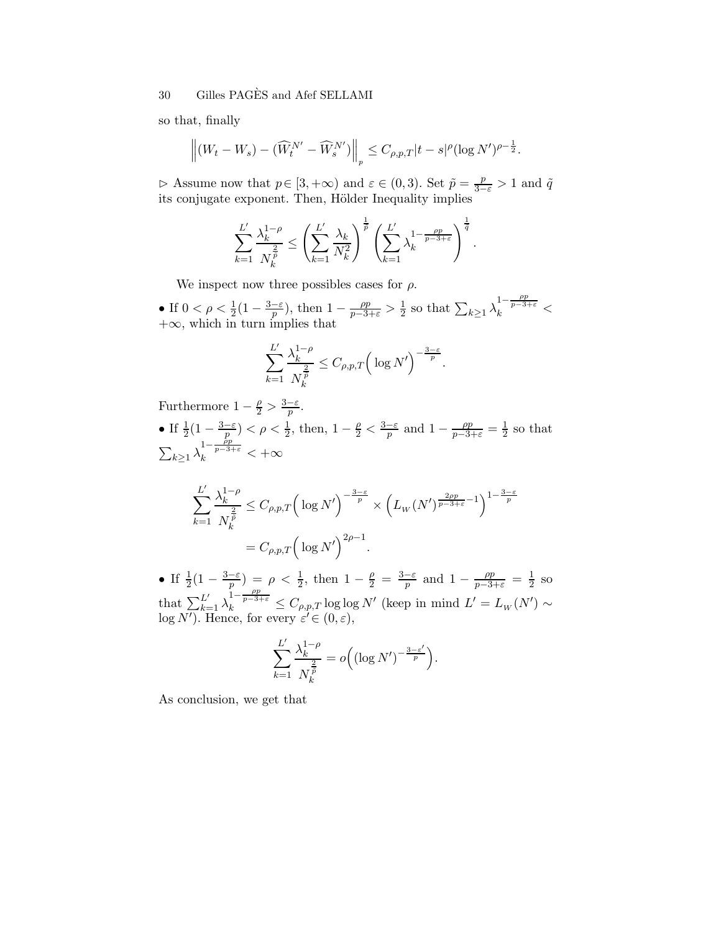so that, finally

$$
\left\| (W_t - W_s) - (\widehat{W}_t^{N'} - \widehat{W}_s^{N'}) \right\|_p \leq C_{\rho,p,T} |t - s|^\rho (\log N')^{\rho - \frac{1}{2}}.
$$

 $\triangleright$  Assume now that  $p \in [3, +\infty)$  and  $\varepsilon \in (0, 3)$ . Set  $\tilde{p} = \frac{p}{3-\varepsilon} > 1$  and  $\tilde{q}$  its conjugate exponent. Then, Hölder Inequality implies

$$
\sum_{k=1}^{L'} \frac{\lambda_k^{1-\rho}}{N_k^{\frac{2}{\rho}}} \le \left(\sum_{k=1}^{L'} \frac{\lambda_k}{N_k^2}\right)^{\frac{1}{\rho}} \left(\sum_{k=1}^{L'} \lambda_k^{1-\frac{\rho p}{p-3+\varepsilon}}\right)^{\frac{1}{\tilde{q}}}.
$$

We inspect now three possibles cases for  $\rho$ .

• If  $0 < \rho < \frac{1}{2}(1 - \frac{3-\varepsilon}{p})$ , then  $1 - \frac{\rho p}{p-3+\varepsilon} > \frac{1}{2}$  $\frac{1}{2}$  so that  $\sum_{k\geq 1} \lambda_k^{1-\frac{\rho p}{p-3+\varepsilon}}$  <  $+\infty$ , which in turn implies that

$$
\sum_{k=1}^{L'} \frac{\lambda_k^{1-\rho}}{N_k^{\frac{2}{\rho}}} \le C_{\rho,p,T} \Big( \log N' \Big)^{-\frac{3-\varepsilon}{p}}.
$$

Furthermore  $1 - \frac{\rho}{2} > \frac{3 - \varepsilon}{p}$ . • If  $\frac{1}{2}(1-\frac{3-\varepsilon}{p}) < \rho < \frac{1}{2}$ , then,  $1-\frac{\rho}{2} < \frac{3-\varepsilon}{p}$  and  $1-\frac{\rho p}{p-3+\varepsilon} = \frac{1}{2}$  $\frac{1}{2}$  so that  $\sum_{k\geq 1}\lambda_k^{1-\frac{\hat{p}p}{p-3+\varepsilon}} < +\infty$ 

$$
\sum_{k=1}^{L'} \frac{\lambda_k^{1-\rho}}{N_k^{\frac{2}{\overline{p}}}} \le C_{\rho,p,T} \left( \log N' \right)^{-\frac{3-\varepsilon}{p}} \times \left( L_W(N')^{\frac{2\rho p}{p-3+\varepsilon} - 1} \right)^{1-\frac{3-\varepsilon}{p}}
$$

$$
= C_{\rho,p,T} \left( \log N' \right)^{2\rho - 1}.
$$

• If  $\frac{1}{2}(1-\frac{3-\varepsilon}{p}) = \rho < \frac{1}{2}$ , then  $1-\frac{\rho}{2} = \frac{3-\varepsilon}{p}$  and  $1-\frac{\rho p}{p-3+\varepsilon} = \frac{1}{2}$  $rac{1}{2}$  so that  $\sum_{k=1}^{L'} \lambda_k^{\frac{1}{p-3+\varepsilon}} \leq C_{\rho,p,T} \log \log N'$  (keep in mind  $L' = L_W(N') \sim$  $log N'$ ). Hence, for every  $\varepsilon' \in (0, \varepsilon)$ ,

$$
\sum_{k=1}^{L'} \frac{\lambda_k^{1-\rho}}{N_k^{\frac{2}{\rho}}} = o\Big( (\log N')^{-\frac{3-\varepsilon'}{p}} \Big).
$$

As conclusion, we get that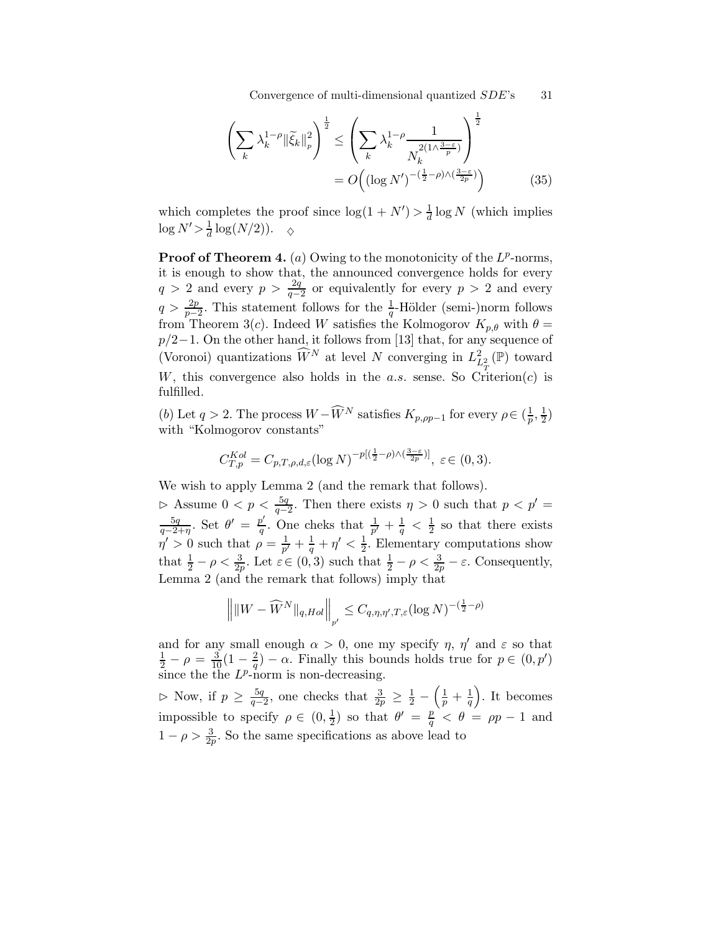Convergence of multi-dimensional quantized  $SDE$ 's 31

$$
\left(\sum_{k} \lambda_{k}^{1-\rho} \|\tilde{\xi}_{k}\|_{p}^{2}\right)^{\frac{1}{2}} \leq \left(\sum_{k} \lambda_{k}^{1-\rho} \frac{1}{N_{k}^{2(1/\frac{3-\varepsilon}{p})}}\right)^{\frac{1}{2}}
$$

$$
= O\left((\log N')^{-(\frac{1}{2}-\rho)\wedge(\frac{3-\varepsilon}{2p})}\right) \tag{35}
$$

which completes the proof since  $\log(1 + N') > \frac{1}{d}$  $\frac{1}{d}$  log N (which implies  $\log N' > \frac{1}{d}$  $\frac{1}{d} \log(N/2)$ ).  $\diamond$ 

**Proof of Theorem 4.** (a) Owing to the monotonicity of the  $L^p$ -norms, it is enough to show that, the announced convergence holds for every  $q > 2$  and every  $p > \frac{2q}{q-2}$  or equivalently for every  $p > 2$  and every  $q > \frac{2p}{p-2}$ . This statement follows for the  $\frac{1}{q}$ -Hölder (semi-)norm follows from Theorem 3(c). Indeed W satisfies the Kolmogorov  $K_{p,\theta}$  with  $\theta =$  $p/2-1$ . On the other hand, it follows from [13] that, for any sequence of (Voronoi) quantizations  $\widehat{W}^N$  at level N converging in  $L^2_{L^2_{\pi}}(\mathbb{P})$  toward W, this convergence also holds in the a.s. sense. So Criterion(c) is fulfilled.

(b) Let  $q > 2$ . The process  $W - \widehat{W}^N$  satisfies  $K_{p,pp-1}$  for every  $\rho \in (\frac{1}{p})$  $\frac{1}{p},\frac{1}{2}$  $(\frac{1}{2})$ with "Kolmogorov constants"

$$
C_{T,p}^{Kol} = C_{p,T,\rho,d,\varepsilon} (\log N)^{-p[(\frac{1}{2}-\rho)\wedge(\frac{3-\varepsilon}{2p})]}, \varepsilon \in (0,3).
$$

We wish to apply Lemma 2 (and the remark that follows).

 $\triangleright$  Assume 0 < p <  $\frac{5q}{q-2}$ . Then there exists η > 0 such that p < p' =  $5q$  $rac{5q}{q-2+\eta}$ . Set  $\theta' = \frac{p'}{q}$  $\frac{p'}{q}$ . One cheks that  $\frac{1}{p'} + \frac{1}{q} < \frac{1}{2}$  $\frac{1}{2}$  so that there exists  $\eta' > 0$  such that  $\rho = \frac{1}{\eta'}$  $\frac{1}{p'}+\frac{1}{q}+\eta'<\frac{1}{2}$  $\frac{1}{2}$ . Elementary computations show that  $\frac{1}{2} - \rho < \frac{3}{2p}$ . Let  $\varepsilon \in (0, 3)$  such that  $\frac{1}{2} - \rho < \frac{3}{2p} - \varepsilon$ . Consequently, Lemma 2 (and the remark that follows) imply that

$$
\left\| \|W - \widehat{W}^N\|_{q,Hol} \right\|_{p'} \leq C_{q,\eta,\eta',T,\varepsilon} (\log N)^{-(\frac{1}{2}-\rho)}
$$

and for any small enough  $\alpha > 0$ , one my specify  $\eta$ ,  $\eta'$  and  $\varepsilon$  so that  $\frac{1}{2} - \rho = \frac{3}{10} (1 - \frac{2}{q}) - \alpha$ . Finally this bounds holds true for  $p \in (0, p')$  $\frac{2}{q}$ ) –  $\alpha$ . Finally this bounds holds true for  $p \in (0, p')$ since the the  $L^p$ -norm is non-decreasing.

 $\triangleright$  Now, if  $p \geq \frac{5q}{q-1}$  $\frac{5q}{q-2}$ , one checks that  $\frac{3}{2p} \geq \frac{1}{2}$  –  $\left(\frac{1}{p}+\frac{1}{q}\right)$ q . It becomes impossible to specify  $\rho \in (0, \frac{1}{2})$  $\frac{1}{2}$ ) so that  $\theta' = \frac{p}{q} < \theta = \rho p - 1$  and  $1 - \rho > \frac{3}{2p}$ . So the same specifications as above lead to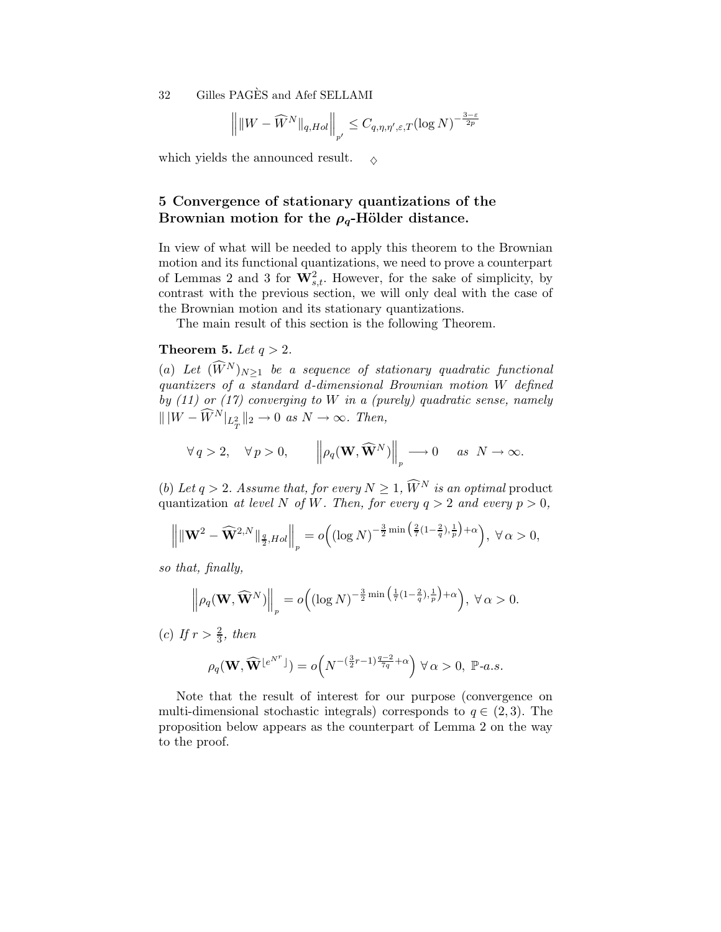$$
\left\| \|W - \widehat{W}^N\|_{q,Hol} \right\|_{p'} \leq C_{q,\eta,\eta',\varepsilon,T} (\log N)^{-\frac{3-\varepsilon}{2p}}
$$

which yields the announced result.  $\Diamond$ 

# 5 Convergence of stationary quantizations of the Brownian motion for the  $\rho_q$ -Hölder distance.

In view of what will be needed to apply this theorem to the Brownian motion and its functional quantizations, we need to prove a counterpart of Lemmas 2 and 3 for  $\mathbf{W}_{s,t}^2$ . However, for the sake of simplicity, by contrast with the previous section, we will only deal with the case of the Brownian motion and its stationary quantizations.

The main result of this section is the following Theorem.

### Theorem 5. Let  $q > 2$ .

(a) Let  $(\widehat{W}^N)_{N\geq 1}$  be a sequence of stationary quadratic functional quantizers of a standard d-dimensional Brownian motion W defined by  $(11)$  or  $(17)$  converging to W in a (purely) quadratic sense, namely  $\| \|W - \widehat{W}^N\|_{L^2_T} \|_2 \to 0 \text{ as } N \to \infty.$  Then,

$$
\forall q > 2, \quad \forall p > 0, \quad \left\| \rho_q(\mathbf{W}, \widehat{\mathbf{W}}^N) \right\|_p \longrightarrow 0 \quad \text{as } N \to \infty.
$$

(b) Let  $q > 2$ . Assume that, for every  $N \geq 1$ ,  $\widehat{W}^N$  is an optimal product quantization at level N of W. Then, for every  $q > 2$  and every  $p > 0$ ,

$$
\left\lVert \|\mathbf{W}^2-\widehat{\mathbf{W}}^{2,N}\|_{\frac{q}{2},Hol}\right\rVert_p = o\Big((\log N)^{-\frac{3}{2}\min\big(\frac{2}{7}(1-\frac{2}{q}),\frac{1}{p}\big)+\alpha}\Big),\; \forall\,\alpha>0,
$$

so that, finally,

$$
\left\|\rho_q(\mathbf{W}, \widehat{\mathbf{W}}^N)\right\|_p = o\Big( (\log N)^{-\frac{3}{2}\min\left(\frac{1}{7}(1-\frac{2}{q}),\frac{1}{p}\right)+\alpha}\Big), \ \forall \alpha > 0.
$$

(c) If  $r > \frac{2}{3}$ , then

$$
\rho_q(\mathbf{W},\widehat{\mathbf{W}}^{\lfloor e^{N^r} \rfloor})=o\Big(N^{-\left(\frac{3}{2}r-1\right)\frac{q-2}{7q}+\alpha}\Big)\;\forall\,\alpha>0,\;\mathbb{P}\text{-}a.s.
$$

Note that the result of interest for our purpose (convergence on multi-dimensional stochastic integrals) corresponds to  $q \in (2,3)$ . The proposition below appears as the counterpart of Lemma 2 on the way to the proof.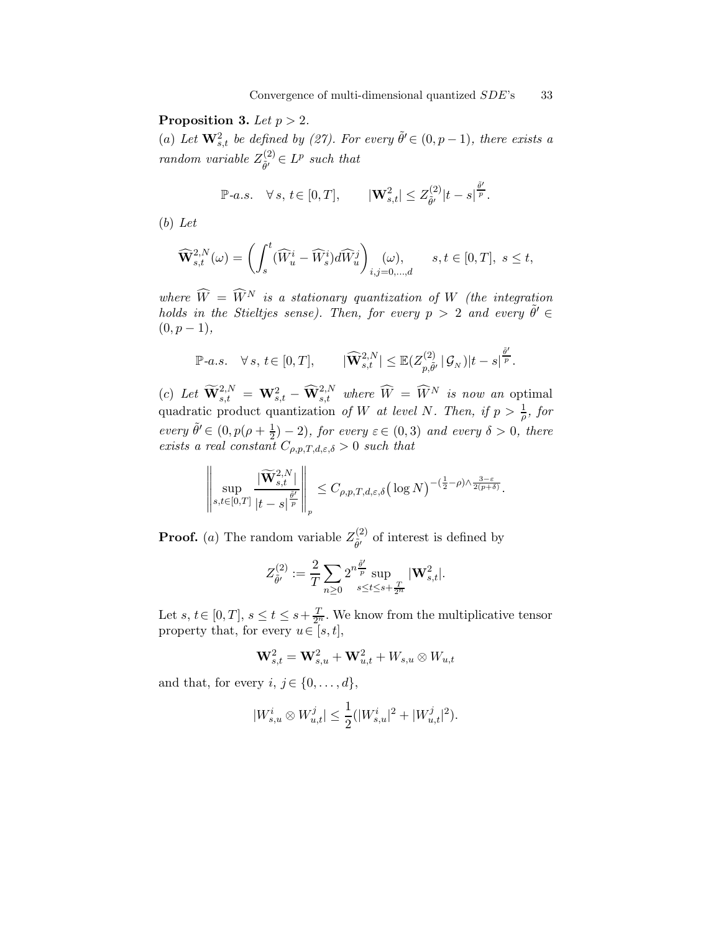Proposition 3. Let  $p > 2$ .

(a) Let  $\mathbf{W}_{s,t}^2$  be defined by (27). For every  $\tilde{\theta}' \in (0, p-1)$ , there exists a random variable  $Z_{\tilde{a}'}^{(2)}$  $\widetilde{\theta'}^{(2)} \in L^p$  such that

$$
\mathbb{P}\text{-}a.s. \quad \forall \, s, \, t \in [0,T], \qquad \left| \mathbf{W}^2_{s,t} \right| \leq Z^{(2)}_{\tilde{\theta}'} |t-s|^{\frac{\tilde{\theta}'}{p}}.
$$

(b) Let

$$
\widehat{\mathbf{W}}_{s,t}^{2,N}(\omega) = \left( \int_s^t (\widehat{W}_u^i - \widehat{W}_s^i) d\widehat{W}_u^j \right)_{i,j=0,\dots,d} (\omega), \qquad s, t \in [0,T], \ s \le t,
$$

where  $\widetilde{W} = \widetilde{W}^N$  is a stationary quantization of W (the integration holds in the Stieltjes sense). Then, for every  $p > 2$  and every  $\tilde{\theta}' \in$  $(0, p - 1),$ 

$$
\mathbb{P}\textrm{-}a.s. \quad \forall \, s, \, t \! \in [0,T], \qquad \, |\widehat{\mathbf{W}}^{2,N}_{s,t}| \leq \mathbb{E}(Z^{(2)}_{p,\tilde{\theta}'} \,|\, \mathcal{G}_N) |t-s|^{\frac{\tilde{\theta}'}{p}}.
$$

(c) Let  $\widetilde{\mathbf{W}}^{2,N}_{s,t} = \mathbf{W}^2_{s,t} - \widehat{\mathbf{W}}^{2,N}_{s,t}$  where  $\widehat{W} = \widehat{W}^N$  is now an optimal quadratic product quantization of W at level N. Then, if  $p > \frac{1}{\rho}$ , for every  $\tilde{\theta}' \in (0, p(\rho + \frac{1}{2}) - 2)$ , for every  $\varepsilon \in (0, 3)$  and every  $\delta > 0$ , there exists a real constant  $C_{\rho,p,T,d,\varepsilon,\delta} > 0$  such that

$$
\left\|\sup_{s,t\in[0,T]}\frac{|\widetilde{\mathbf{W}}_{s,t}^{2,N}|}{|t-s|^{\frac{\tilde{\theta}'}{p}}}\right\|_p\leq C_{\rho,p,T,d,\varepsilon,\delta}\big(\log N\big)^{-\left(\frac{1}{2}-\rho\right)\wedge \frac{3-\varepsilon}{2(p+\delta)}}.
$$

**Proof.** (a) The random variable  $Z_{\tilde{o}'}^{(2)}$  $\tilde{\theta}'$  of interest is defined by

$$
Z_{\tilde{\theta}'}^{(2)}:=\frac{2}{T}\sum_{n\geq 0}2^{n\frac{\tilde{\theta}'}{p}}\sup_{s\leq t\leq s+\frac{T}{2^n}}|\mathbf{W}^2_{s,t}|.
$$

Let  $s, t \in [0, T], s \le t \le s + \frac{T}{2^n}$ . We know from the multiplicative tensor property that, for every  $u \in [s, t]$ ,

$$
\mathbf W_{s,t}^{2} = \mathbf W_{s,u}^{2} + \mathbf W_{u,t}^{2} + W_{s,u} \otimes W_{u,t}
$$

and that, for every  $i, j \in \{0, \ldots, d\},\$ 

$$
|W_{s,u}^i \otimes W_{u,t}^j| \le \frac{1}{2}(|W_{s,u}^i|^2 + |W_{u,t}^j|^2).
$$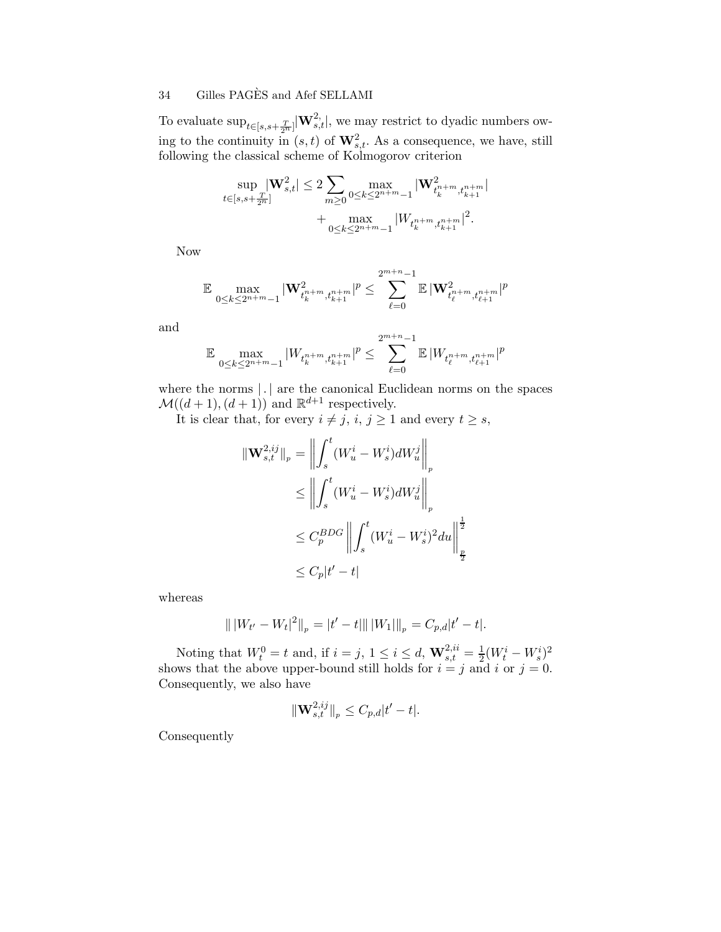To evaluate  $\sup_{t \in [s,s+\frac{T}{2^n}]} |\mathbf{W}^{2}_{s,t}|$ , we may restrict to dyadic numbers owing to the continuity in  $(s,t)$  of  $\mathbf{W}^2_{s,t}$ . As a consequence, we have, still following the classical scheme of Kolmogorov criterion

$$
\begin{aligned} \sup_{t\in [s,s+\frac{T}{2^n}]} & \|\mathbf{W}^2_{s,t}\| \leq 2\sum_{m\geq 0} \max_{0\leq k\leq 2^{n+m}-1} |\mathbf{W}^2_{t_k^{n+m},t_{k+1}^{n+m}}|\\ &+\max_{0\leq k\leq 2^{n+m}-1} |W_{t_k^{n+m},t_{k+1}^{n+m}}|^2. \end{aligned}
$$

Now

$$
\mathbb{E} \max_{0\leq k\leq 2^{n+m}-1}|\mathbf{W}^2_{t^{n+m}_k,t^{n+m}_{k+1}}|^p\leq \sum_{\ell=0}^{2^{m+n}-1}\mathbb{E}|\mathbf{W}^2_{t^{n+m}_\ell,t^{n+m}_{\ell+1}}|^p
$$

and

$$
\mathbb{E} \max_{0 \le k \le 2^{n+m}-1} |W_{t_k^{n+m}, t_{k+1}^{n+m}}|^p \le \sum_{\ell=0}^{2^{m+n}-1} \mathbb{E} |W_{t_\ell^{n+m}, t_{\ell+1}^{n+m}}|^p
$$

where the norms  $| \cdot |$  are the canonical Euclidean norms on the spaces  $\mathcal{M}((d+1),(d+1))$  and  $\mathbb{R}^{d+1}$  respectively.

It is clear that, for every  $i \neq j$ ,  $i, j \geq 1$  and every  $t \geq s$ ,

$$
\begin{aligned} \|\mathbf{W}_{s,t}^{2,ij}\|_{p} &= \left\| \int_{s}^{t} (W_{u}^{i} - W_{s}^{i}) dW_{u}^{j} \right\|_{p} \\ &\leq \left\| \int_{s}^{t} (W_{u}^{i} - W_{s}^{i}) dW_{u}^{j} \right\|_{p} \\ &\leq C_{p}^{BDG} \left\| \int_{s}^{t} (W_{u}^{i} - W_{s}^{i})^{2} du \right\|_{\frac{p}{2}}^{2} \\ &\leq C_{p}|t'-t| \end{aligned}
$$

whereas

$$
\| |W_{t'} - W_t|^2 \|_p = |t' - t| \| |W_1||_p = C_{p,d} |t' - t|.
$$

Noting that  $W_t^0 = t$  and, if  $i = j, 1 \le i \le d$ ,  $\mathbf{W}_{s,t}^{2,ii} = \frac{1}{2}(W_t^i - W_s^i)^2$ shows that the above upper-bound still holds for  $i = j$  and i or  $j = 0$ . Consequently, we also have

$$
\|\mathbf{W}^{2,ij}_{s,t}\|_{p} \leq C_{p,d}|t'-t|.
$$

Consequently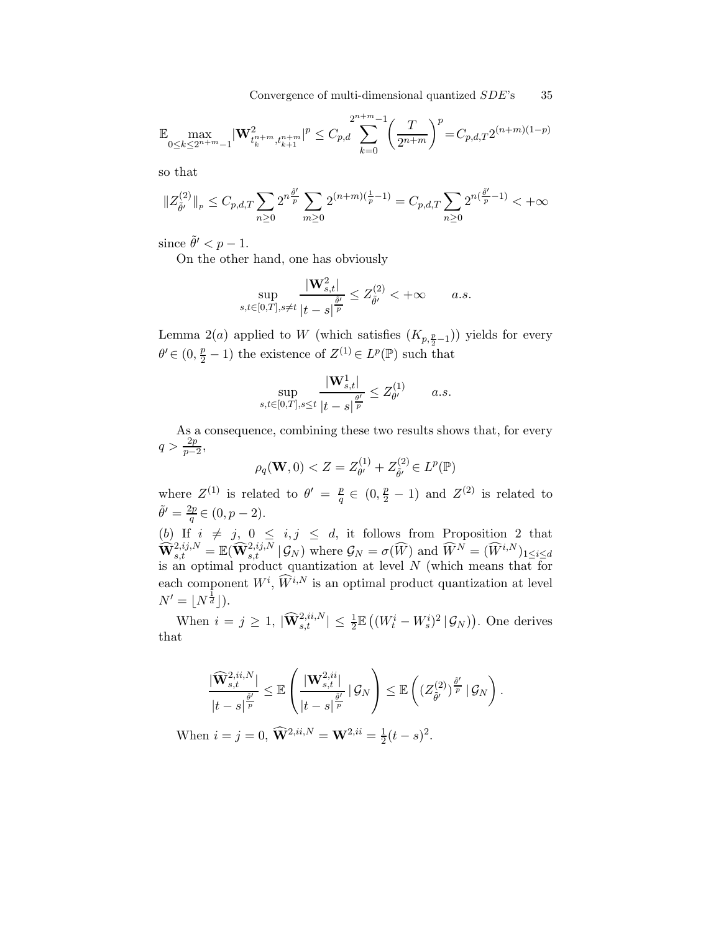Convergence of multi-dimensional quantized  $SDE$ 's 35

$$
\mathbb{E} \max_{0 \le k \le 2^{n+m}-1} |\mathbf{W}_{t_k^{n+m}, t_{k+1}^{n+m}}^2|^p \le C_{p,d} \sum_{k=0}^{2^{n+m}-1} \left(\frac{T}{2^{n+m}}\right)^p = C_{p,d,T} 2^{(n+m)(1-p)}
$$

so that

$$
||Z_{\tilde{\theta}'}^{(2)}||_p \le C_{p,d,T} \sum_{n\ge 0} 2^{n\frac{\tilde{\theta}'}{p}} \sum_{m\ge 0} 2^{(n+m)(\frac{1}{p}-1)} = C_{p,d,T} \sum_{n\ge 0} 2^{n(\frac{\tilde{\theta}'}{p}-1)} <+\infty
$$

since  $\tilde{\theta}' < p - 1$ .

On the other hand, one has obviously

$$
\sup_{s,t\in[0,T],s\neq t}\frac{|\mathbf{W}_{s,t}^2|}{|t-s|^{\frac{\tilde{\theta}'}{p}}}\leq Z_{\tilde{\theta}'}^{(2)}<+\infty\qquad a.s.
$$

Lemma 2(*a*) applied to W (which satisfies  $(K_{p, \frac{p}{2}-1})$ ) yields for every  $\theta' \in (0, \frac{p}{2} - 1)$  the existence of  $Z^{(1)} \in L^p(\mathbb{P})$  such that

$$
\sup_{s,t \in [0,T], s \le t} \frac{|\mathbf{W}_{s,t}^1|}{|t-s|^{\frac{\theta'}{p}}} \le Z_{\theta'}^{(1)} \qquad a.s.
$$

As a consequence, combining these two results shows that, for every  $q > \frac{2p}{p-2},$ 

$$
\rho_q(\mathbf{W},0) < Z = Z_{\theta'}^{(1)} + Z_{\tilde{\theta}'}^{(2)} \in L^p(\mathbb{P})
$$

where  $Z^{(1)}$  is related to  $\theta' = \frac{p}{q}$  $\frac{p}{q} \in (0, \frac{p}{2} - 1)$  and  $Z^{(2)}$  is related to  $\tilde{\theta}' = \frac{2p}{a}$  $\frac{zp}{q} \in (0, p-2).$ 

(b) If  $i \neq j$ ,  $0 \leq i, j \leq d$ , it follows from Proposition 2 that  $\widehat{\mathbf{W}}_{s,t}^{2,ij,N} = \mathbb{E}(\widehat{\mathbf{W}}_{s,t}^{2,ij,N} | \mathcal{G}_N)$  where  $\mathcal{G}_N = \sigma(\widehat{W})$  and  $\widehat{W}^N = (\widehat{W}^{i,N})_{1 \leq i \leq d}$ is an optimal product quantization at level N (which means that for each component  $W^i$ ,  $\widetilde{W}^{i,N}$  is an optimal product quantization at level  $N' = \lfloor N^{\frac{1}{d}} \rfloor$ ).

When  $i = j \geq 1$ ,  $|\widehat{\mathbf{W}}_{s,t}^{2,ii,N}| \leq \frac{1}{2} \mathbb{E} \left( (W_t^i - W_s^i)^2 | \mathcal{G}_N \right)$ . One derives that

$$
\frac{|\widehat{\mathbf{W}}_{s,t}^{2,ii,N}|}{|t-s|^{\frac{\tilde{\theta}'}{p}}}\leq \mathbb{E}\left(\frac{|\mathbf{W}_{s,t}^{2,ii}|}{|t-s|^{\frac{\tilde{\theta}'}{p}}}\,|\,\mathcal{G}_N\right)\leq \mathbb{E}\left(\left(Z_{\tilde{\theta}'}^{(2)}\right)^{\frac{\tilde{\theta}'}{p}}\,|\,\mathcal{G}_N\right).
$$

When  $i = j = 0$ ,  $\widehat{\mathbf{W}}^{2,ii,N} = \mathbf{W}^{2,ii} = \frac{1}{2}$  $\frac{1}{2}(t-s)^2$ .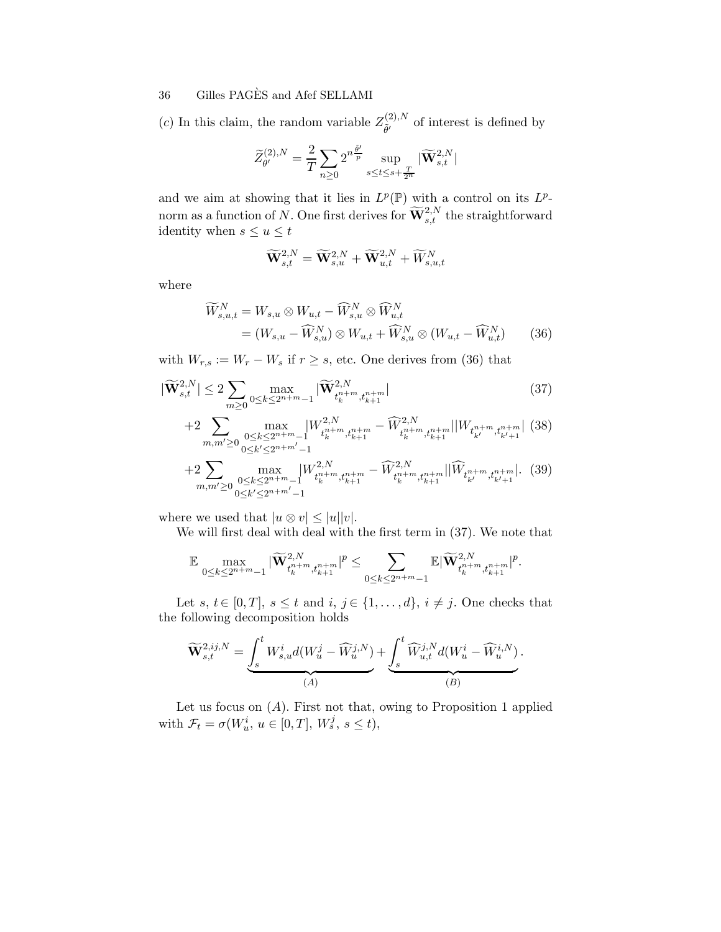(c) In this claim, the random variable  $Z_{\tilde{a}_l}^{(2),N}$  $\tilde{\theta}'$  of interest is defined by

$$
\widetilde{Z}_{\theta'}^{(2),N} = \frac{2}{T}\sum_{n\geq 0} 2^{n\frac{\widetilde{\theta'}}{p}}\sup_{s\leq t\leq s+\frac{T}{2^n}}|\widetilde{\mathbf{W}}_{s,t}^{2,N}|
$$

and we aim at showing that it lies in  $L^p(\mathbb{P})$  with a control on its  $L^p$ norm as a function of N. One first derives for  $\widetilde{\mathbf{W}}^{2,N}_{s,t}$  the straightforward identity when  $s \le u \le t$ 

$$
\widetilde{\mathbf{W}}^{2,N}_{s,t} = \widetilde{\mathbf{W}}^{2,N}_{s,u} + \widetilde{\mathbf{W}}^{2,N}_{u,t} + \widetilde{W}^{N}_{s,u,t}
$$

where

$$
\widetilde{W}_{s,u,t}^{N} = W_{s,u} \otimes W_{u,t} - \widehat{W}_{s,u}^{N} \otimes \widehat{W}_{u,t}^{N}
$$
\n
$$
= (W_{s,u} - \widehat{W}_{s,u}^{N}) \otimes W_{u,t} + \widehat{W}_{s,u}^{N} \otimes (W_{u,t} - \widehat{W}_{u,t}^{N}) \qquad (36)
$$

with  $W_{r,s} := W_r - W_s$  if  $r \geq s$ , etc. One derives from (36) that

$$
|\widetilde{\mathbf{W}}_{s,t}^{2,N}| \le 2 \sum_{m \ge 0} \max_{0 \le k \le 2^{n+m}-1} |\widetilde{\mathbf{W}}_{t_k^{n+m}, t_{k+1}^{n+m}}^{2,N}|
$$
(37)

$$
+2\sum_{m,m'\geq 0}\max_{\substack{0\leq k\leq 2^{n+m}-1\\0\leq k'\leq 2^{n+m'}-1}}\!\!\!\!\!\!\!\!\!\!\!\!\!W^{2,N}_{t_k^{n+m},t_{k+1}^{n+m}}-\widehat{W}^{2,N}_{t_k^{n+m},t_{k+1}^{n+m}}\!\!\mid\!\!\!\!\!\!\!|W_{t_{k'}^{n+m},t_{k'+1}^{n+m}}\!\!\mid (38)
$$

$$
+2\sum_{m,m'\geq 0}\max_{\substack{0\leq k\leq 2^{n+m}-1\\0\leq k'\leq 2^{n+m'-1}}}|W^{2,N}_{t_k^{n+m},t_{k+1}^{n+m}}-\widehat{W}^{2,N}_{t_k^{n+m},t_{k+1}^{n+m}}||\widehat{W}_{t_{k'}^{n+m},t_{k'+1}^{n+m}}|.\tag{39}
$$

where we used that  $|u \otimes v| \leq |u||v|$ .

We will first deal with deal with the first term in (37). We note that

$$
\mathbb{E} \max_{0 \leq k \leq 2^{n+m}-1} |\widetilde{\mathbf{W}}^{2,N}_{t^{n+m}_k,t^{n+m}_{k+1}}|^p \leq \sum_{0 \leq k \leq 2^{n+m}-1} \mathbb{E} |\widetilde{\mathbf{W}}^{2,N}_{t^{n+m}_k,t^{n+m}_{k+1}}|^p.
$$

Let s,  $t \in [0, T]$ ,  $s \leq t$  and  $i, j \in \{1, \ldots, d\}$ ,  $i \neq j$ . One checks that the following decomposition holds

$$
\widetilde{\mathbf{W}}_{s,t}^{2,ij,N} = \underbrace{\int_s^t W_{s,u}^i d(W_u^j - \widehat{W}_u^{j,N})}_{(A)} + \underbrace{\int_s^t \widehat{W}_{u,t}^{j,N} d(W_u^i - \widehat{W}_u^{i,N})}_{(B)}.
$$

Let us focus on  $(A)$ . First not that, owing to Proposition 1 applied with  $\mathcal{F}_t = \sigma(W_u^i, u \in [0, T], W_s^j, s \le t),$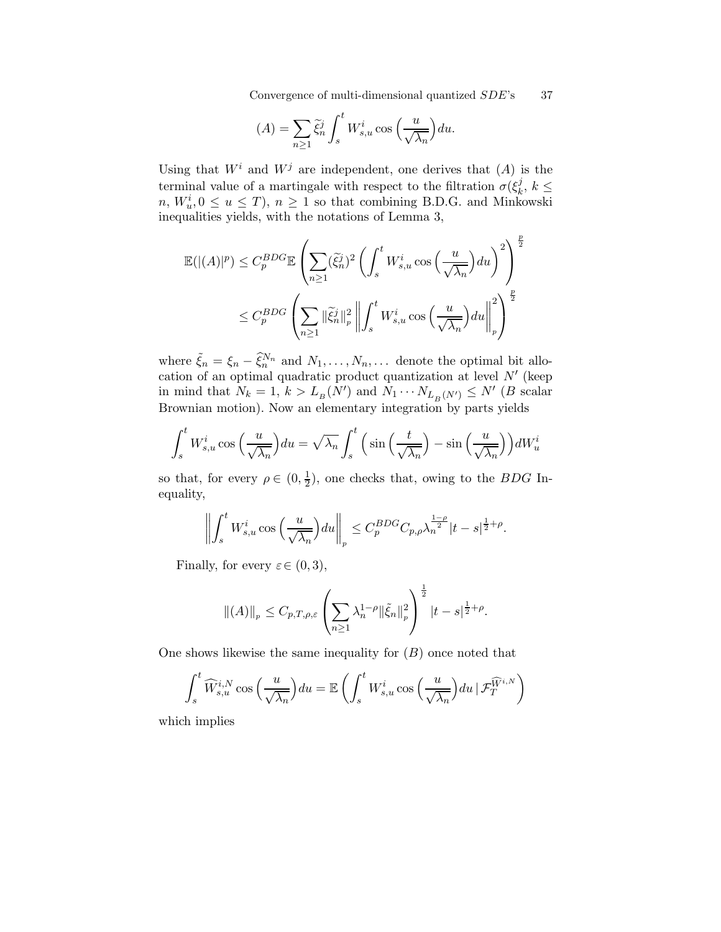Convergence of multi-dimensional quantized  $SDE$ 's 37

$$
(A) = \sum_{n\geq 1} \tilde{\xi}_n^j \int_s^t W_{s,u}^i \cos\left(\frac{u}{\sqrt{\lambda_n}}\right) du.
$$

Using that  $W^i$  and  $W^j$  are independent, one derives that  $(A)$  is the terminal value of a martingale with respect to the filtration  $\sigma(\xi_k^j)$  $\frac{j}{k}, k \leq$  $n, W_u^i, 0 \le u \le T$ ,  $n \ge 1$  so that combining B.D.G. and Minkowski inequalities yields, with the notations of Lemma 3,

$$
\mathbb{E}(|(A)|^p) \leq C_p^{BDG} \mathbb{E} \left( \sum_{n\geq 1} (\tilde{\xi}_n^j)^2 \left( \int_s^t W_{s,u}^i \cos \left( \frac{u}{\sqrt{\lambda_n}} \right) du \right)^2 \right)^{\frac{p}{2}}
$$
  

$$
\leq C_p^{BDG} \left( \sum_{n\geq 1} ||\tilde{\xi}_n^j||_p^2 \left\| \int_s^t W_{s,u}^i \cos \left( \frac{u}{\sqrt{\lambda_n}} \right) du \right\|_p^2 \right)^{\frac{p}{2}}
$$

where  $\tilde{\xi}_n = \xi_n - \tilde{\xi}_n^{N_n}$  and  $N_1, \ldots, N_n, \ldots$  denote the optimal bit allocation of an optimal quadratic product quantization at level  $N'$  (keep in mind that  $N_k = 1$ ,  $k > L_B(N')$  and  $N_1 \cdots N_{L_B(N')} \le N'$  (B scalar Brownian motion). Now an elementary integration by parts yields

$$
\int_{s}^{t} W_{s,u}^{i} \cos\left(\frac{u}{\sqrt{\lambda_{n}}}\right) du = \sqrt{\lambda_{n}} \int_{s}^{t} \left(\sin\left(\frac{t}{\sqrt{\lambda_{n}}}\right) - \sin\left(\frac{u}{\sqrt{\lambda_{n}}}\right)\right) dW_{u}^{i}
$$

so that, for every  $\rho \in (0, \frac{1}{2})$  $\frac{1}{2}$ , one checks that, owing to the *BDG* Inequality,

$$
\left\| \int_s^t W^i_{s,u} \cos \left( \frac{u}{\sqrt{\lambda_n}} \right) du \right\|_p \leq C_p^{BDG} C_{p,\rho} \lambda_n^{\frac{1-\rho}{2}} |t-s|^{\frac{1}{2}+\rho}.
$$

Finally, for every  $\varepsilon \in (0, 3)$ ,

$$
\|(A)\|_{p} \leq C_{p,T,\rho,\varepsilon} \left( \sum_{n\geq 1} \lambda_n^{1-\rho} \|\tilde{\xi}_n\|_{p}^2 \right)^{\frac{1}{2}} |t-s|^{\frac{1}{2}+\rho}.
$$

One shows likewise the same inequality for  $(B)$  once noted that

$$
\int_{s}^{t} \widehat{W}_{s,u}^{i,N} \cos\left(\frac{u}{\sqrt{\lambda_n}}\right) du = \mathbb{E}\left(\int_{s}^{t} W_{s,u}^{i} \cos\left(\frac{u}{\sqrt{\lambda_n}}\right) du \, \big| \, \mathcal{F}_{T}^{\widehat{W}^{i,N}}\right)
$$

which implies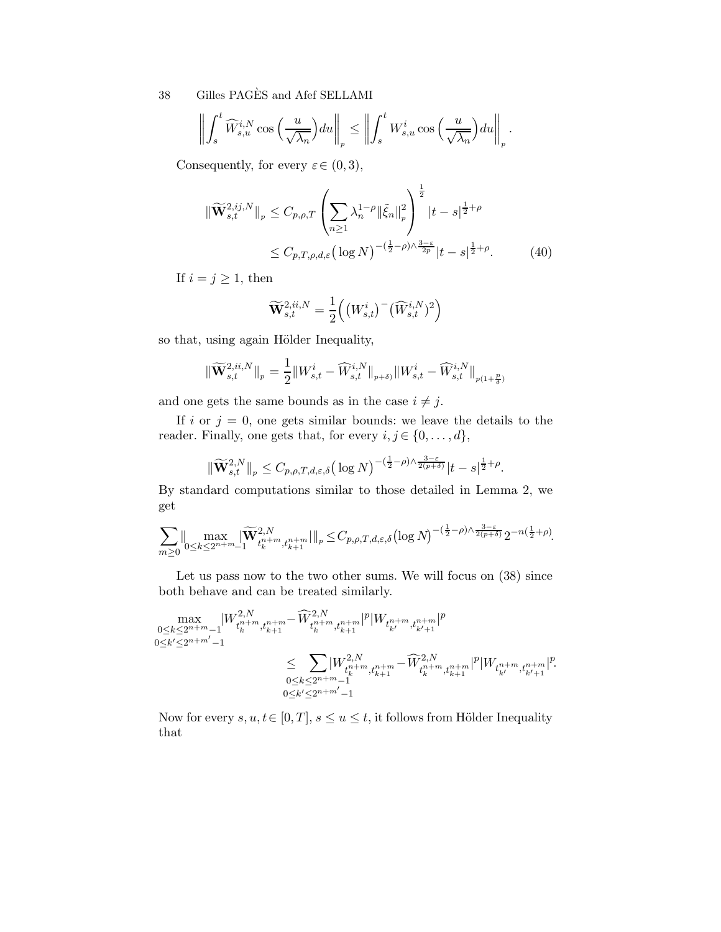$$
\left\| \int_s^t \widehat{W}_{s,u}^{i,N} \cos \left( \frac{u}{\sqrt{\lambda_n}} \right) du \right\|_p \le \left\| \int_s^t W_{s,u}^i \cos \left( \frac{u}{\sqrt{\lambda_n}} \right) du \right\|_p.
$$

Consequently, for every  $\varepsilon \in (0, 3)$ ,

$$
\|\widetilde{\mathbf{W}}_{s,t}^{2,i,j,N}\|_{p} \leq C_{p,\rho,T} \left(\sum_{n\geq 1} \lambda_{n}^{1-\rho} \|\tilde{\xi}_{n}\|_{p}^{2}\right)^{\frac{1}{2}} |t-s|^{\frac{1}{2}+\rho}
$$
  

$$
\leq C_{p,T,\rho,d,\varepsilon} \left(\log N\right)^{-(\frac{1}{2}-\rho)\wedge\frac{3-\varepsilon}{2p}} |t-s|^{\frac{1}{2}+\rho}.
$$
 (40)

If  $i = j \geq 1$ , then

$$
\widetilde{\mathbf{W}}_{s,t}^{2,ii,N} = \frac{1}{2} ((W_{s,t}^i)^-(\widehat{W}_{s,t}^{i,N})^2)
$$

so that, using again Hölder Inequality,

$$
\|\widetilde{\mathbf{W}}_{s,t}^{2,ii,N}\|_{p} = \frac{1}{2} \|W_{s,t}^{i}-\widehat{W}_{s,t}^{i,N}\|_{p+\delta)} \|W_{s,t}^{i}-\widehat{W}_{s,t}^{i,N}\|_{p(1+\frac{p}{\delta})}
$$

and one gets the same bounds as in the case  $i \neq j$ .

If i or  $j = 0$ , one gets similar bounds: we leave the details to the reader. Finally, one gets that, for every  $i, j \in \{0, ..., d\}$ ,

$$
\|\widetilde{\mathbf{W}}_{s,t}^{2,N}\|_{p} \leq C_{p,\rho,T,d,\varepsilon,\delta} \big(\log N\big)^{-\left(\frac{1}{2}-\rho\right)\wedge \frac{3-\varepsilon}{2(p+\delta)}}|t-s|^{\frac{1}{2}+\rho}.
$$

By standard computations similar to those detailed in Lemma 2, we get

$$
\sum_{m\geq 0}\lVert \max_{0\leq k\leq 2^{n+m}-1}\lvert \widetilde{\mathbf{W}}^{2,N}_{t^{n+m}_k,t^{n+m}_{k+1}}\rVert\rVert_p\leq C_{p,\rho,T,d,\varepsilon,\delta}\bigl(\log N\bigr)^{-(\frac{1}{2}-\rho)\wedge \frac{3-\varepsilon}{2(p+\delta)}}2^{-n(\frac{1}{2}+\rho)}.
$$

Let us pass now to the two other sums. We will focus on (38) since both behave and can be treated similarly.

max 0≤k≤2 <sup>n</sup>+m−<sup>1</sup> 0≤k ′≤<sup>2</sup> <sup>n</sup>+m′ −1 |W 2,N t n+m k ,tn+<sup>m</sup> k+1 −Wc2,N t n+m k ,tn+<sup>m</sup> k+1 | p |W<sup>t</sup> n+m k′ ,tn+<sup>m</sup> <sup>k</sup>′+1 | p ≤ X 0≤k≤2 <sup>n</sup>+m−<sup>1</sup> 0≤k ′≤<sup>2</sup> <sup>n</sup>+m′ −1 |W 2,N t n+m k ,tn+<sup>m</sup> k+1 −Wc2,N t n+m k ,tn+<sup>m</sup> k+1 | p |W<sup>t</sup> n+m k′ ,tn+<sup>m</sup> <sup>k</sup>′+1 | p .

Now for every  $s, u, t \in [0, T], s \le u \le t$ , it follows from Hölder Inequality that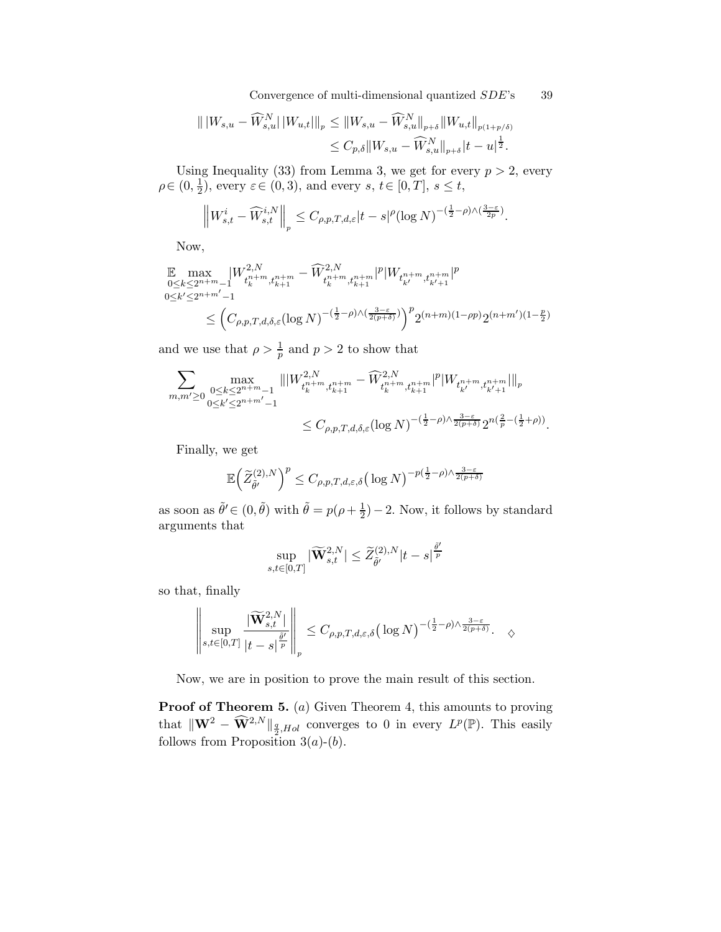Convergence of multi-dimensional quantized  $SDE$ 's 39

$$
|| W_{s,u} - \widehat{W}_{s,u}^N || W_{u,t} |||_p \le ||W_{s,u} - \widehat{W}_{s,u}^N ||_{p+\delta} || W_{u,t} ||_{p(1+p/\delta)}
$$
  

$$
\le C_{p,\delta} || W_{s,u} - \widehat{W}_{s,u}^N ||_{p+\delta} |t-u|^{\frac{1}{2}}.
$$

Using Inequality (33) from Lemma 3, we get for every  $p > 2$ , every  $\rho \in (0, \frac{1}{2})$  $(\frac{1}{2})$ , every  $\varepsilon \in (0,3)$ , and every  $s, t \in [0,T]$ ,  $s \leq t$ ,

$$
\left\|W_{s,t}^i - \widehat{W}_{s,t}^{i,N}\right\|_p \leq C_{\rho,p,T,d,\varepsilon}|t-s|^\rho (\log N)^{-(\frac{1}{2}-\rho)\wedge(\frac{3-\varepsilon}{2p})}.
$$

Now,

$$
\mathbb{E} \max_{\substack{0 \le k \le 2^{n+m}-1 \\ 0 \le k' \le 2^{n+m'-1}}} |W^{2,N}_{t_k^{n+m}, t_{k+1}^{n+m}} - \widehat{W}^{2,N}_{t_k^{n+m}, t_{k+1}^{n+m}}|^p |W_{t_{k'}^{n+m}, t_{k'+1}^{n+m}}|^p
$$
\n
$$
\le \left( C_{\rho, p, T, d, \delta, \varepsilon} (\log N)^{-(\frac{1}{2}-\rho)\wedge(\frac{3-\varepsilon}{2(p+\delta)})} \right)^p 2^{(n+m)(1-\rho p)} 2^{(n+m')(1-\frac{p}{2})}
$$

and we use that  $\rho > \frac{1}{p}$  and  $p > 2$  to show that

$$
\begin{aligned} \sum_{m,m'\geq 0}\max_{\substack{0\leq k\leq 2^{n+m}-1\\0\leq k'\leq 2^{n+m'}-1}}\||W^{2,N}_{t_k^{n+m},t_{k+1}^{n+m}}-\widehat{W}^{2,N}_{t_k^{n+m},t_{k+1}^{n+m}}|^p |W_{t_{k'}^{n+m},t_{k'+1}^{n+m}}|\|_p\\ &\leq C_{\rho,p,T,d,\delta,\varepsilon}(\log N)^{-(\frac{1}{2}-\rho)\wedge\frac{3-\varepsilon}{2(p+\delta)}}2^{n(\frac{2}{p}-(\frac{1}{2}+\rho))}. \end{aligned}
$$

Finally, we get

$$
\mathbb{E}\Big(\widetilde{Z}_{\widetilde{\theta}'}^{(2),N}\Big)^p \leq C_{\rho,p,T,d,\varepsilon,\delta} \big(\log N\big)^{-p(\frac{1}{2}-\rho)\wedge \frac{3-\varepsilon}{2(p+\delta)}}
$$

as soon as  $\tilde{\theta}' \in (0, \tilde{\theta})$  with  $\tilde{\theta} = p(\rho + \frac{1}{2})$  $(\frac{1}{2})$  – 2. Now, it follows by standard arguments that

$$
\sup_{s,t\in[0,T]}|\widetilde{\mathbf{W}}^{2,N}_{s,t}|\leq \widetilde{Z}^{(2),N}_{\widetilde{\theta}'}|t-s|^{\frac{\widetilde{\theta}'}{p}}
$$

so that, finally

$$
\left\|\sup_{s,t\in[0,T]}\frac{|\widetilde{\mathbf{W}}_{s,t}^{2,N}|}{|t-s|^{\frac{\widetilde{\theta}'}{p}}}\right\|_{p}\leq C_{\rho,p,T,d,\varepsilon,\delta}\big(\log N\big)^{-(\frac{1}{2}-\rho)\wedge \frac{3-\varepsilon}{2(p+\delta)}}.\quad \diamondsuit
$$

Now, we are in position to prove the main result of this section.

Proof of Theorem 5. (a) Given Theorem 4, this amounts to proving that  $\|\mathbf{W}^2 - \widehat{\mathbf{W}}^{2,N}\|_{\frac{q}{2},Hol}$  converges to 0 in every  $L^p(\mathbb{P})$ . This easily follows from Proposition  $3(a)-(b)$ .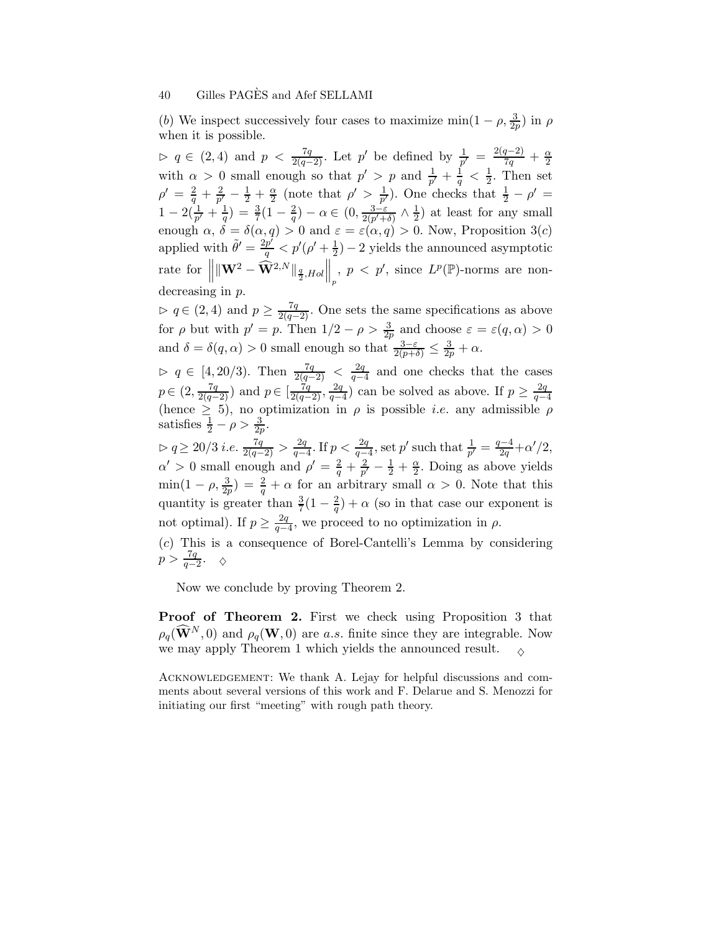(b) We inspect successively four cases to maximize  $\min(1-\rho, \frac{3}{2p})$  in  $\rho$ when it is possible.

 $\rhd$  q ∈ (2, 4) and  $p < \frac{7q}{2(q-2)}$ . Let p' be defined by  $\frac{1}{p'} = \frac{2(q-2)}{7q} + \frac{\alpha}{2}$ 2 with  $\alpha > 0$  small enough so that  $p' > p$  and  $\frac{1}{p'} + \frac{1}{q} < \frac{1}{2}$  $\frac{1}{2}$ . Then set  $\rho'\,=\,\frac{2}{q}\,+\,\frac{2}{p'}$  $\frac{2}{p'}-\frac{1}{2}+\frac{\alpha}{2}$  $\frac{\alpha}{2}$  (note that  $\rho' > \frac{1}{p'}$  $\frac{1}{p'}$ ). One checks that  $\frac{1}{2} - \rho' =$  $1-2(\frac{1}{p'}+\frac{1}{q})$  $\frac{1}{q}) = \frac{3}{7}(1-\frac{2}{q})$  $\frac{2}{q})-\alpha \in (0,\frac{3-\varepsilon}{2(p'+\delta)}\wedge \frac{1}{2})$  $(\frac{1}{2})$  at least for any small enough  $\alpha$ ,  $\delta = \delta(\alpha, q) > 0$  and  $\varepsilon = \varepsilon(\alpha, q) > 0$ . Now, Proposition 3(*c*) applied with  $\tilde{\theta}' = \frac{2p'}{q} < p'(\rho' + \frac{1}{2})$  $(\frac{1}{2})$  – 2 yields the announced asymptotic rate for  $\left\| \|\mathbf{W}^2 - \hat{\mathbf{W}}^{2,N} \|_{\frac{q}{2}, Hol} \right\|$  $\Big\|_p, p < p', \text{ since } L^p(\mathbb{P})\text{-norms are non-}$ decreasing in p.

 $\rhd$  q ∈ (2, 4) and  $p \geq \frac{7q}{2(q-2)}$ . One sets the same specifications as above for  $\rho$  but with  $p' = p$ . Then  $1/2 - \rho > \frac{3}{2p}$  and choose  $\varepsilon = \varepsilon(q, \alpha) > 0$ and  $\delta = \delta(q, \alpha) > 0$  small enough so that  $\frac{3-\varepsilon}{2(p+\delta)} \leq \frac{3}{2p} + \alpha$ .

 $\rhd$  q ∈ [4, 20/3). Then  $\frac{7q}{2(q-2)} < \frac{2q}{q-2}$  $\frac{2q}{q-4}$  and one checks that the cases  $p \in (2, \frac{7q}{2(q-2)})$  and  $p \in [\frac{7q}{2(q-2)}, \frac{2q}{q-2}]$  $\frac{2q}{q-4}$ ) can be solved as above. If  $p \geq \frac{2q}{q-4}$  $q-4$ (hence  $\geq$  5), no optimization in  $\rho$  is possible *i.e.* any admissible  $\rho$ satisfies  $\frac{1}{2} - \rho > \frac{3}{2p}$ .

 $\rhd q \ge 20/3$  *i.e.*  $\frac{7q}{2(q-2)} > \frac{2q}{q-2}$  $\frac{2q}{q-4}$ . If  $p < \frac{2q}{q-4}$ , set p' such that  $\frac{1}{p'} = \frac{q-4}{2q} + \alpha'/2$ ,  $\alpha' > 0$  small enough and  $\rho' = \frac{2}{q} + \frac{2}{p'} - \frac{1}{2} + \frac{\alpha}{2}$ . Doing as above yields  $\min(1-\rho,\frac{3}{2p})=\frac{2}{q}+\alpha$  for an arbitrary small  $\alpha>0$ . Note that this quantity is greater than  $\frac{3}{7}(1-\frac{2}{q})$  $\frac{2}{q}$ ) +  $\alpha$  (so in that case our exponent is not optimal). If  $p \geq \frac{2q}{q-1}$  $\frac{2q}{q-4}$ , we proceed to no optimization in  $\rho$ .

(c) This is a consequence of Borel-Cantelli's Lemma by considering  $p > \frac{7q}{q-2}$ .  $\diamond$ 

Now we conclude by proving Theorem 2.

Proof of Theorem 2. First we check using Proposition 3 that  $\rho_q(\widehat{\mathbf{W}}^N,0)$  and  $\rho_q(\mathbf{W},0)$  are a.s. finite since they are integrable. Now we may apply Theorem 1 which yields the announced result.  $\Diamond$ 

Acknowledgement: We thank A. Lejay for helpful discussions and comments about several versions of this work and F. Delarue and S. Menozzi for initiating our first "meeting" with rough path theory.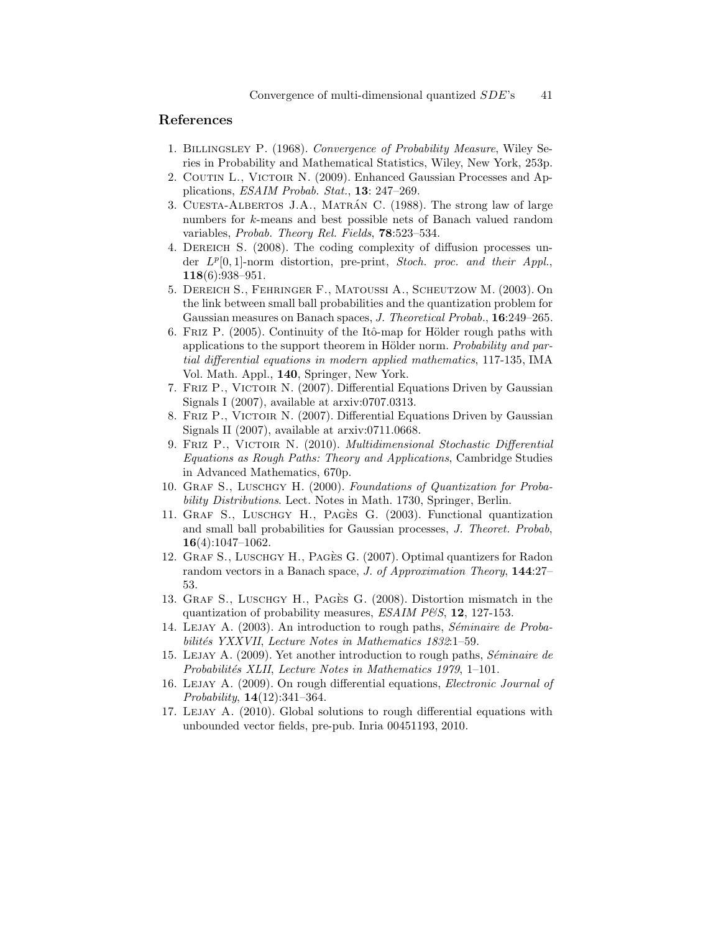### References

- 1. Billingsley P. (1968). Convergence of Probability Measure, Wiley Series in Probability and Mathematical Statistics, Wiley, New York, 253p.
- 2. COUTIN L., VICTOIR N. (2009). Enhanced Gaussian Processes and Applications, ESAIM Probab. Stat., 13: 247–269.
- 3. CUESTA-ALBERTOS J.A., MATRÁN C. (1988). The strong law of large numbers for k-means and best possible nets of Banach valued random variables, Probab. Theory Rel. Fields, 78:523–534.
- 4. Dereich S. (2008). The coding complexity of diffusion processes under  $L^p[0,1]$ -norm distortion, pre-print, Stoch. proc. and their Appl., 118(6):938–951.
- 5. Dereich S., Fehringer F., Matoussi A., Scheutzow M. (2003). On the link between small ball probabilities and the quantization problem for Gaussian measures on Banach spaces, J. Theoretical Probab., 16:249–265.
- 6. FRIZ P.  $(2005)$ . Continuity of the Itô-map for Hölder rough paths with applications to the support theorem in Hölder norm. Probability and partial differential equations in modern applied mathematics, 117-135, IMA Vol. Math. Appl., 140, Springer, New York.
- 7. FRIZ P., VICTOIR N. (2007). Differential Equations Driven by Gaussian Signals I (2007), available at arxiv:0707.0313.
- 8. Friz P., Victoir N. (2007). Differential Equations Driven by Gaussian Signals II (2007), available at arxiv:0711.0668.
- 9. Friz P., Victoir N. (2010). Multidimensional Stochastic Differential Equations as Rough Paths: Theory and Applications, Cambridge Studies in Advanced Mathematics, 670p.
- 10. Graf S., Luschgy H. (2000). Foundations of Quantization for Probability Distributions. Lect. Notes in Math. 1730, Springer, Berlin.
- 11. Graf S., Luschgy H., Pag`es G. (2003). Functional quantization and small ball probabilities for Gaussian processes, J. Theoret. Probab, 16(4):1047–1062.
- 12. GRAF S., LUSCHGY H., PAGÈS G. (2007). Optimal quantizers for Radon random vectors in a Banach space, *J. of Approximation Theory*, **144:27**– 53.
- 13. Graf S., Luschgy H., Pag`es G. (2008). Distortion mismatch in the quantization of probability measures,  $ESAIM$   $PES$ , 12, 127-153.
- 14. LEJAY A. (2003). An introduction to rough paths, Séminaire de Probabilités YXXVII, Lecture Notes in Mathematics 1832:1–59.
- 15. LEJAY A. (2009). Yet another introduction to rough paths, Séminaire de Probabilités XLII, Lecture Notes in Mathematics 1979, 1–101.
- 16. LEJAY A. (2009). On rough differential equations, *Electronic Journal of* Probability, 14(12):341–364.
- 17. Lejay A. (2010). Global solutions to rough differential equations with unbounded vector fields, pre-pub. Inria 00451193, 2010.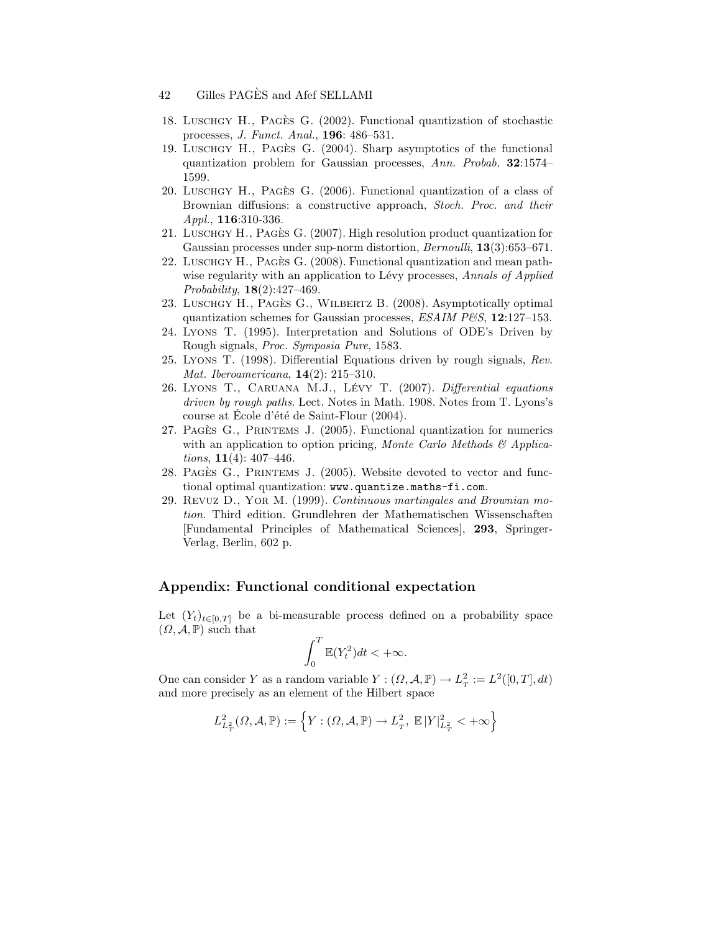- 42 Gilles PAGES and Afef SELLAMI
- 18. Luschgy H., Pag`es G. (2002). Functional quantization of stochastic processes, J. Funct. Anal., 196: 486–531.
- 19. LUSCHGY H., PAGÈS G. (2004). Sharp asymptotics of the functional quantization problem for Gaussian processes, Ann. Probab. 32:1574– 1599.
- 20. Luschgy H., Pagès G. (2006). Functional quantization of a class of Brownian diffusions: a constructive approach, Stoch. Proc. and their Appl., **116**:310-336.
- 21. LUSCHGY H., PAGÈS G. (2007). High resolution product quantization for Gaussian processes under sup-norm distortion, *Bernoulli*, **13**(3):653–671.
- 22. LUSCHGY H., PAGÈS G. (2008). Functional quantization and mean pathwise regularity with an application to Lévy processes, Annals of Applied Probability, 18(2):427–469.
- 23. LUSCHGY H., PAGÈS G., WILBERTZ B. (2008). Asymptotically optimal quantization schemes for Gaussian processes,  $ESAIM$   $PES, 12:127-153$ .
- 24. Lyons T. (1995). Interpretation and Solutions of ODE's Driven by Rough signals, Proc. Symposia Pure, 1583.
- 25. Lyons T. (1998). Differential Equations driven by rough signals, Rev. Mat. Iberoamericana, 14(2): 215–310.
- 26. LYONS T., CARUANA M.J., LÉVY T. (2007). Differential equations driven by rough paths. Lect. Notes in Math. 1908. Notes from T. Lyons's course at École d'été de Saint-Flour (2004).
- 27. Pagès G., PRINTEMS J. (2005). Functional quantization for numerics with an application to option pricing, Monte Carlo Methods  $\mathcal{B}$  Applica*tions*,  $11(4)$ :  $407-446$ .
- 28. PAGÈS G., PRINTEMS J. (2005). Website devoted to vector and functional optimal quantization: www.quantize.maths-fi.com.
- 29. Revuz D., Yor M. (1999). Continuous martingales and Brownian motion. Third edition. Grundlehren der Mathematischen Wissenschaften [Fundamental Principles of Mathematical Sciences], 293, Springer-Verlag, Berlin, 602 p.

#### Appendix: Functional conditional expectation

Let  $(Y_t)_{t\in[0,T]}$  be a bi-measurable process defined on a probability space  $(\Omega, \mathcal{A}, \mathbb{P})$  such that

$$
\int_0^T \mathbb{E}(Y_t^2) dt < +\infty.
$$

One can consider Y as a random variable  $Y : (\Omega, \mathcal{A}, \mathbb{P}) \to L^2_T := L^2([0, T], dt)$ and more precisely as an element of the Hilbert space

$$
L^2_{L^2_T}(\varOmega,\mathcal{A},\mathbb{P}):=\Big\{Y: (\varOmega,\mathcal{A},\mathbb{P})\rightarrow L^2_{_T},\ \mathbb{E}\,|Y|^2_{L^2_T}<+\infty\Big\}
$$